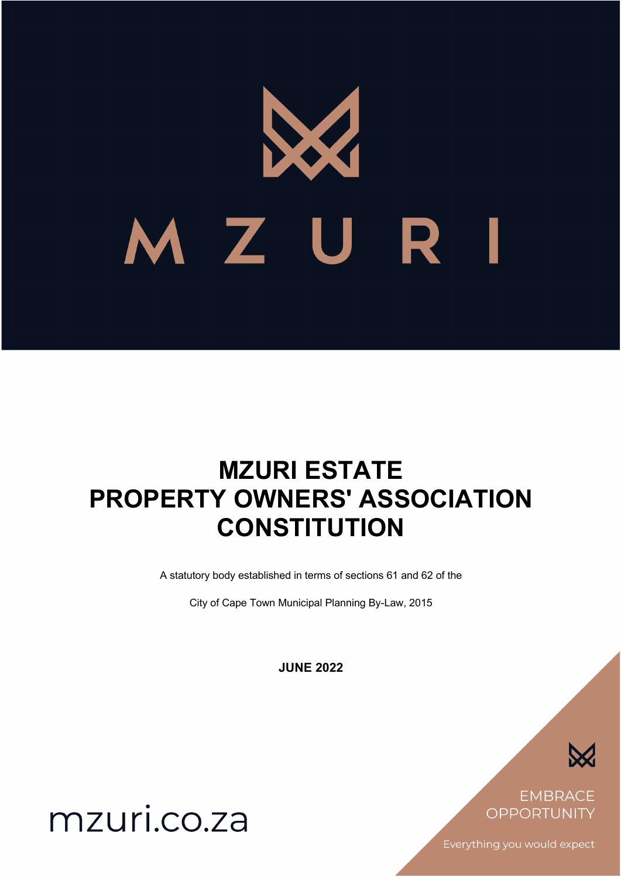# M Z U R

# **MZURI ESTATE PROPERTY OWNERS' ASSOCIATION CONSTITUTION**

A statutory body established in terms of sections 61 and 62 of the

City of Cape Town Municipal Planning By-Law, 2015

**JUNE 2022**



**EMBRACE** OPPORTUNITY

Everything you would expect

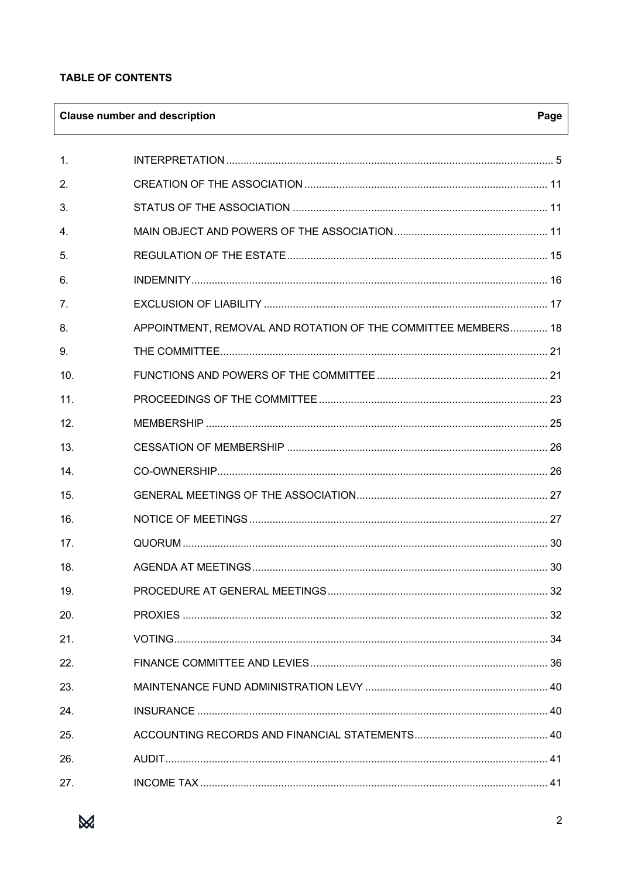# **TABLE OF CONTENTS**

# **Clause number and description**

| $\mathbf{1}$ . |                                                               |    |
|----------------|---------------------------------------------------------------|----|
| 2.             |                                                               |    |
| 3.             |                                                               |    |
| $\mathbf{4}$ . |                                                               |    |
| 5.             |                                                               |    |
| 6.             |                                                               |    |
| 7.             |                                                               |    |
| 8.             | APPOINTMENT, REMOVAL AND ROTATION OF THE COMMITTEE MEMBERS 18 |    |
| 9.             |                                                               |    |
| 10.            |                                                               |    |
| 11.            |                                                               |    |
| 12.            |                                                               |    |
| 13.            |                                                               |    |
| 14.            |                                                               |    |
| 15.            |                                                               |    |
| 16.            |                                                               |    |
| 17.            |                                                               |    |
| 18.            |                                                               |    |
| 19.            |                                                               | 32 |
| 20.            |                                                               |    |
| 21.            |                                                               |    |
| 22.            |                                                               |    |
| 23.            |                                                               |    |
| 24.            |                                                               |    |
| 25.            |                                                               |    |
| 26.            |                                                               |    |
| 27.            |                                                               |    |



Page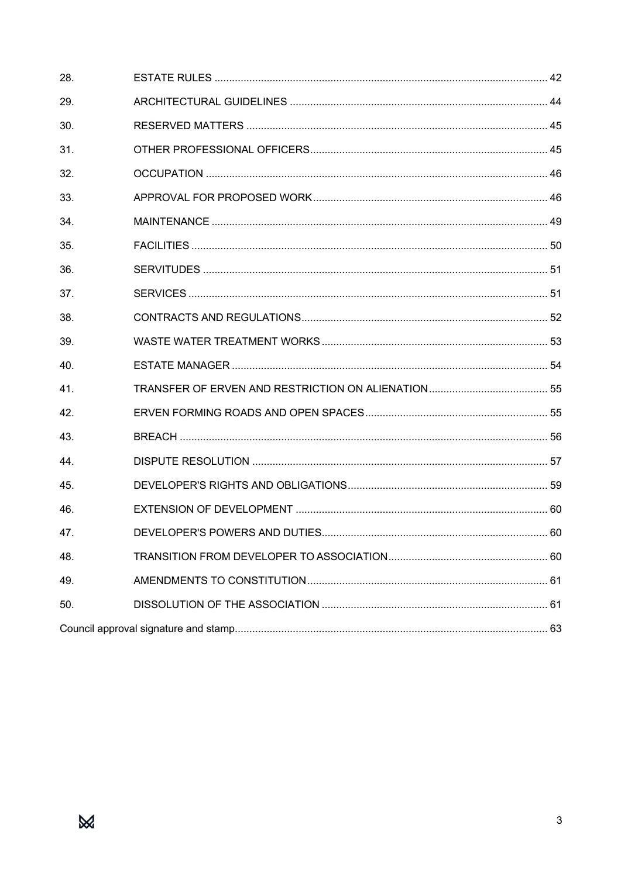| 28. |  |
|-----|--|
| 29. |  |
| 30. |  |
| 31. |  |
| 32. |  |
| 33. |  |
| 34. |  |
| 35. |  |
| 36. |  |
| 37. |  |
| 38. |  |
| 39. |  |
| 40. |  |
| 41. |  |
| 42. |  |
| 43. |  |
| 44. |  |
| 45. |  |
| 46. |  |
| 47. |  |
| 48. |  |
| 49. |  |
| 50. |  |
|     |  |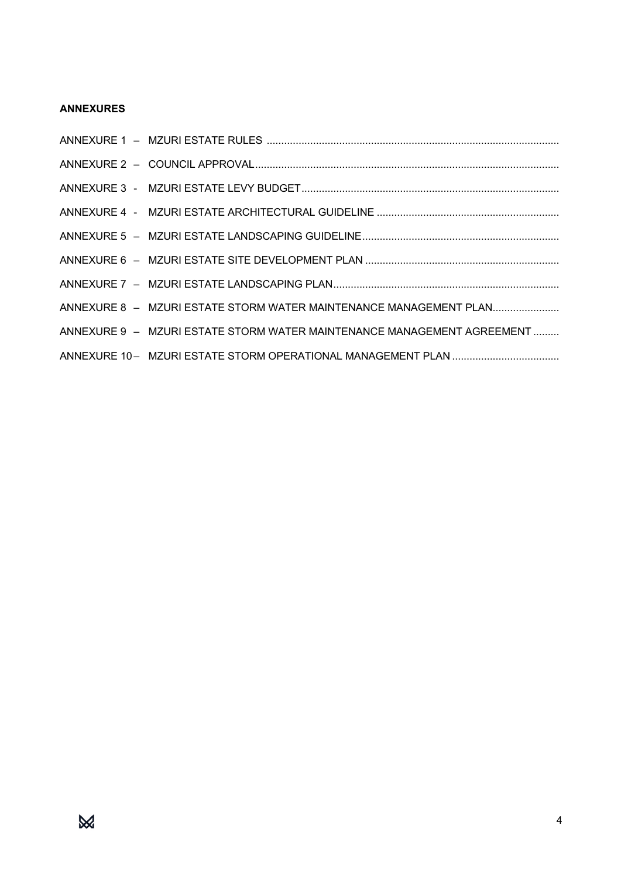# **ANNEXURES**

| ANNEXURE 8 - MZURI ESTATE STORM WATER MAINTENANCE MANAGEMENT PLAN      |
|------------------------------------------------------------------------|
| ANNEXURE 9 - MZURI ESTATE STORM WATER MAINTENANCE MANAGEMENT AGREEMENT |
|                                                                        |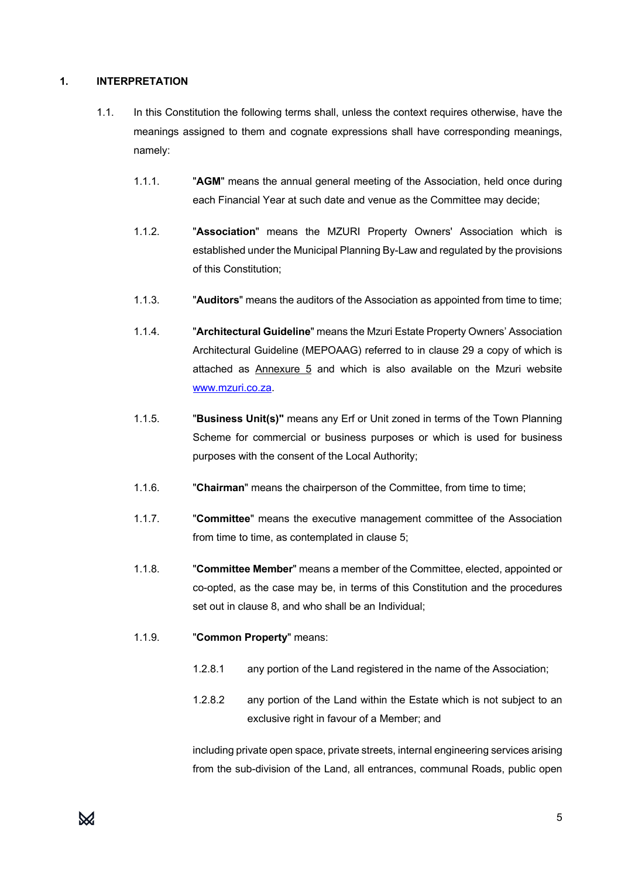# **1. INTERPRETATION**

- 1.1. In this Constitution the following terms shall, unless the context requires otherwise, have the meanings assigned to them and cognate expressions shall have corresponding meanings, namely:
	- 1.1.1. "**AGM**" means the annual general meeting of the Association, held once during each Financial Year at such date and venue as the Committee may decide;
	- 1.1.2. "**Association**" means the MZURI Property Owners' Association which is established under the Municipal Planning By-Law and regulated by the provisions of this Constitution;
	- 1.1.3. "**Auditors**" means the auditors of the Association as appointed from time to time;
	- 1.1.4. "**Architectural Guideline**" means the Mzuri Estate Property Owners' Association Architectural Guideline (MEPOAAG) referred to in clause 29 a copy of which is attached as Annexure 5 and which is also available on the Mzuri website www.mzuri.co.za.
	- 1.1.5. "**Business Unit(s)"** means any Erf or Unit zoned in terms of the Town Planning Scheme for commercial or business purposes or which is used for business purposes with the consent of the Local Authority;
	- 1.1.6. "**Chairman**" means the chairperson of the Committee, from time to time;
	- 1.1.7. "**Committee**" means the executive management committee of the Association from time to time, as contemplated in clause 5;
	- 1.1.8. "**Committee Member**" means a member of the Committee, elected, appointed or co-opted, as the case may be, in terms of this Constitution and the procedures set out in clause 8, and who shall be an Individual;
	- 1.1.9. "**Common Property**" means:
		- 1.2.8.1 any portion of the Land registered in the name of the Association;
		- 1.2.8.2 any portion of the Land within the Estate which is not subject to an exclusive right in favour of a Member; and

including private open space, private streets, internal engineering services arising from the sub-division of the Land, all entrances, communal Roads, public open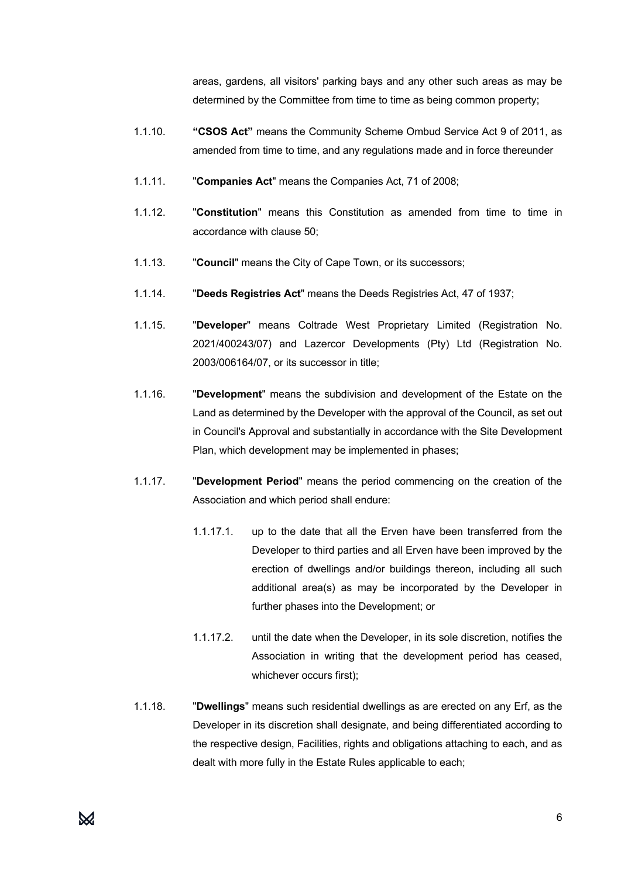areas, gardens, all visitors' parking bays and any other such areas as may be determined by the Committee from time to time as being common property;

- 1.1.10. **"CSOS Act"** means the Community Scheme Ombud Service Act 9 of 2011, as amended from time to time, and any regulations made and in force thereunder
- 1.1.11. "**Companies Act**" means the Companies Act, 71 of 2008;
- 1.1.12. "**Constitution**" means this Constitution as amended from time to time in accordance with clause 50;
- 1.1.13. "**Council**" means the City of Cape Town, or its successors;
- 1.1.14. "**Deeds Registries Act**" means the Deeds Registries Act, 47 of 1937;
- 1.1.15. "**Developer**" means Coltrade West Proprietary Limited (Registration No. 2021/400243/07) and Lazercor Developments (Pty) Ltd (Registration No. 2003/006164/07, or its successor in title;
- 1.1.16. "**Development**" means the subdivision and development of the Estate on the Land as determined by the Developer with the approval of the Council, as set out in Council's Approval and substantially in accordance with the Site Development Plan, which development may be implemented in phases;
- 1.1.17. "**Development Period**" means the period commencing on the creation of the Association and which period shall endure:
	- 1.1.17.1. up to the date that all the Erven have been transferred from the Developer to third parties and all Erven have been improved by the erection of dwellings and/or buildings thereon, including all such additional area(s) as may be incorporated by the Developer in further phases into the Development; or
	- 1.1.17.2. until the date when the Developer, in its sole discretion, notifies the Association in writing that the development period has ceased, whichever occurs first);
- 1.1.18. "**Dwellings**" means such residential dwellings as are erected on any Erf, as the Developer in its discretion shall designate, and being differentiated according to the respective design, Facilities, rights and obligations attaching to each, and as dealt with more fully in the Estate Rules applicable to each;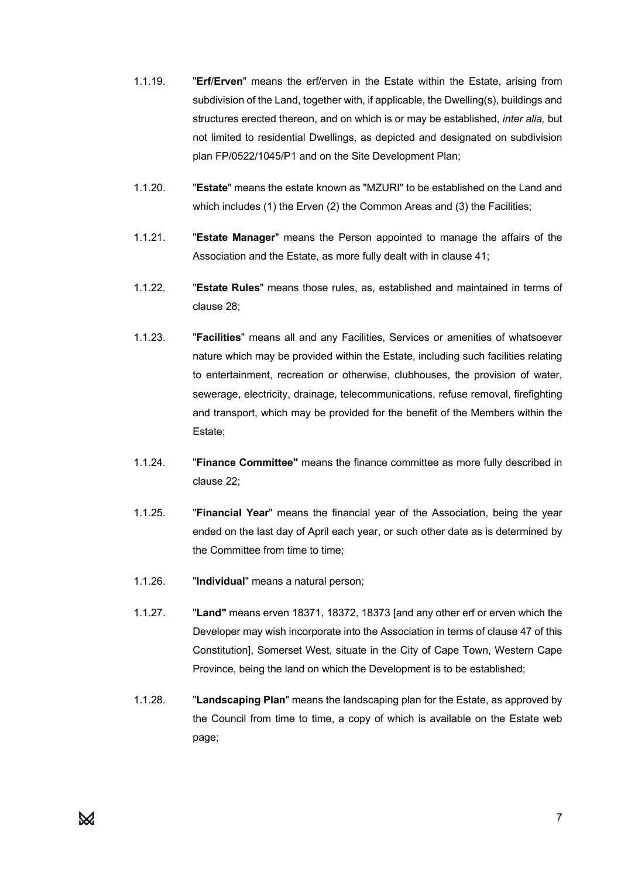- 1.1.19. "**Erf**/**Erven**" means the erf/erven in the Estate within the Estate, arising from subdivision of the Land, together with, if applicable, the Dwelling(s), buildings and structures erected thereon, and on which is or may be established, *inter alia,* but not limited to residential Dwellings, as depicted and designated on subdivision plan FP/0522/1045/P1 and on the Site Development Plan;
- 1.1.20. "**Estate**" means the estate known as "MZURI" to be established on the Land and which includes (1) the Erven (2) the Common Areas and (3) the Facilities;
- 1.1.21. "**Estate Manager**" means the Person appointed to manage the affairs of the Association and the Estate, as more fully dealt with in clause 41;
- 1.1.22. "**Estate Rules**" means those rules, as, established and maintained in terms of clause 28;
- 1.1.23. "**Facilities**" means all and any Facilities, Services or amenities of whatsoever nature which may be provided within the Estate, including such facilities relating to entertainment, recreation or otherwise, clubhouses, the provision of water, sewerage, electricity, drainage, telecommunications, refuse removal, firefighting and transport, which may be provided for the benefit of the Members within the Estate;
- 1.1.24. "**Finance Committee"** means the finance committee as more fully described in clause 22;
- 1.1.25. "**Financial Year**" means the financial year of the Association, being the year ended on the last day of April each year, or such other date as is determined by the Committee from time to time;
- 1.1.26. "**Individual**" means a natural person;
- 1.1.27. "**Land"** means erven 18371, 18372, 18373 [and any other erf or erven which the Developer may wish incorporate into the Association in terms of clause 47 of this Constitution], Somerset West, situate in the City of Cape Town, Western Cape Province, being the land on which the Development is to be established;
- 1.1.28. "**Landscaping Plan**" means the landscaping plan for the Estate, as approved by the Council from time to time, a copy of which is available on the Estate web page;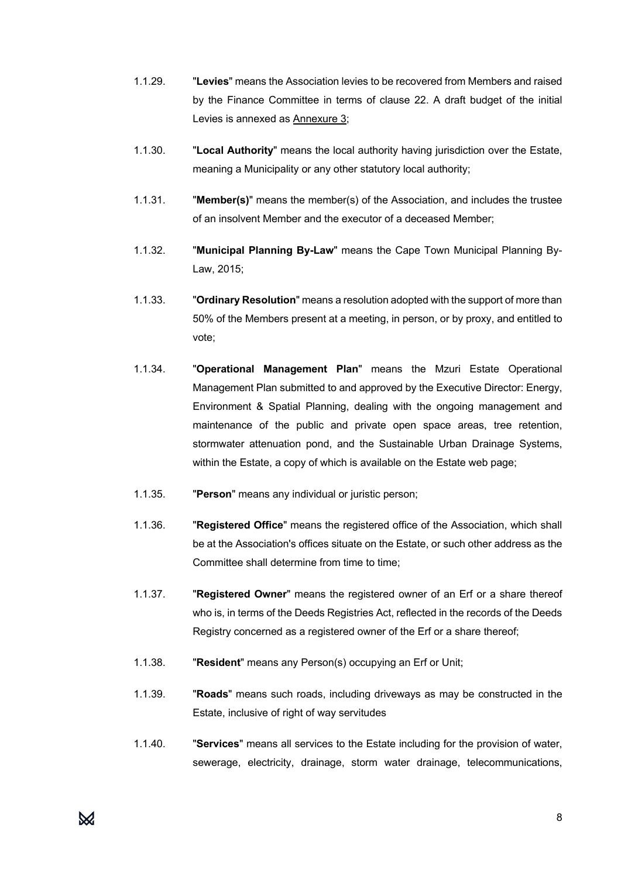- 1.1.29. "**Levies**" means the Association levies to be recovered from Members and raised by the Finance Committee in terms of clause 22. A draft budget of the initial Levies is annexed as **Annexure 3**;
- 1.1.30. "**Local Authority**" means the local authority having jurisdiction over the Estate, meaning a Municipality or any other statutory local authority;
- 1.1.31. "**Member(s)**" means the member(s) of the Association, and includes the trustee of an insolvent Member and the executor of a deceased Member;
- 1.1.32. "**Municipal Planning By-Law**" means the Cape Town Municipal Planning By-Law, 2015;
- 1.1.33. "**Ordinary Resolution**" means a resolution adopted with the support of more than 50% of the Members present at a meeting, in person, or by proxy, and entitled to vote;
- 1.1.34. "**Operational Management Plan**" means the Mzuri Estate Operational Management Plan submitted to and approved by the Executive Director: Energy, Environment & Spatial Planning, dealing with the ongoing management and maintenance of the public and private open space areas, tree retention, stormwater attenuation pond, and the Sustainable Urban Drainage Systems, within the Estate, a copy of which is available on the Estate web page;
- 1.1.35. "**Person**" means any individual or juristic person;
- 1.1.36. "**Registered Office**" means the registered office of the Association, which shall be at the Association's offices situate on the Estate, or such other address as the Committee shall determine from time to time:
- 1.1.37. "**Registered Owner**" means the registered owner of an Erf or a share thereof who is, in terms of the Deeds Registries Act, reflected in the records of the Deeds Registry concerned as a registered owner of the Erf or a share thereof;
- 1.1.38. "**Resident**" means any Person(s) occupying an Erf or Unit;
- 1.1.39. "**Roads**" means such roads, including driveways as may be constructed in the Estate, inclusive of right of way servitudes
- 1.1.40. "**Services**" means all services to the Estate including for the provision of water, sewerage, electricity, drainage, storm water drainage, telecommunications,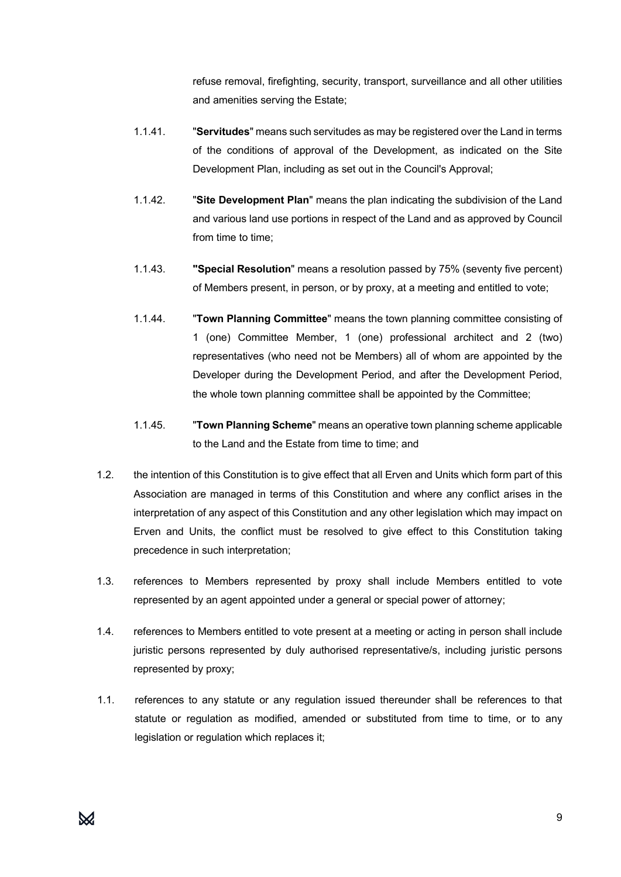refuse removal, firefighting, security, transport, surveillance and all other utilities and amenities serving the Estate;

- 1.1.41. "**Servitudes**" means such servitudes as may be registered over the Land in terms of the conditions of approval of the Development, as indicated on the Site Development Plan, including as set out in the Council's Approval;
- 1.1.42. "**Site Development Plan**" means the plan indicating the subdivision of the Land and various land use portions in respect of the Land and as approved by Council from time to time:
- 1.1.43. **"Special Resolution**" means a resolution passed by 75% (seventy five percent) of Members present, in person, or by proxy, at a meeting and entitled to vote;
- 1.1.44. "**Town Planning Committee**" means the town planning committee consisting of 1 (one) Committee Member, 1 (one) professional architect and 2 (two) representatives (who need not be Members) all of whom are appointed by the Developer during the Development Period, and after the Development Period, the whole town planning committee shall be appointed by the Committee;
- 1.1.45. "**Town Planning Scheme**" means an operative town planning scheme applicable to the Land and the Estate from time to time; and
- 1.2. the intention of this Constitution is to give effect that all Erven and Units which form part of this Association are managed in terms of this Constitution and where any conflict arises in the interpretation of any aspect of this Constitution and any other legislation which may impact on Erven and Units, the conflict must be resolved to give effect to this Constitution taking precedence in such interpretation;
- 1.3. references to Members represented by proxy shall include Members entitled to vote represented by an agent appointed under a general or special power of attorney;
- 1.4. references to Members entitled to vote present at a meeting or acting in person shall include juristic persons represented by duly authorised representative/s, including juristic persons represented by proxy;
- 1.1. references to any statute or any regulation issued thereunder shall be references to that statute or regulation as modified, amended or substituted from time to time, or to any legislation or regulation which replaces it;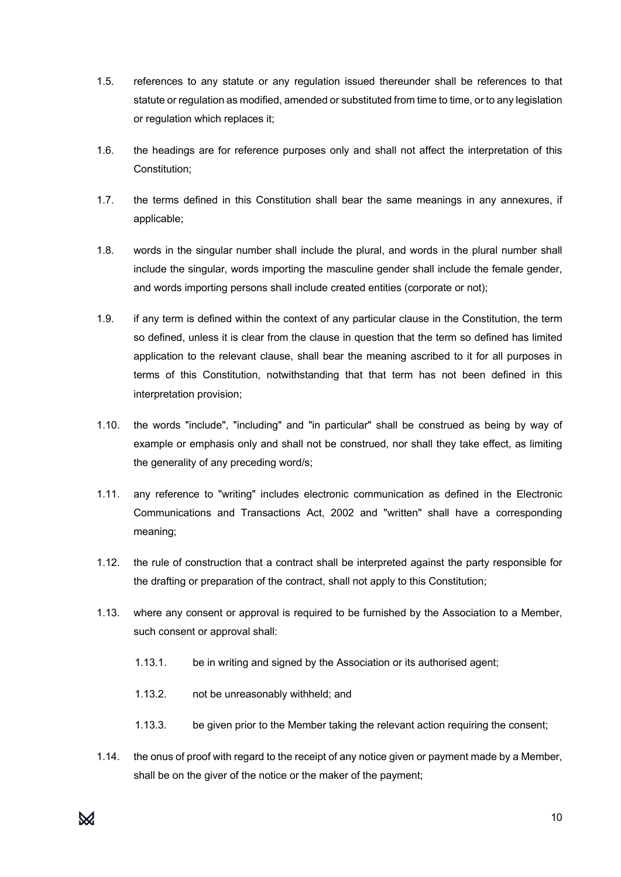- 1.5. references to any statute or any regulation issued thereunder shall be references to that statute or regulation as modified, amended or substituted from time to time, or to any legislation or regulation which replaces it;
- 1.6. the headings are for reference purposes only and shall not affect the interpretation of this Constitution;
- 1.7. the terms defined in this Constitution shall bear the same meanings in any annexures, if applicable;
- 1.8. words in the singular number shall include the plural, and words in the plural number shall include the singular, words importing the masculine gender shall include the female gender, and words importing persons shall include created entities (corporate or not);
- 1.9. if any term is defined within the context of any particular clause in the Constitution, the term so defined, unless it is clear from the clause in question that the term so defined has limited application to the relevant clause, shall bear the meaning ascribed to it for all purposes in terms of this Constitution, notwithstanding that that term has not been defined in this interpretation provision;
- 1.10. the words "include", "including" and "in particular" shall be construed as being by way of example or emphasis only and shall not be construed, nor shall they take effect, as limiting the generality of any preceding word/s;
- 1.11. any reference to "writing" includes electronic communication as defined in the Electronic Communications and Transactions Act, 2002 and "written" shall have a corresponding meaning;
- 1.12. the rule of construction that a contract shall be interpreted against the party responsible for the drafting or preparation of the contract, shall not apply to this Constitution;
- 1.13. where any consent or approval is required to be furnished by the Association to a Member, such consent or approval shall:
	- 1.13.1. be in writing and signed by the Association or its authorised agent;
	- 1.13.2. not be unreasonably withheld; and
	- 1.13.3. be given prior to the Member taking the relevant action requiring the consent;
- 1.14. the onus of proof with regard to the receipt of any notice given or payment made by a Member, shall be on the giver of the notice or the maker of the payment;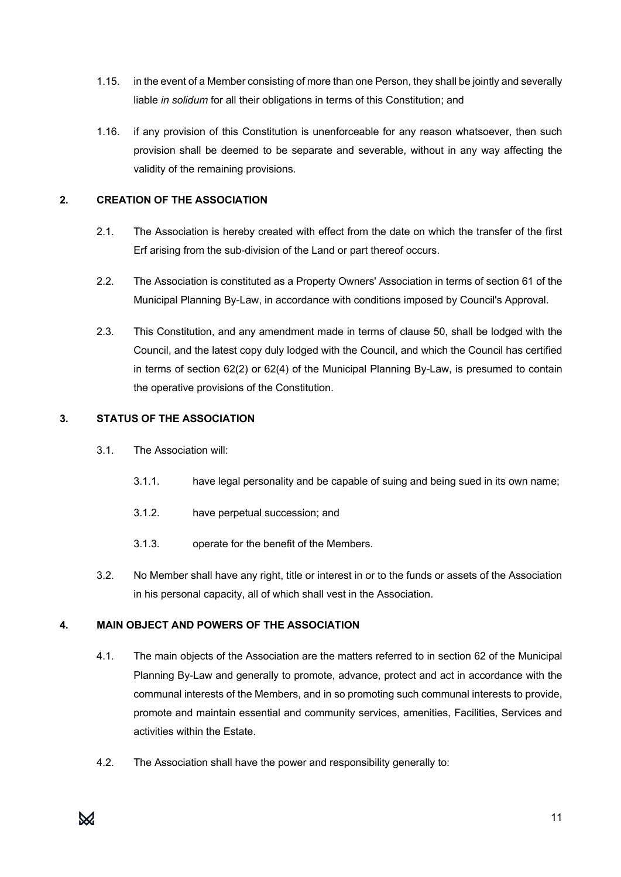- 1.15. in the event of a Member consisting of more than one Person, they shall be jointly and severally liable *in solidum* for all their obligations in terms of this Constitution; and
- 1.16. if any provision of this Constitution is unenforceable for any reason whatsoever, then such provision shall be deemed to be separate and severable, without in any way affecting the validity of the remaining provisions.

# **2. CREATION OF THE ASSOCIATION**

- 2.1. The Association is hereby created with effect from the date on which the transfer of the first Erf arising from the sub-division of the Land or part thereof occurs.
- 2.2. The Association is constituted as a Property Owners' Association in terms of section 61 of the Municipal Planning By-Law, in accordance with conditions imposed by Council's Approval.
- 2.3. This Constitution, and any amendment made in terms of clause 50, shall be lodged with the Council, and the latest copy duly lodged with the Council, and which the Council has certified in terms of section 62(2) or 62(4) of the Municipal Planning By-Law, is presumed to contain the operative provisions of the Constitution.

# **3. STATUS OF THE ASSOCIATION**

- 3.1. The Association will:
	- 3.1.1. have legal personality and be capable of suing and being sued in its own name;
	- 3.1.2. have perpetual succession; and
	- 3.1.3. operate for the benefit of the Members.
- 3.2. No Member shall have any right, title or interest in or to the funds or assets of the Association in his personal capacity, all of which shall vest in the Association.

# **4. MAIN OBJECT AND POWERS OF THE ASSOCIATION**

- 4.1. The main objects of the Association are the matters referred to in section 62 of the Municipal Planning By-Law and generally to promote, advance, protect and act in accordance with the communal interests of the Members, and in so promoting such communal interests to provide, promote and maintain essential and community services, amenities, Facilities, Services and activities within the Estate.
- 4.2. The Association shall have the power and responsibility generally to: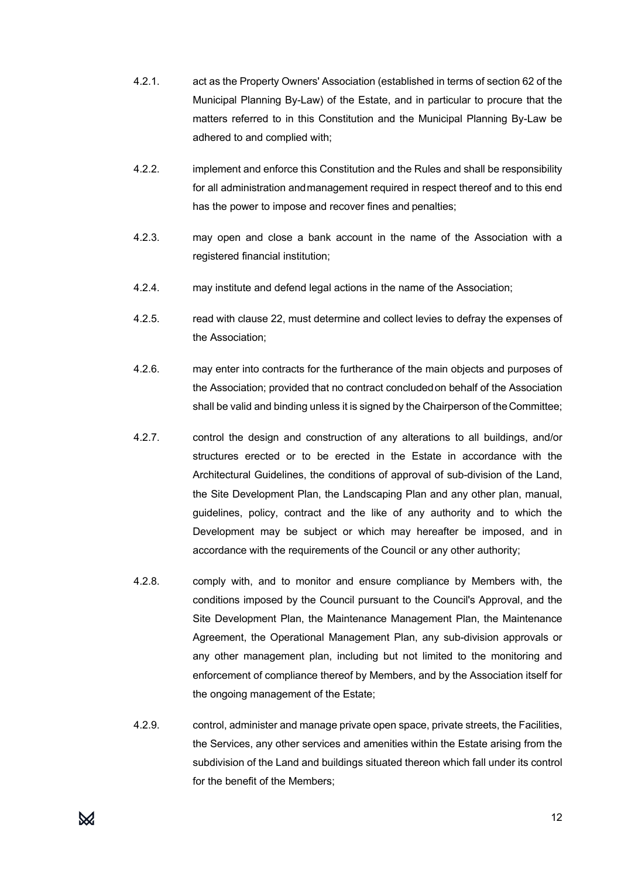- 4.2.1. act as the Property Owners' Association (established in terms of section 62 of the Municipal Planning By-Law) of the Estate, and in particular to procure that the matters referred to in this Constitution and the Municipal Planning By-Law be adhered to and complied with;
- 4.2.2. implement and enforce this Constitution and the Rules and shall be responsibility for all administration andmanagement required in respect thereof and to this end has the power to impose and recover fines and penalties;
- 4.2.3. may open and close a bank account in the name of the Association with a registered financial institution;
- 4.2.4. may institute and defend legal actions in the name of the Association;
- 4.2.5. read with clause 22, must determine and collect levies to defray the expenses of the Association;
- 4.2.6. may enter into contracts for the furtherance of the main objects and purposes of the Association; provided that no contract concludedon behalf of the Association shall be valid and binding unless it is signed by the Chairperson of theCommittee;
- 4.2.7. control the design and construction of any alterations to all buildings, and/or structures erected or to be erected in the Estate in accordance with the Architectural Guidelines, the conditions of approval of sub-division of the Land, the Site Development Plan, the Landscaping Plan and any other plan, manual, guidelines, policy, contract and the like of any authority and to which the Development may be subject or which may hereafter be imposed, and in accordance with the requirements of the Council or any other authority;
- 4.2.8. comply with, and to monitor and ensure compliance by Members with, the conditions imposed by the Council pursuant to the Council's Approval, and the Site Development Plan, the Maintenance Management Plan, the Maintenance Agreement, the Operational Management Plan, any sub-division approvals or any other management plan, including but not limited to the monitoring and enforcement of compliance thereof by Members, and by the Association itself for the ongoing management of the Estate;
- 4.2.9. control, administer and manage private open space, private streets, the Facilities, the Services, any other services and amenities within the Estate arising from the subdivision of the Land and buildings situated thereon which fall under its control for the benefit of the Members;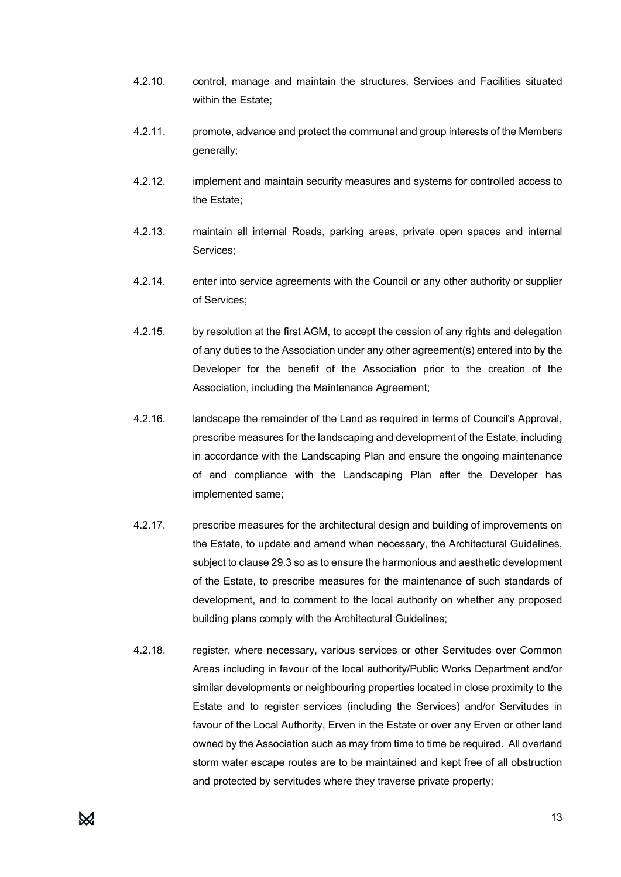- 4.2.10. control, manage and maintain the structures, Services and Facilities situated within the Estate;
- 4.2.11. promote, advance and protect the communal and group interests of the Members generally;
- 4.2.12. implement and maintain security measures and systems for controlled access to the Estate;
- 4.2.13. maintain all internal Roads, parking areas, private open spaces and internal Services;
- 4.2.14. enter into service agreements with the Council or any other authority or supplier of Services;
- 4.2.15. by resolution at the first AGM, to accept the cession of any rights and delegation of any duties to the Association under any other agreement(s) entered into by the Developer for the benefit of the Association prior to the creation of the Association, including the Maintenance Agreement;
- 4.2.16. landscape the remainder of the Land as required in terms of Council's Approval, prescribe measures for the landscaping and development of the Estate, including in accordance with the Landscaping Plan and ensure the ongoing maintenance of and compliance with the Landscaping Plan after the Developer has implemented same;
- 4.2.17. prescribe measures for the architectural design and building of improvements on the Estate, to update and amend when necessary, the Architectural Guidelines, subject to clause 29.3 so as to ensure the harmonious and aesthetic development of the Estate, to prescribe measures for the maintenance of such standards of development, and to comment to the local authority on whether any proposed building plans comply with the Architectural Guidelines;
- 4.2.18. register, where necessary, various services or other Servitudes over Common Areas including in favour of the local authority/Public Works Department and/or similar developments or neighbouring properties located in close proximity to the Estate and to register services (including the Services) and/or Servitudes in favour of the Local Authority, Erven in the Estate or over any Erven or other land owned by the Association such as may from time to time be required. All overland storm water escape routes are to be maintained and kept free of all obstruction and protected by servitudes where they traverse private property;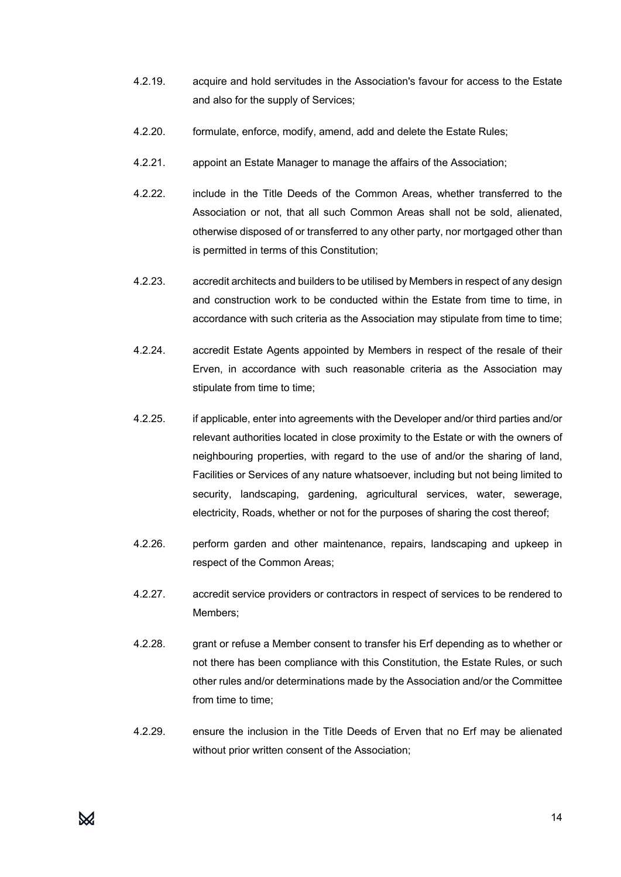- 4.2.19. acquire and hold servitudes in the Association's favour for access to the Estate and also for the supply of Services;
- 4.2.20. formulate, enforce, modify, amend, add and delete the Estate Rules;
- 4.2.21. appoint an Estate Manager to manage the affairs of the Association;
- 4.2.22. include in the Title Deeds of the Common Areas, whether transferred to the Association or not, that all such Common Areas shall not be sold, alienated, otherwise disposed of or transferred to any other party, nor mortgaged other than is permitted in terms of this Constitution;
- 4.2.23. accredit architects and builders to be utilised by Members in respect of any design and construction work to be conducted within the Estate from time to time, in accordance with such criteria as the Association may stipulate from time to time;
- 4.2.24. accredit Estate Agents appointed by Members in respect of the resale of their Erven, in accordance with such reasonable criteria as the Association may stipulate from time to time;
- 4.2.25. if applicable, enter into agreements with the Developer and/or third parties and/or relevant authorities located in close proximity to the Estate or with the owners of neighbouring properties, with regard to the use of and/or the sharing of land, Facilities or Services of any nature whatsoever, including but not being limited to security, landscaping, gardening, agricultural services, water, sewerage, electricity, Roads, whether or not for the purposes of sharing the cost thereof;
- 4.2.26. perform garden and other maintenance, repairs, landscaping and upkeep in respect of the Common Areas;
- 4.2.27. accredit service providers or contractors in respect of services to be rendered to Members;
- 4.2.28. grant or refuse a Member consent to transfer his Erf depending as to whether or not there has been compliance with this Constitution, the Estate Rules, or such other rules and/or determinations made by the Association and/or the Committee from time to time:
- 4.2.29. ensure the inclusion in the Title Deeds of Erven that no Erf may be alienated without prior written consent of the Association: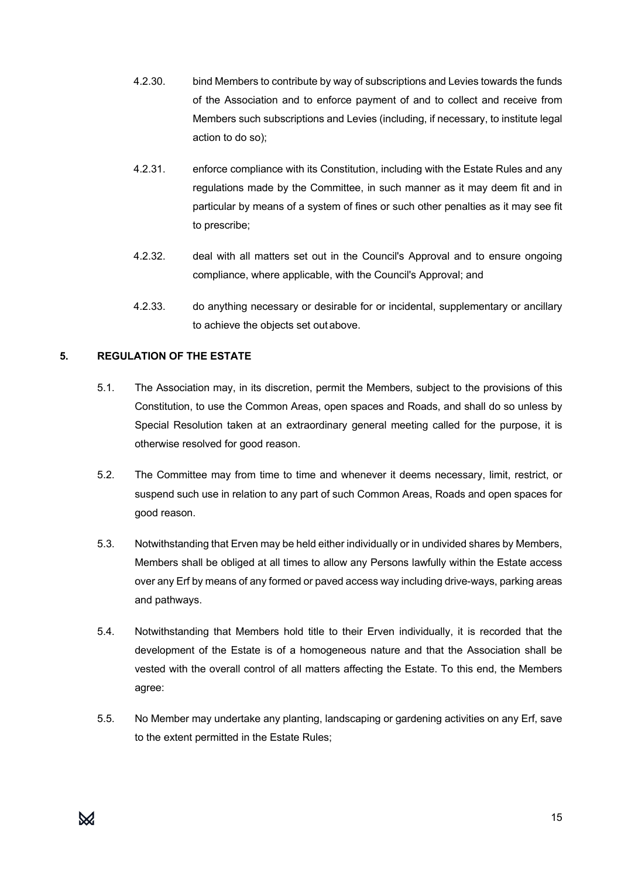- 4.2.30. bind Members to contribute by way of subscriptions and Levies towards the funds of the Association and to enforce payment of and to collect and receive from Members such subscriptions and Levies (including, if necessary, to institute legal action to do so);
- 4.2.31. enforce compliance with its Constitution, including with the Estate Rules and any regulations made by the Committee, in such manner as it may deem fit and in particular by means of a system of fines or such other penalties as it may see fit to prescribe;
- 4.2.32. deal with all matters set out in the Council's Approval and to ensure ongoing compliance, where applicable, with the Council's Approval; and
- 4.2.33. do anything necessary or desirable for or incidental, supplementary or ancillary to achieve the objects set outabove.

# **5. REGULATION OF THE ESTATE**

- 5.1. The Association may, in its discretion, permit the Members, subject to the provisions of this Constitution, to use the Common Areas, open spaces and Roads, and shall do so unless by Special Resolution taken at an extraordinary general meeting called for the purpose, it is otherwise resolved for good reason.
- 5.2. The Committee may from time to time and whenever it deems necessary, limit, restrict, or suspend such use in relation to any part of such Common Areas, Roads and open spaces for good reason.
- 5.3. Notwithstanding that Erven may be held either individually or in undivided shares by Members, Members shall be obliged at all times to allow any Persons lawfully within the Estate access over any Erf by means of any formed or paved access way including drive-ways, parking areas and pathways.
- 5.4. Notwithstanding that Members hold title to their Erven individually, it is recorded that the development of the Estate is of a homogeneous nature and that the Association shall be vested with the overall control of all matters affecting the Estate. To this end, the Members agree:
- 5.5. No Member may undertake any planting, landscaping or gardening activities on any Erf, save to the extent permitted in the Estate Rules;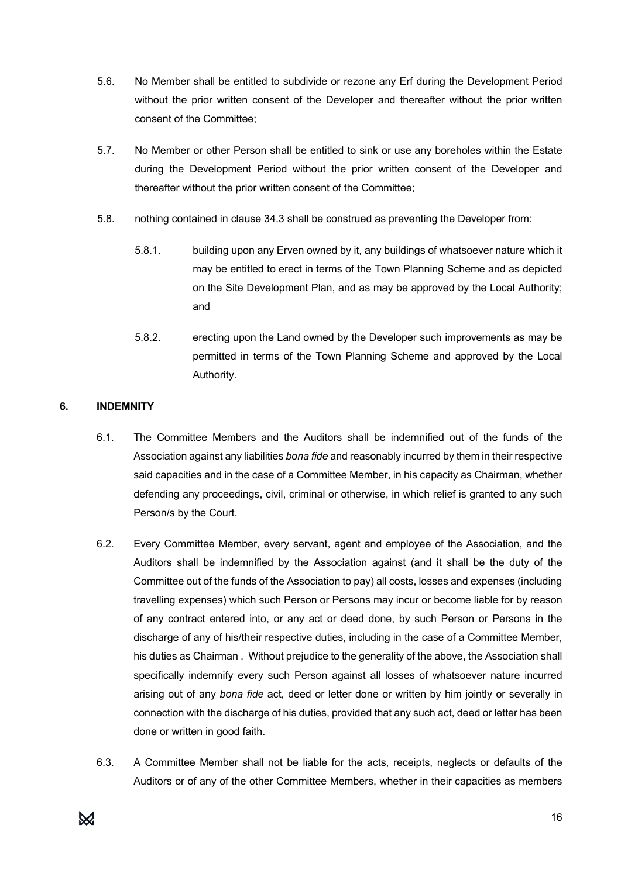- 5.6. No Member shall be entitled to subdivide or rezone any Erf during the Development Period without the prior written consent of the Developer and thereafter without the prior written consent of the Committee;
- 5.7. No Member or other Person shall be entitled to sink or use any boreholes within the Estate during the Development Period without the prior written consent of the Developer and thereafter without the prior written consent of the Committee;
- 5.8. nothing contained in clause 34.3 shall be construed as preventing the Developer from:
	- 5.8.1. building upon any Erven owned by it, any buildings of whatsoever nature which it may be entitled to erect in terms of the Town Planning Scheme and as depicted on the Site Development Plan, and as may be approved by the Local Authority; and
	- 5.8.2. erecting upon the Land owned by the Developer such improvements as may be permitted in terms of the Town Planning Scheme and approved by the Local Authority.

# **6. INDEMNITY**

- 6.1. The Committee Members and the Auditors shall be indemnified out of the funds of the Association against any liabilities *bona fide* and reasonably incurred by them in their respective said capacities and in the case of a Committee Member, in his capacity as Chairman, whether defending any proceedings, civil, criminal or otherwise, in which relief is granted to any such Person/s by the Court.
- 6.2. Every Committee Member, every servant, agent and employee of the Association, and the Auditors shall be indemnified by the Association against (and it shall be the duty of the Committee out of the funds of the Association to pay) all costs, losses and expenses (including travelling expenses) which such Person or Persons may incur or become liable for by reason of any contract entered into, or any act or deed done, by such Person or Persons in the discharge of any of his/their respective duties, including in the case of a Committee Member, his duties as Chairman . Without prejudice to the generality of the above, the Association shall specifically indemnify every such Person against all losses of whatsoever nature incurred arising out of any *bona fide* act, deed or letter done or written by him jointly or severally in connection with the discharge of his duties, provided that any such act, deed or letter has been done or written in good faith.
- 6.3. A Committee Member shall not be liable for the acts, receipts, neglects or defaults of the Auditors or of any of the other Committee Members, whether in their capacities as members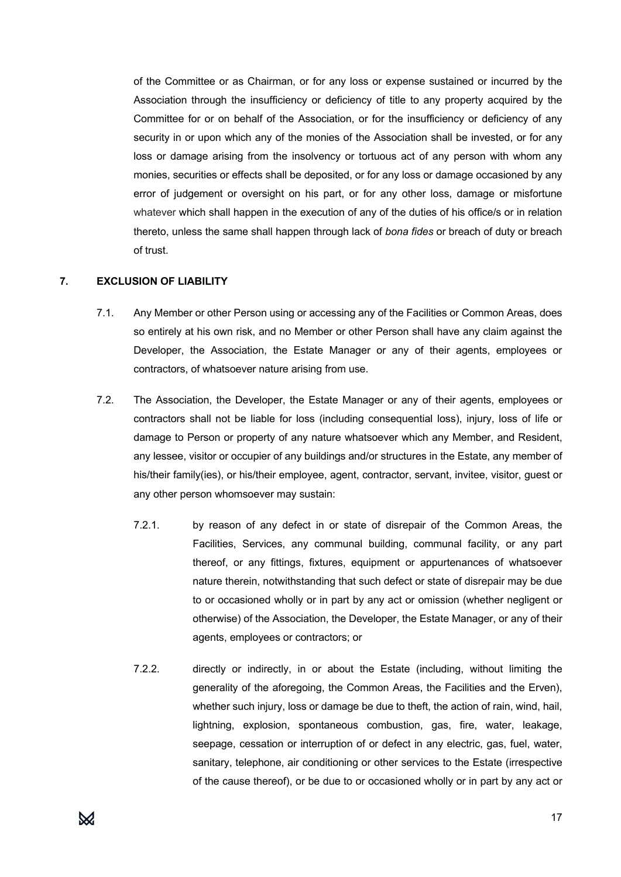of the Committee or as Chairman, or for any loss or expense sustained or incurred by the Association through the insufficiency or deficiency of title to any property acquired by the Committee for or on behalf of the Association, or for the insufficiency or deficiency of any security in or upon which any of the monies of the Association shall be invested, or for any loss or damage arising from the insolvency or tortuous act of any person with whom any monies, securities or effects shall be deposited, or for any loss or damage occasioned by any error of judgement or oversight on his part, or for any other loss, damage or misfortune whatever which shall happen in the execution of any of the duties of his office/s or in relation thereto, unless the same shall happen through lack of *bona fides* or breach of duty or breach of trust.

#### **7. EXCLUSION OF LIABILITY**

- 7.1. Any Member or other Person using or accessing any of the Facilities or Common Areas, does so entirely at his own risk, and no Member or other Person shall have any claim against the Developer, the Association, the Estate Manager or any of their agents, employees or contractors, of whatsoever nature arising from use.
- 7.2. The Association, the Developer, the Estate Manager or any of their agents, employees or contractors shall not be liable for loss (including consequential loss), injury, loss of life or damage to Person or property of any nature whatsoever which any Member, and Resident, any lessee, visitor or occupier of any buildings and/or structures in the Estate, any member of his/their family(ies), or his/their employee, agent, contractor, servant, invitee, visitor, guest or any other person whomsoever may sustain:
	- 7.2.1. by reason of any defect in or state of disrepair of the Common Areas, the Facilities, Services, any communal building, communal facility, or any part thereof, or any fittings, fixtures, equipment or appurtenances of whatsoever nature therein, notwithstanding that such defect or state of disrepair may be due to or occasioned wholly or in part by any act or omission (whether negligent or otherwise) of the Association, the Developer, the Estate Manager, or any of their agents, employees or contractors; or
	- 7.2.2. directly or indirectly, in or about the Estate (including, without limiting the generality of the aforegoing, the Common Areas, the Facilities and the Erven), whether such injury, loss or damage be due to theft, the action of rain, wind, hail, lightning, explosion, spontaneous combustion, gas, fire, water, leakage, seepage, cessation or interruption of or defect in any electric, gas, fuel, water, sanitary, telephone, air conditioning or other services to the Estate (irrespective of the cause thereof), or be due to or occasioned wholly or in part by any act or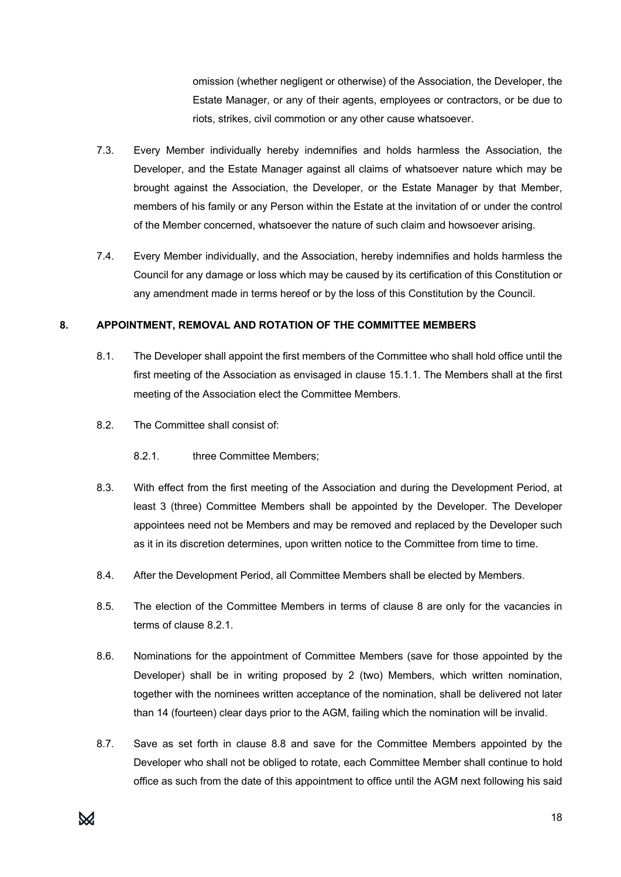omission (whether negligent or otherwise) of the Association, the Developer, the Estate Manager, or any of their agents, employees or contractors, or be due to riots, strikes, civil commotion or any other cause whatsoever.

- 7.3. Every Member individually hereby indemnifies and holds harmless the Association, the Developer, and the Estate Manager against all claims of whatsoever nature which may be brought against the Association, the Developer, or the Estate Manager by that Member, members of his family or any Person within the Estate at the invitation of or under the control of the Member concerned, whatsoever the nature of such claim and howsoever arising.
- 7.4. Every Member individually, and the Association, hereby indemnifies and holds harmless the Council for any damage or loss which may be caused by its certification of this Constitution or any amendment made in terms hereof or by the loss of this Constitution by the Council.

#### **8. APPOINTMENT, REMOVAL AND ROTATION OF THE COMMITTEE MEMBERS**

- 8.1. The Developer shall appoint the first members of the Committee who shall hold office until the first meeting of the Association as envisaged in clause 15.1.1. The Members shall at the first meeting of the Association elect the Committee Members.
- 8.2. The Committee shall consist of:
	- 8.2.1. three Committee Members:
- 8.3. With effect from the first meeting of the Association and during the Development Period, at least 3 (three) Committee Members shall be appointed by the Developer. The Developer appointees need not be Members and may be removed and replaced by the Developer such as it in its discretion determines, upon written notice to the Committee from time to time.
- 8.4. After the Development Period, all Committee Members shall be elected by Members.
- 8.5. The election of the Committee Members in terms of clause 8 are only for the vacancies in terms of clause 8.2.1.
- 8.6. Nominations for the appointment of Committee Members (save for those appointed by the Developer) shall be in writing proposed by 2 (two) Members, which written nomination, together with the nominees written acceptance of the nomination, shall be delivered not later than 14 (fourteen) clear days prior to the AGM, failing which the nomination will be invalid.
- 8.7. Save as set forth in clause 8.8 and save for the Committee Members appointed by the Developer who shall not be obliged to rotate, each Committee Member shall continue to hold office as such from the date of this appointment to office until the AGM next following his said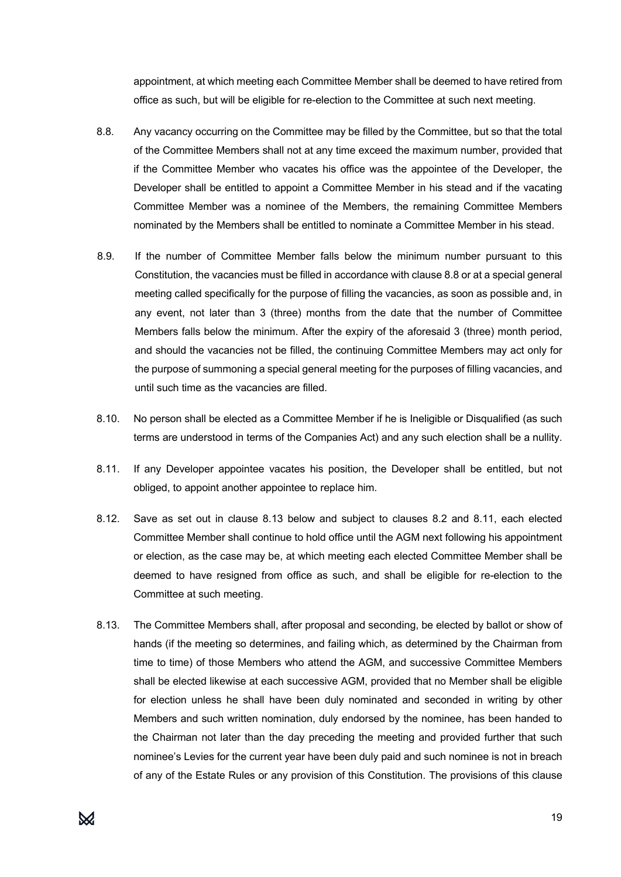appointment, at which meeting each Committee Member shall be deemed to have retired from office as such, but will be eligible for re-election to the Committee at such next meeting.

- 8.8. Any vacancy occurring on the Committee may be filled by the Committee, but so that the total of the Committee Members shall not at any time exceed the maximum number, provided that if the Committee Member who vacates his office was the appointee of the Developer, the Developer shall be entitled to appoint a Committee Member in his stead and if the vacating Committee Member was a nominee of the Members, the remaining Committee Members nominated by the Members shall be entitled to nominate a Committee Member in his stead.
- 8.9. If the number of Committee Member falls below the minimum number pursuant to this Constitution, the vacancies must be filled in accordance with clause 8.8 or at a special general meeting called specifically for the purpose of filling the vacancies, as soon as possible and, in any event, not later than 3 (three) months from the date that the number of Committee Members falls below the minimum. After the expiry of the aforesaid 3 (three) month period, and should the vacancies not be filled, the continuing Committee Members may act only for the purpose of summoning a special general meeting for the purposes of filling vacancies, and until such time as the vacancies are filled.
- 8.10. No person shall be elected as a Committee Member if he is Ineligible or Disqualified (as such terms are understood in terms of the Companies Act) and any such election shall be a nullity.
- 8.11. If any Developer appointee vacates his position, the Developer shall be entitled, but not obliged, to appoint another appointee to replace him.
- 8.12. Save as set out in clause 8.13 below and subject to clauses 8.2 and 8.11, each elected Committee Member shall continue to hold office until the AGM next following his appointment or election, as the case may be, at which meeting each elected Committee Member shall be deemed to have resigned from office as such, and shall be eligible for re-election to the Committee at such meeting.
- 8.13. The Committee Members shall, after proposal and seconding, be elected by ballot or show of hands (if the meeting so determines, and failing which, as determined by the Chairman from time to time) of those Members who attend the AGM, and successive Committee Members shall be elected likewise at each successive AGM, provided that no Member shall be eligible for election unless he shall have been duly nominated and seconded in writing by other Members and such written nomination, duly endorsed by the nominee, has been handed to the Chairman not later than the day preceding the meeting and provided further that such nominee's Levies for the current year have been duly paid and such nominee is not in breach of any of the Estate Rules or any provision of this Constitution. The provisions of this clause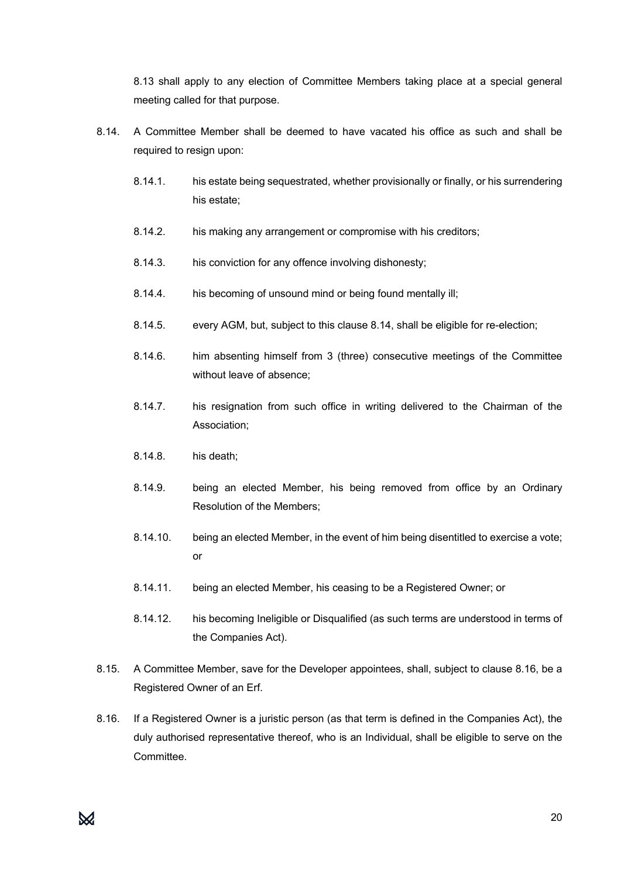8.13 shall apply to any election of Committee Members taking place at a special general meeting called for that purpose.

- 8.14. A Committee Member shall be deemed to have vacated his office as such and shall be required to resign upon:
	- 8.14.1. his estate being sequestrated, whether provisionally or finally, or his surrendering his estate;
	- 8.14.2. his making any arrangement or compromise with his creditors;
	- 8.14.3. his conviction for any offence involving dishonesty;
	- 8.14.4. his becoming of unsound mind or being found mentally ill;
	- 8.14.5. every AGM, but, subject to this clause 8.14, shall be eligible for re-election;
	- 8.14.6. him absenting himself from 3 (three) consecutive meetings of the Committee without leave of absence;
	- 8.14.7. his resignation from such office in writing delivered to the Chairman of the Association;
	- 8.14.8. his death;
	- 8.14.9. being an elected Member, his being removed from office by an Ordinary Resolution of the Members;
	- 8.14.10. being an elected Member, in the event of him being disentitled to exercise a vote; or
	- 8.14.11. being an elected Member, his ceasing to be a Registered Owner; or
	- 8.14.12. his becoming Ineligible or Disqualified (as such terms are understood in terms of the Companies Act).
- 8.15. A Committee Member, save for the Developer appointees, shall, subject to clause 8.16, be a Registered Owner of an Erf.
- 8.16. If a Registered Owner is a juristic person (as that term is defined in the Companies Act), the duly authorised representative thereof, who is an Individual, shall be eligible to serve on the Committee.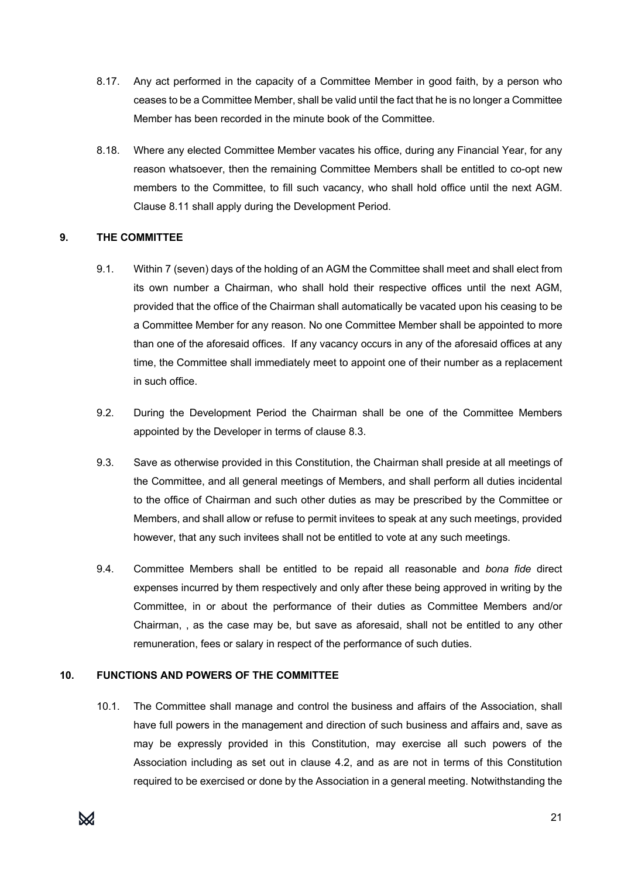- 8.17. Any act performed in the capacity of a Committee Member in good faith, by a person who ceases to be a Committee Member, shall be valid until the fact that he is no longer a Committee Member has been recorded in the minute book of the Committee.
- 8.18. Where any elected Committee Member vacates his office, during any Financial Year, for any reason whatsoever, then the remaining Committee Members shall be entitled to co-opt new members to the Committee, to fill such vacancy, who shall hold office until the next AGM. Clause 8.11 shall apply during the Development Period.

#### **9. THE COMMITTEE**

- 9.1. Within 7 (seven) days of the holding of an AGM the Committee shall meet and shall elect from its own number a Chairman, who shall hold their respective offices until the next AGM, provided that the office of the Chairman shall automatically be vacated upon his ceasing to be a Committee Member for any reason. No one Committee Member shall be appointed to more than one of the aforesaid offices. If any vacancy occurs in any of the aforesaid offices at any time, the Committee shall immediately meet to appoint one of their number as a replacement in such office.
- 9.2. During the Development Period the Chairman shall be one of the Committee Members appointed by the Developer in terms of clause 8.3.
- 9.3. Save as otherwise provided in this Constitution, the Chairman shall preside at all meetings of the Committee, and all general meetings of Members, and shall perform all duties incidental to the office of Chairman and such other duties as may be prescribed by the Committee or Members, and shall allow or refuse to permit invitees to speak at any such meetings, provided however, that any such invitees shall not be entitled to vote at any such meetings.
- 9.4. Committee Members shall be entitled to be repaid all reasonable and *bona fide* direct expenses incurred by them respectively and only after these being approved in writing by the Committee, in or about the performance of their duties as Committee Members and/or Chairman, , as the case may be, but save as aforesaid, shall not be entitled to any other remuneration, fees or salary in respect of the performance of such duties.

# **10. FUNCTIONS AND POWERS OF THE COMMITTEE**

10.1. The Committee shall manage and control the business and affairs of the Association, shall have full powers in the management and direction of such business and affairs and, save as may be expressly provided in this Constitution, may exercise all such powers of the Association including as set out in clause 4.2, and as are not in terms of this Constitution required to be exercised or done by the Association in a general meeting. Notwithstanding the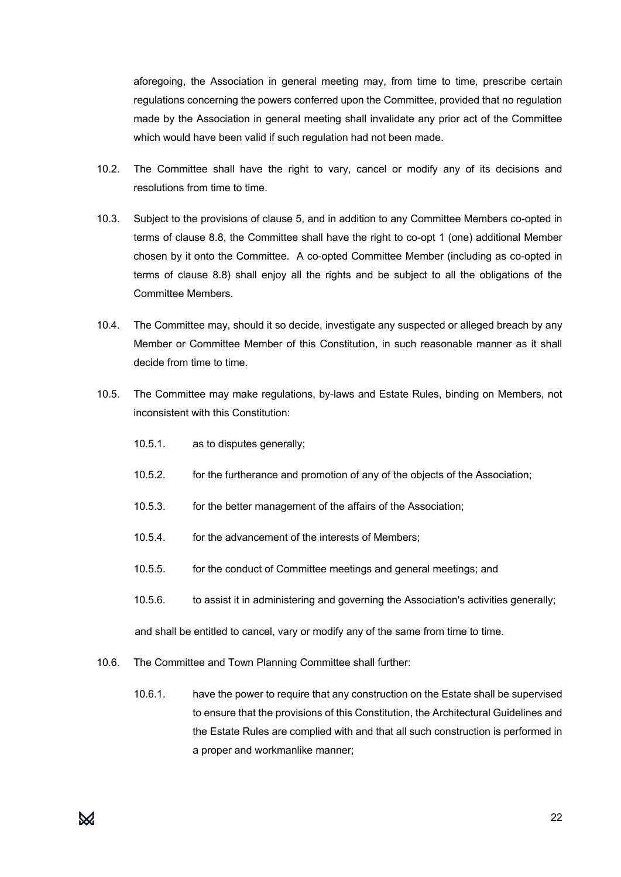aforegoing, the Association in general meeting may, from time to time, prescribe certain regulations concerning the powers conferred upon the Committee, provided that no regulation made by the Association in general meeting shall invalidate any prior act of the Committee which would have been valid if such regulation had not been made.

- 10.2. The Committee shall have the right to vary, cancel or modify any of its decisions and resolutions from time to time.
- 10.3. Subject to the provisions of clause 5, and in addition to any Committee Members co-opted in terms of clause 8.8, the Committee shall have the right to co-opt 1 (one) additional Member chosen by it onto the Committee. A co-opted Committee Member (including as co-opted in terms of clause 8.8) shall enjoy all the rights and be subject to all the obligations of the Committee Members.
- 10.4. The Committee may, should it so decide, investigate any suspected or alleged breach by any Member or Committee Member of this Constitution, in such reasonable manner as it shall decide from time to time.
- 10.5. The Committee may make regulations, by-laws and Estate Rules, binding on Members, not inconsistent with this Constitution:
	- 10.5.1. as to disputes generally;
	- 10.5.2. for the furtherance and promotion of any of the objects of the Association;
	- 10.5.3. for the better management of the affairs of the Association;
	- 10.5.4. for the advancement of the interests of Members;
	- 10.5.5. for the conduct of Committee meetings and general meetings; and
	- 10.5.6. to assist it in administering and governing the Association's activities generally;

and shall be entitled to cancel, vary or modify any of the same from time to time.

- 10.6. The Committee and Town Planning Committee shall further:
	- 10.6.1. have the power to require that any construction on the Estate shall be supervised to ensure that the provisions of this Constitution, the Architectural Guidelines and the Estate Rules are complied with and that all such construction is performed in a proper and workmanlike manner;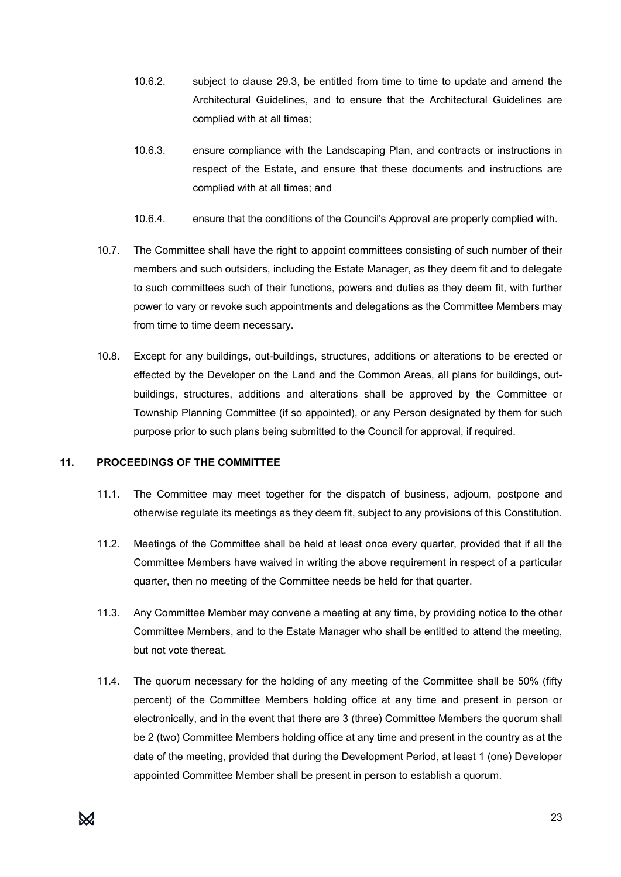- 10.6.2. subject to clause 29.3, be entitled from time to time to update and amend the Architectural Guidelines, and to ensure that the Architectural Guidelines are complied with at all times;
- 10.6.3. ensure compliance with the Landscaping Plan, and contracts or instructions in respect of the Estate, and ensure that these documents and instructions are complied with at all times; and
- 10.6.4. ensure that the conditions of the Council's Approval are properly complied with.
- 10.7. The Committee shall have the right to appoint committees consisting of such number of their members and such outsiders, including the Estate Manager, as they deem fit and to delegate to such committees such of their functions, powers and duties as they deem fit, with further power to vary or revoke such appointments and delegations as the Committee Members may from time to time deem necessary.
- 10.8. Except for any buildings, out-buildings, structures, additions or alterations to be erected or effected by the Developer on the Land and the Common Areas, all plans for buildings, outbuildings, structures, additions and alterations shall be approved by the Committee or Township Planning Committee (if so appointed), or any Person designated by them for such purpose prior to such plans being submitted to the Council for approval, if required.

#### **11. PROCEEDINGS OF THE COMMITTEE**

- 11.1. The Committee may meet together for the dispatch of business, adjourn, postpone and otherwise regulate its meetings as they deem fit, subject to any provisions of this Constitution.
- 11.2. Meetings of the Committee shall be held at least once every quarter, provided that if all the Committee Members have waived in writing the above requirement in respect of a particular quarter, then no meeting of the Committee needs be held for that quarter.
- 11.3. Any Committee Member may convene a meeting at any time, by providing notice to the other Committee Members, and to the Estate Manager who shall be entitled to attend the meeting, but not vote thereat.
- 11.4. The quorum necessary for the holding of any meeting of the Committee shall be 50% (fifty percent) of the Committee Members holding office at any time and present in person or electronically, and in the event that there are 3 (three) Committee Members the quorum shall be 2 (two) Committee Members holding office at any time and present in the country as at the date of the meeting, provided that during the Development Period, at least 1 (one) Developer appointed Committee Member shall be present in person to establish a quorum.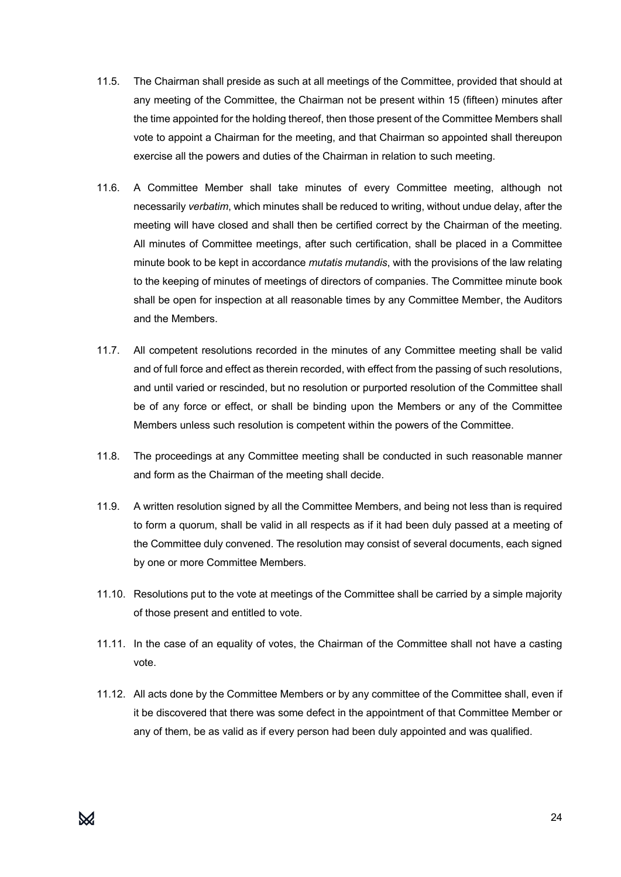- 11.5. The Chairman shall preside as such at all meetings of the Committee, provided that should at any meeting of the Committee, the Chairman not be present within 15 (fifteen) minutes after the time appointed for the holding thereof, then those present of the Committee Members shall vote to appoint a Chairman for the meeting, and that Chairman so appointed shall thereupon exercise all the powers and duties of the Chairman in relation to such meeting.
- 11.6. A Committee Member shall take minutes of every Committee meeting, although not necessarily *verbatim*, which minutes shall be reduced to writing, without undue delay, after the meeting will have closed and shall then be certified correct by the Chairman of the meeting. All minutes of Committee meetings, after such certification, shall be placed in a Committee minute book to be kept in accordance *mutatis mutandis*, with the provisions of the law relating to the keeping of minutes of meetings of directors of companies. The Committee minute book shall be open for inspection at all reasonable times by any Committee Member, the Auditors and the Members.
- 11.7. All competent resolutions recorded in the minutes of any Committee meeting shall be valid and of full force and effect as therein recorded, with effect from the passing of such resolutions, and until varied or rescinded, but no resolution or purported resolution of the Committee shall be of any force or effect, or shall be binding upon the Members or any of the Committee Members unless such resolution is competent within the powers of the Committee.
- 11.8. The proceedings at any Committee meeting shall be conducted in such reasonable manner and form as the Chairman of the meeting shall decide.
- 11.9. A written resolution signed by all the Committee Members, and being not less than is required to form a quorum, shall be valid in all respects as if it had been duly passed at a meeting of the Committee duly convened. The resolution may consist of several documents, each signed by one or more Committee Members.
- 11.10. Resolutions put to the vote at meetings of the Committee shall be carried by a simple majority of those present and entitled to vote.
- 11.11. In the case of an equality of votes, the Chairman of the Committee shall not have a casting vote.
- 11.12. All acts done by the Committee Members or by any committee of the Committee shall, even if it be discovered that there was some defect in the appointment of that Committee Member or any of them, be as valid as if every person had been duly appointed and was qualified.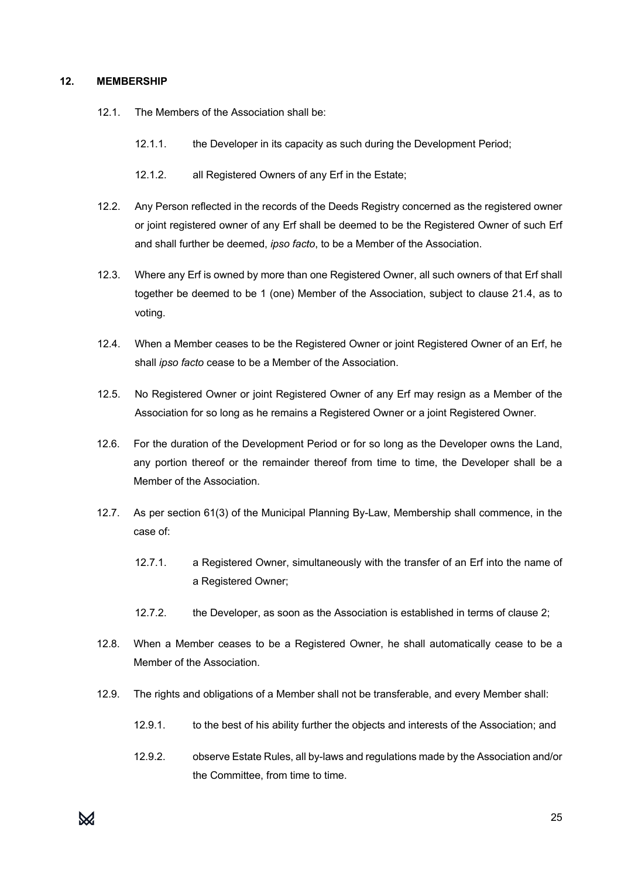#### **12. MEMBERSHIP**

- 12.1. The Members of the Association shall be:
	- 12.1.1. the Developer in its capacity as such during the Development Period;
	- 12.1.2. all Registered Owners of any Erf in the Estate;
- 12.2. Any Person reflected in the records of the Deeds Registry concerned as the registered owner or joint registered owner of any Erf shall be deemed to be the Registered Owner of such Erf and shall further be deemed, *ipso facto*, to be a Member of the Association.
- 12.3. Where any Erf is owned by more than one Registered Owner, all such owners of that Erf shall together be deemed to be 1 (one) Member of the Association, subject to clause 21.4, as to voting.
- 12.4. When a Member ceases to be the Registered Owner or joint Registered Owner of an Erf, he shall *ipso facto* cease to be a Member of the Association.
- 12.5. No Registered Owner or joint Registered Owner of any Erf may resign as a Member of the Association for so long as he remains a Registered Owner or a joint Registered Owner.
- 12.6. For the duration of the Development Period or for so long as the Developer owns the Land, any portion thereof or the remainder thereof from time to time, the Developer shall be a Member of the Association.
- 12.7. As per section 61(3) of the Municipal Planning By-Law, Membership shall commence, in the case of:
	- 12.7.1. a Registered Owner, simultaneously with the transfer of an Erf into the name of a Registered Owner;
	- 12.7.2. the Developer, as soon as the Association is established in terms of clause 2;
- 12.8. When a Member ceases to be a Registered Owner, he shall automatically cease to be a Member of the Association.
- 12.9. The rights and obligations of a Member shall not be transferable, and every Member shall:
	- 12.9.1. to the best of his ability further the objects and interests of the Association; and
	- 12.9.2. observe Estate Rules, all by-laws and regulations made by the Association and/or the Committee, from time to time.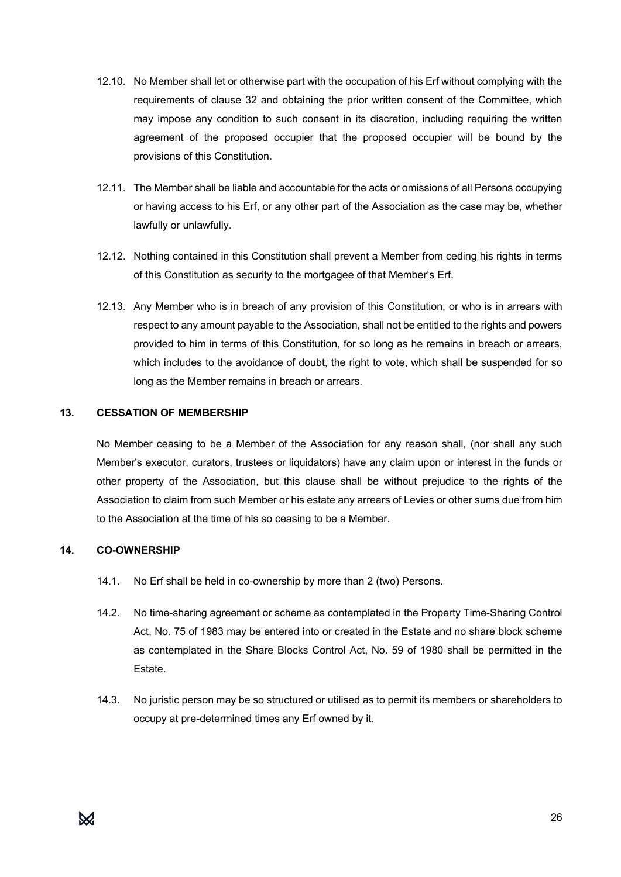- 12.10. No Member shall let or otherwise part with the occupation of his Erf without complying with the requirements of clause 32 and obtaining the prior written consent of the Committee, which may impose any condition to such consent in its discretion, including requiring the written agreement of the proposed occupier that the proposed occupier will be bound by the provisions of this Constitution.
- 12.11. The Member shall be liable and accountable for the acts or omissions of all Persons occupying or having access to his Erf, or any other part of the Association as the case may be, whether lawfully or unlawfully.
- 12.12. Nothing contained in this Constitution shall prevent a Member from ceding his rights in terms of this Constitution as security to the mortgagee of that Member's Erf.
- 12.13. Any Member who is in breach of any provision of this Constitution, or who is in arrears with respect to any amount payable to the Association, shall not be entitled to the rights and powers provided to him in terms of this Constitution, for so long as he remains in breach or arrears, which includes to the avoidance of doubt, the right to vote, which shall be suspended for so long as the Member remains in breach or arrears.

#### **13. CESSATION OF MEMBERSHIP**

No Member ceasing to be a Member of the Association for any reason shall, (nor shall any such Member's executor, curators, trustees or liquidators) have any claim upon or interest in the funds or other property of the Association, but this clause shall be without prejudice to the rights of the Association to claim from such Member or his estate any arrears of Levies or other sums due from him to the Association at the time of his so ceasing to be a Member.

# **14. CO-OWNERSHIP**

- 14.1. No Erf shall be held in co-ownership by more than 2 (two) Persons.
- 14.2. No time-sharing agreement or scheme as contemplated in the Property Time-Sharing Control Act, No. 75 of 1983 may be entered into or created in the Estate and no share block scheme as contemplated in the Share Blocks Control Act, No. 59 of 1980 shall be permitted in the Estate.
- 14.3. No juristic person may be so structured or utilised as to permit its members or shareholders to occupy at pre-determined times any Erf owned by it.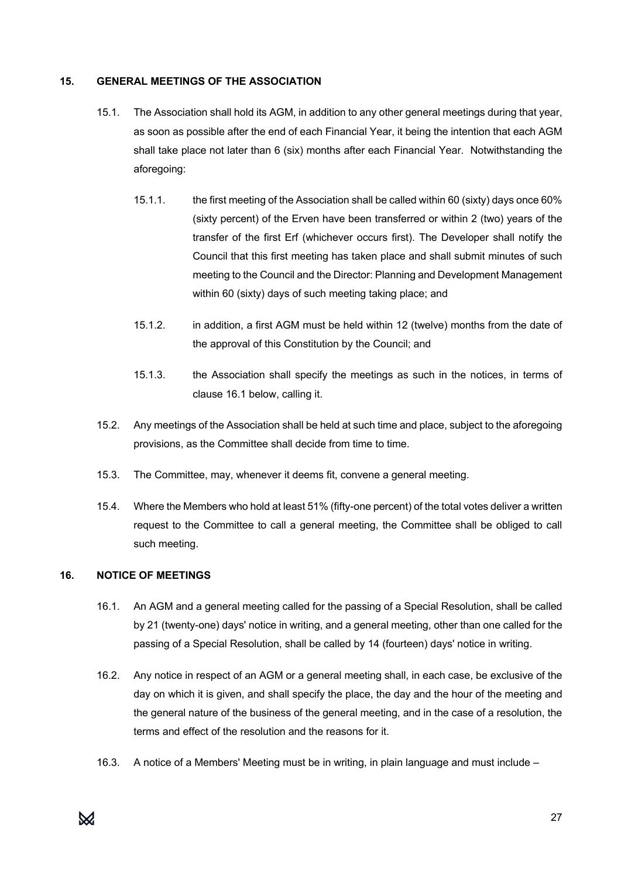#### **15. GENERAL MEETINGS OF THE ASSOCIATION**

- 15.1. The Association shall hold its AGM, in addition to any other general meetings during that year, as soon as possible after the end of each Financial Year, it being the intention that each AGM shall take place not later than 6 (six) months after each Financial Year. Notwithstanding the aforegoing:
	- 15.1.1. the first meeting of the Association shall be called within 60 (sixty) days once 60% (sixty percent) of the Erven have been transferred or within 2 (two) years of the transfer of the first Erf (whichever occurs first). The Developer shall notify the Council that this first meeting has taken place and shall submit minutes of such meeting to the Council and the Director: Planning and Development Management within 60 (sixty) days of such meeting taking place; and
	- 15.1.2. in addition, a first AGM must be held within 12 (twelve) months from the date of the approval of this Constitution by the Council; and
	- 15.1.3. the Association shall specify the meetings as such in the notices, in terms of clause 16.1 below, calling it.
- 15.2. Any meetings of the Association shall be held at such time and place, subject to the aforegoing provisions, as the Committee shall decide from time to time.
- 15.3. The Committee, may, whenever it deems fit, convene a general meeting.
- 15.4. Where the Members who hold at least 51% (fifty-one percent) of the total votes deliver a written request to the Committee to call a general meeting, the Committee shall be obliged to call such meeting.

# **16. NOTICE OF MEETINGS**

- 16.1. An AGM and a general meeting called for the passing of a Special Resolution, shall be called by 21 (twenty-one) days' notice in writing, and a general meeting, other than one called for the passing of a Special Resolution, shall be called by 14 (fourteen) days' notice in writing.
- 16.2. Any notice in respect of an AGM or a general meeting shall, in each case, be exclusive of the day on which it is given, and shall specify the place, the day and the hour of the meeting and the general nature of the business of the general meeting, and in the case of a resolution, the terms and effect of the resolution and the reasons for it.
- 16.3. A notice of a Members' Meeting must be in writing, in plain language and must include –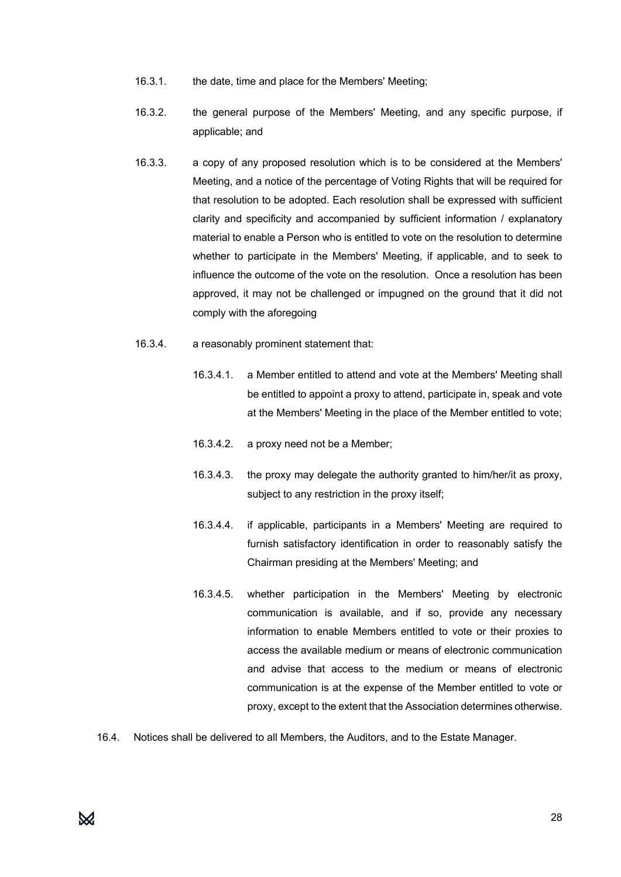- 16.3.1. the date, time and place for the Members' Meeting;
- 16.3.2. the general purpose of the Members' Meeting, and any specific purpose, if applicable; and
- 16.3.3. a copy of any proposed resolution which is to be considered at the Members' Meeting, and a notice of the percentage of Voting Rights that will be required for that resolution to be adopted. Each resolution shall be expressed with sufficient clarity and specificity and accompanied by sufficient information / explanatory material to enable a Person who is entitled to vote on the resolution to determine whether to participate in the Members' Meeting, if applicable, and to seek to influence the outcome of the vote on the resolution. Once a resolution has been approved, it may not be challenged or impugned on the ground that it did not comply with the aforegoing
- 16.3.4. a reasonably prominent statement that:
	- 16.3.4.1. a Member entitled to attend and vote at the Members' Meeting shall be entitled to appoint a proxy to attend, participate in, speak and vote at the Members' Meeting in the place of the Member entitled to vote;
	- 16.3.4.2. a proxy need not be a Member;
	- 16.3.4.3. the proxy may delegate the authority granted to him/her/it as proxy, subject to any restriction in the proxy itself;
	- 16.3.4.4. if applicable, participants in a Members' Meeting are required to furnish satisfactory identification in order to reasonably satisfy the Chairman presiding at the Members' Meeting; and
	- 16.3.4.5. whether participation in the Members' Meeting by electronic communication is available, and if so, provide any necessary information to enable Members entitled to vote or their proxies to access the available medium or means of electronic communication and advise that access to the medium or means of electronic communication is at the expense of the Member entitled to vote or proxy, except to the extent that the Association determines otherwise.
- 16.4. Notices shall be delivered to all Members, the Auditors, and to the Estate Manager.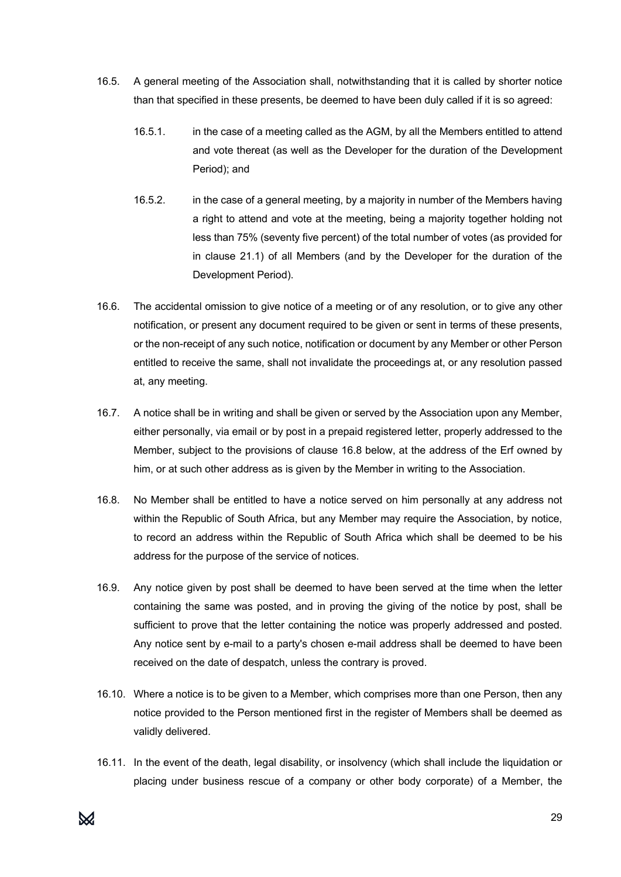- 16.5. A general meeting of the Association shall, notwithstanding that it is called by shorter notice than that specified in these presents, be deemed to have been duly called if it is so agreed:
	- 16.5.1. in the case of a meeting called as the AGM, by all the Members entitled to attend and vote thereat (as well as the Developer for the duration of the Development Period); and
	- 16.5.2. in the case of a general meeting, by a majority in number of the Members having a right to attend and vote at the meeting, being a majority together holding not less than 75% (seventy five percent) of the total number of votes (as provided for in clause 21.1) of all Members (and by the Developer for the duration of the Development Period).
- 16.6. The accidental omission to give notice of a meeting or of any resolution, or to give any other notification, or present any document required to be given or sent in terms of these presents, or the non-receipt of any such notice, notification or document by any Member or other Person entitled to receive the same, shall not invalidate the proceedings at, or any resolution passed at, any meeting.
- 16.7. A notice shall be in writing and shall be given or served by the Association upon any Member, either personally, via email or by post in a prepaid registered letter, properly addressed to the Member, subject to the provisions of clause 16.8 below, at the address of the Erf owned by him, or at such other address as is given by the Member in writing to the Association.
- 16.8. No Member shall be entitled to have a notice served on him personally at any address not within the Republic of South Africa, but any Member may require the Association, by notice, to record an address within the Republic of South Africa which shall be deemed to be his address for the purpose of the service of notices.
- 16.9. Any notice given by post shall be deemed to have been served at the time when the letter containing the same was posted, and in proving the giving of the notice by post, shall be sufficient to prove that the letter containing the notice was properly addressed and posted. Any notice sent by e-mail to a party's chosen e-mail address shall be deemed to have been received on the date of despatch, unless the contrary is proved.
- 16.10. Where a notice is to be given to a Member, which comprises more than one Person, then any notice provided to the Person mentioned first in the register of Members shall be deemed as validly delivered.
- 16.11. In the event of the death, legal disability, or insolvency (which shall include the liquidation or placing under business rescue of a company or other body corporate) of a Member, the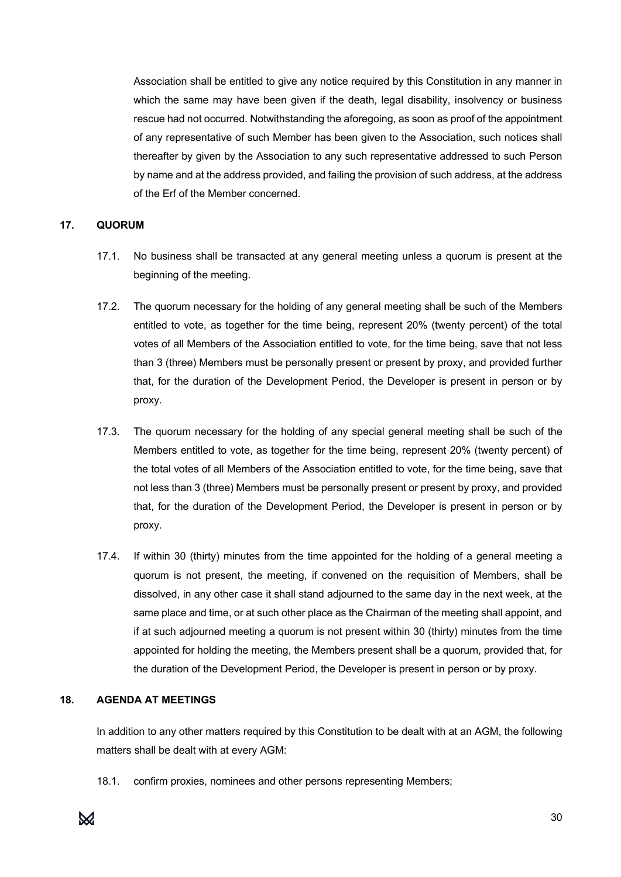Association shall be entitled to give any notice required by this Constitution in any manner in which the same may have been given if the death, legal disability, insolvency or business rescue had not occurred. Notwithstanding the aforegoing, as soon as proof of the appointment of any representative of such Member has been given to the Association, such notices shall thereafter by given by the Association to any such representative addressed to such Person by name and at the address provided, and failing the provision of such address, at the address of the Erf of the Member concerned.

#### **17. QUORUM**

- 17.1. No business shall be transacted at any general meeting unless a quorum is present at the beginning of the meeting.
- 17.2. The quorum necessary for the holding of any general meeting shall be such of the Members entitled to vote, as together for the time being, represent 20% (twenty percent) of the total votes of all Members of the Association entitled to vote, for the time being, save that not less than 3 (three) Members must be personally present or present by proxy, and provided further that, for the duration of the Development Period, the Developer is present in person or by proxy.
- 17.3. The quorum necessary for the holding of any special general meeting shall be such of the Members entitled to vote, as together for the time being, represent 20% (twenty percent) of the total votes of all Members of the Association entitled to vote, for the time being, save that not less than 3 (three) Members must be personally present or present by proxy, and provided that, for the duration of the Development Period, the Developer is present in person or by proxy.
- 17.4. If within 30 (thirty) minutes from the time appointed for the holding of a general meeting a quorum is not present, the meeting, if convened on the requisition of Members, shall be dissolved, in any other case it shall stand adjourned to the same day in the next week, at the same place and time, or at such other place as the Chairman of the meeting shall appoint, and if at such adjourned meeting a quorum is not present within 30 (thirty) minutes from the time appointed for holding the meeting, the Members present shall be a quorum, provided that, for the duration of the Development Period, the Developer is present in person or by proxy.

# **18. AGENDA AT MEETINGS**

In addition to any other matters required by this Constitution to be dealt with at an AGM, the following matters shall be dealt with at every AGM:

18.1. confirm proxies, nominees and other persons representing Members;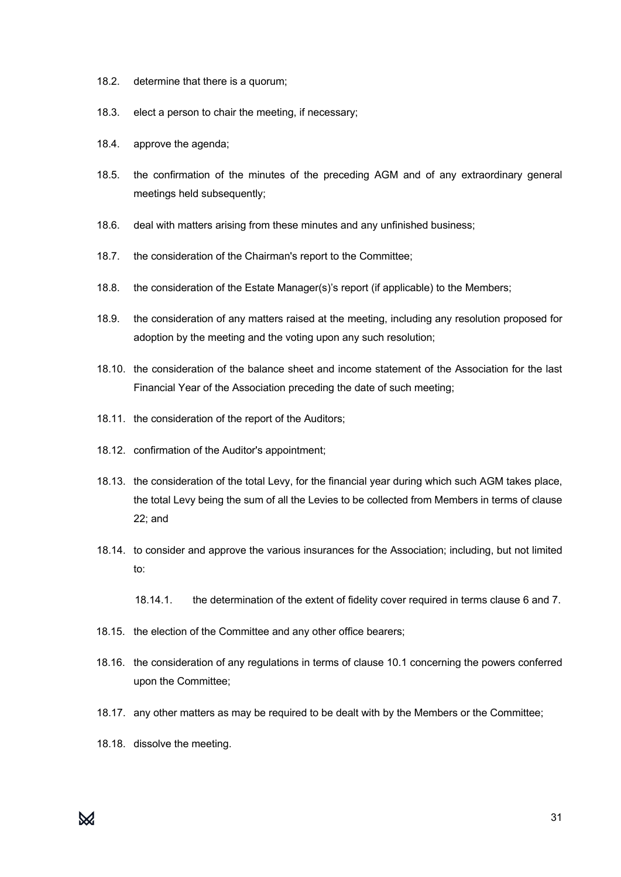- 18.2. determine that there is a quorum;
- 18.3. elect a person to chair the meeting, if necessary;
- 18.4. approve the agenda;
- 18.5. the confirmation of the minutes of the preceding AGM and of any extraordinary general meetings held subsequently;
- 18.6. deal with matters arising from these minutes and any unfinished business;
- 18.7. the consideration of the Chairman's report to the Committee;
- 18.8. the consideration of the Estate Manager(s)'s report (if applicable) to the Members;
- 18.9. the consideration of any matters raised at the meeting, including any resolution proposed for adoption by the meeting and the voting upon any such resolution;
- 18.10. the consideration of the balance sheet and income statement of the Association for the last Financial Year of the Association preceding the date of such meeting;
- 18.11. the consideration of the report of the Auditors;
- 18.12. confirmation of the Auditor's appointment;
- 18.13. the consideration of the total Levy, for the financial year during which such AGM takes place, the total Levy being the sum of all the Levies to be collected from Members in terms of clause 22; and
- 18.14. to consider and approve the various insurances for the Association; including, but not limited to:
	- 18.14.1. the determination of the extent of fidelity cover required in terms clause 6 and 7.
- 18.15. the election of the Committee and any other office bearers;
- 18.16. the consideration of any regulations in terms of clause 10.1 concerning the powers conferred upon the Committee;
- 18.17. any other matters as may be required to be dealt with by the Members or the Committee;
- 18.18. dissolve the meeting.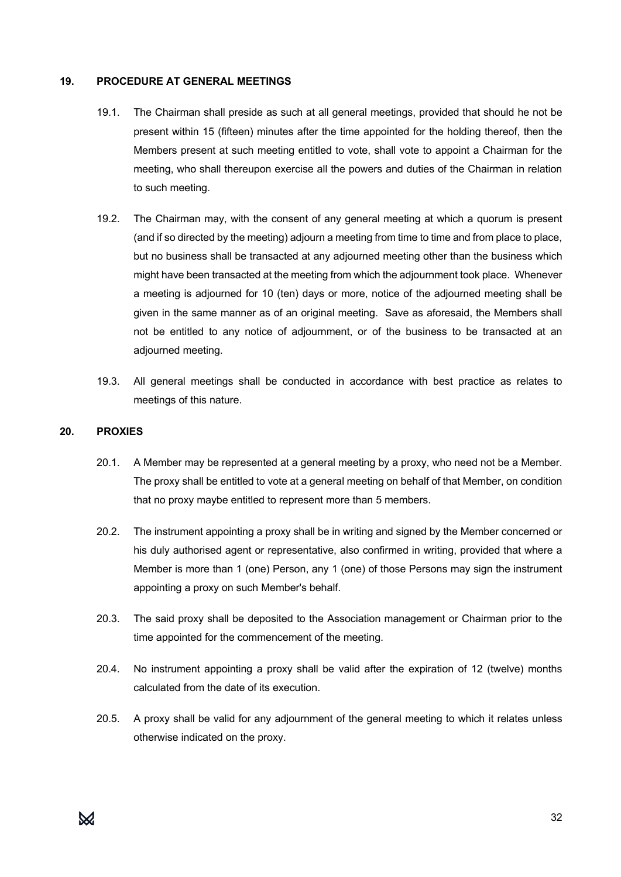#### **19. PROCEDURE AT GENERAL MEETINGS**

- 19.1. The Chairman shall preside as such at all general meetings, provided that should he not be present within 15 (fifteen) minutes after the time appointed for the holding thereof, then the Members present at such meeting entitled to vote, shall vote to appoint a Chairman for the meeting, who shall thereupon exercise all the powers and duties of the Chairman in relation to such meeting.
- 19.2. The Chairman may, with the consent of any general meeting at which a quorum is present (and if so directed by the meeting) adjourn a meeting from time to time and from place to place, but no business shall be transacted at any adjourned meeting other than the business which might have been transacted at the meeting from which the adjournment took place. Whenever a meeting is adjourned for 10 (ten) days or more, notice of the adjourned meeting shall be given in the same manner as of an original meeting. Save as aforesaid, the Members shall not be entitled to any notice of adjournment, or of the business to be transacted at an adjourned meeting.
- 19.3. All general meetings shall be conducted in accordance with best practice as relates to meetings of this nature.

#### **20. PROXIES**

- 20.1. A Member may be represented at a general meeting by a proxy, who need not be a Member. The proxy shall be entitled to vote at a general meeting on behalf of that Member, on condition that no proxy maybe entitled to represent more than 5 members.
- 20.2. The instrument appointing a proxy shall be in writing and signed by the Member concerned or his duly authorised agent or representative, also confirmed in writing, provided that where a Member is more than 1 (one) Person, any 1 (one) of those Persons may sign the instrument appointing a proxy on such Member's behalf.
- 20.3. The said proxy shall be deposited to the Association management or Chairman prior to the time appointed for the commencement of the meeting.
- 20.4. No instrument appointing a proxy shall be valid after the expiration of 12 (twelve) months calculated from the date of its execution.
- 20.5. A proxy shall be valid for any adjournment of the general meeting to which it relates unless otherwise indicated on the proxy.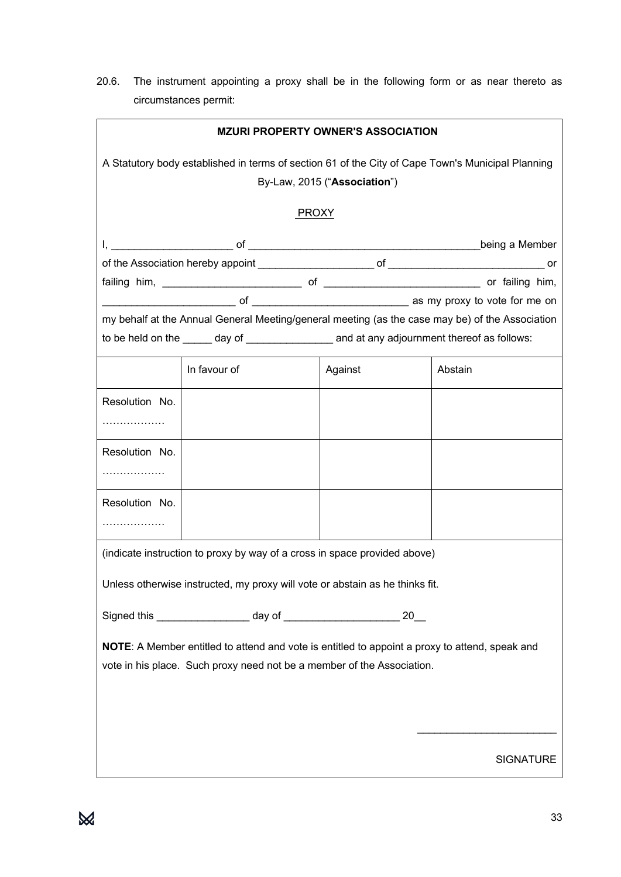20.6. The instrument appointing a proxy shall be in the following form or as near thereto as circumstances permit:

| <b>MZURI PROPERTY OWNER'S ASSOCIATION</b>                                                                                                                                |                                                                                                 |         |                  |  |  |  |  |  |
|--------------------------------------------------------------------------------------------------------------------------------------------------------------------------|-------------------------------------------------------------------------------------------------|---------|------------------|--|--|--|--|--|
| A Statutory body established in terms of section 61 of the City of Cape Town's Municipal Planning<br>By-Law, 2015 ("Association")                                        |                                                                                                 |         |                  |  |  |  |  |  |
| <b>PROXY</b>                                                                                                                                                             |                                                                                                 |         |                  |  |  |  |  |  |
|                                                                                                                                                                          |                                                                                                 |         | being a Member   |  |  |  |  |  |
|                                                                                                                                                                          |                                                                                                 |         |                  |  |  |  |  |  |
|                                                                                                                                                                          |                                                                                                 |         |                  |  |  |  |  |  |
|                                                                                                                                                                          |                                                                                                 |         |                  |  |  |  |  |  |
|                                                                                                                                                                          | my behalf at the Annual General Meeting/general meeting (as the case may be) of the Association |         |                  |  |  |  |  |  |
|                                                                                                                                                                          |                                                                                                 |         |                  |  |  |  |  |  |
|                                                                                                                                                                          | In favour of                                                                                    | Against | Abstain          |  |  |  |  |  |
| Resolution No.                                                                                                                                                           |                                                                                                 |         |                  |  |  |  |  |  |
|                                                                                                                                                                          |                                                                                                 |         |                  |  |  |  |  |  |
| Resolution No.                                                                                                                                                           |                                                                                                 |         |                  |  |  |  |  |  |
|                                                                                                                                                                          |                                                                                                 |         |                  |  |  |  |  |  |
| Resolution No.                                                                                                                                                           |                                                                                                 |         |                  |  |  |  |  |  |
|                                                                                                                                                                          |                                                                                                 |         |                  |  |  |  |  |  |
|                                                                                                                                                                          | (indicate instruction to proxy by way of a cross in space provided above)                       |         |                  |  |  |  |  |  |
|                                                                                                                                                                          | Unless otherwise instructed, my proxy will vote or abstain as he thinks fit.                    |         |                  |  |  |  |  |  |
|                                                                                                                                                                          |                                                                                                 |         |                  |  |  |  |  |  |
| NOTE: A Member entitled to attend and vote is entitled to appoint a proxy to attend, speak and<br>vote in his place. Such proxy need not be a member of the Association. |                                                                                                 |         |                  |  |  |  |  |  |
|                                                                                                                                                                          |                                                                                                 |         |                  |  |  |  |  |  |
|                                                                                                                                                                          |                                                                                                 |         | <b>SIGNATURE</b> |  |  |  |  |  |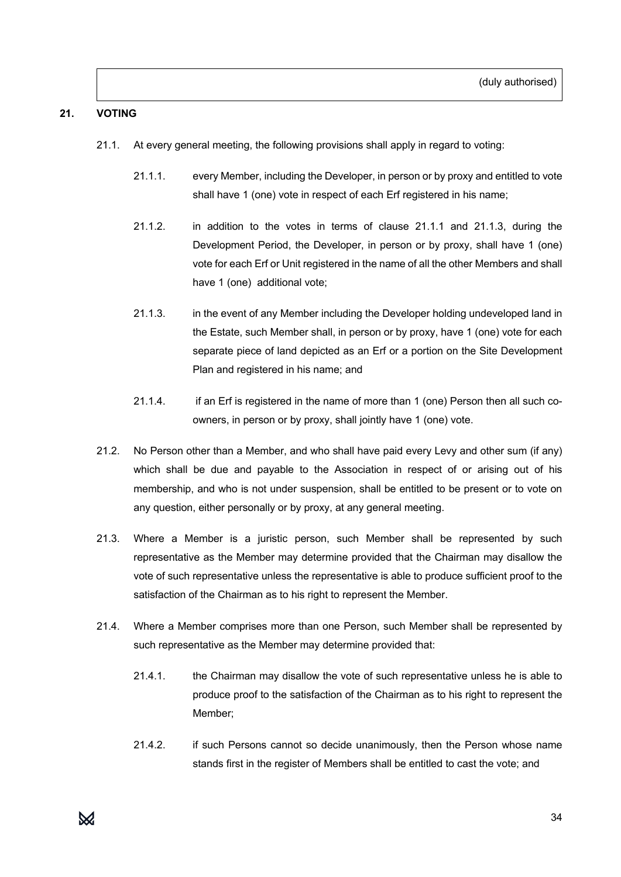# **21. VOTING**

- 21.1. At every general meeting, the following provisions shall apply in regard to voting:
	- 21.1.1. every Member, including the Developer, in person or by proxy and entitled to vote shall have 1 (one) vote in respect of each Erf registered in his name;
	- 21.1.2. in addition to the votes in terms of clause 21.1.1 and 21.1.3, during the Development Period, the Developer, in person or by proxy, shall have 1 (one) vote for each Erf or Unit registered in the name of all the other Members and shall have 1 (one) additional vote;
	- 21.1.3. in the event of any Member including the Developer holding undeveloped land in the Estate, such Member shall, in person or by proxy, have 1 (one) vote for each separate piece of land depicted as an Erf or a portion on the Site Development Plan and registered in his name; and
	- 21.1.4. if an Erf is registered in the name of more than 1 (one) Person then all such coowners, in person or by proxy, shall jointly have 1 (one) vote.
- 21.2. No Person other than a Member, and who shall have paid every Levy and other sum (if any) which shall be due and payable to the Association in respect of or arising out of his membership, and who is not under suspension, shall be entitled to be present or to vote on any question, either personally or by proxy, at any general meeting.
- 21.3. Where a Member is a juristic person, such Member shall be represented by such representative as the Member may determine provided that the Chairman may disallow the vote of such representative unless the representative is able to produce sufficient proof to the satisfaction of the Chairman as to his right to represent the Member.
- 21.4. Where a Member comprises more than one Person, such Member shall be represented by such representative as the Member may determine provided that:
	- 21.4.1. the Chairman may disallow the vote of such representative unless he is able to produce proof to the satisfaction of the Chairman as to his right to represent the Member;
	- 21.4.2. if such Persons cannot so decide unanimously, then the Person whose name stands first in the register of Members shall be entitled to cast the vote; and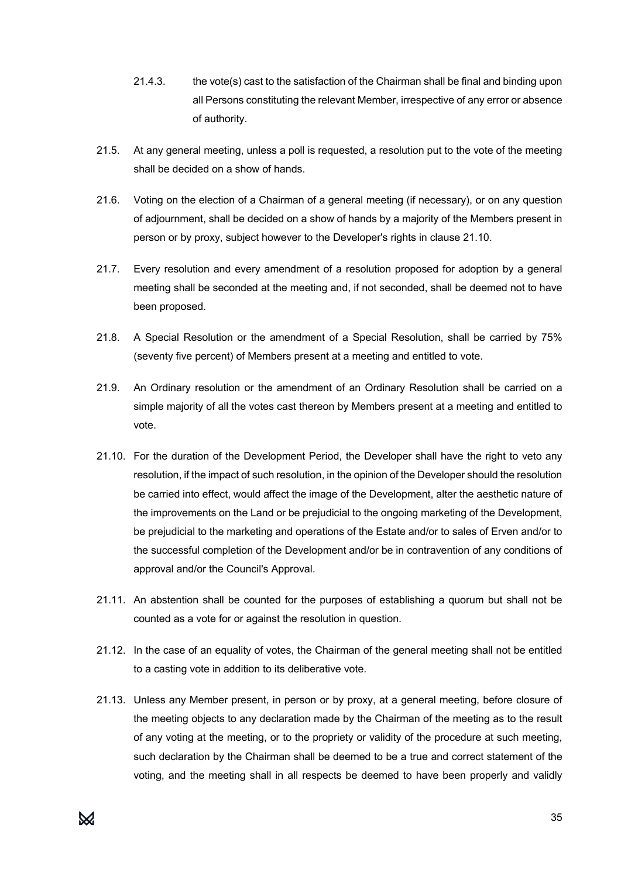- 21.4.3. the vote(s) cast to the satisfaction of the Chairman shall be final and binding upon all Persons constituting the relevant Member, irrespective of any error or absence of authority.
- 21.5. At any general meeting, unless a poll is requested, a resolution put to the vote of the meeting shall be decided on a show of hands.
- 21.6. Voting on the election of a Chairman of a general meeting (if necessary), or on any question of adjournment, shall be decided on a show of hands by a majority of the Members present in person or by proxy, subject however to the Developer's rights in clause 21.10.
- 21.7. Every resolution and every amendment of a resolution proposed for adoption by a general meeting shall be seconded at the meeting and, if not seconded, shall be deemed not to have been proposed.
- 21.8. A Special Resolution or the amendment of a Special Resolution, shall be carried by 75% (seventy five percent) of Members present at a meeting and entitled to vote.
- 21.9. An Ordinary resolution or the amendment of an Ordinary Resolution shall be carried on a simple majority of all the votes cast thereon by Members present at a meeting and entitled to vote.
- 21.10. For the duration of the Development Period, the Developer shall have the right to veto any resolution, if the impact of such resolution, in the opinion of the Developer should the resolution be carried into effect, would affect the image of the Development, alter the aesthetic nature of the improvements on the Land or be prejudicial to the ongoing marketing of the Development, be prejudicial to the marketing and operations of the Estate and/or to sales of Erven and/or to the successful completion of the Development and/or be in contravention of any conditions of approval and/or the Council's Approval.
- 21.11. An abstention shall be counted for the purposes of establishing a quorum but shall not be counted as a vote for or against the resolution in question.
- 21.12. In the case of an equality of votes, the Chairman of the general meeting shall not be entitled to a casting vote in addition to its deliberative vote.
- 21.13. Unless any Member present, in person or by proxy, at a general meeting, before closure of the meeting objects to any declaration made by the Chairman of the meeting as to the result of any voting at the meeting, or to the propriety or validity of the procedure at such meeting, such declaration by the Chairman shall be deemed to be a true and correct statement of the voting, and the meeting shall in all respects be deemed to have been properly and validly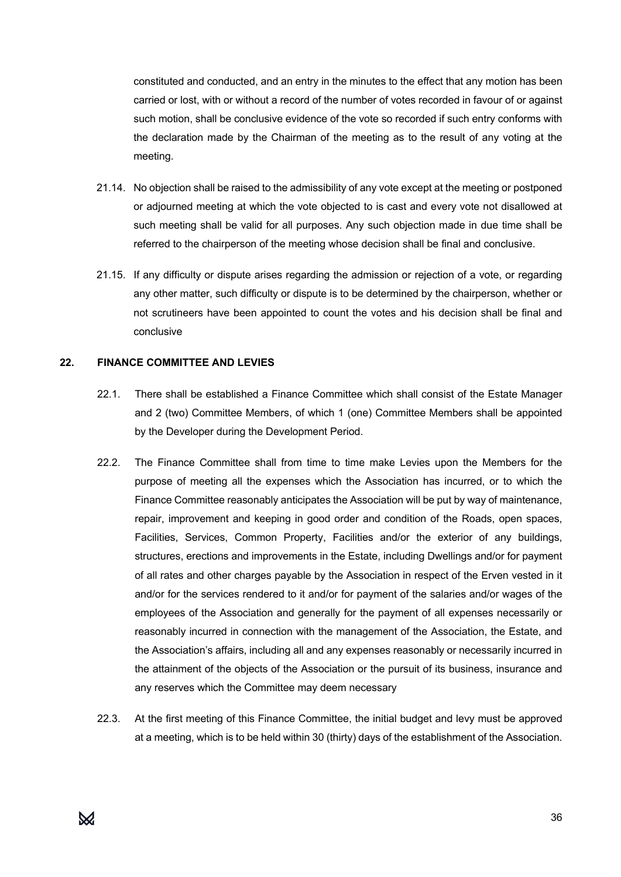constituted and conducted, and an entry in the minutes to the effect that any motion has been carried or lost, with or without a record of the number of votes recorded in favour of or against such motion, shall be conclusive evidence of the vote so recorded if such entry conforms with the declaration made by the Chairman of the meeting as to the result of any voting at the meeting.

- 21.14. No objection shall be raised to the admissibility of any vote except at the meeting or postponed or adjourned meeting at which the vote objected to is cast and every vote not disallowed at such meeting shall be valid for all purposes. Any such objection made in due time shall be referred to the chairperson of the meeting whose decision shall be final and conclusive.
- 21.15. If any difficulty or dispute arises regarding the admission or rejection of a vote, or regarding any other matter, such difficulty or dispute is to be determined by the chairperson, whether or not scrutineers have been appointed to count the votes and his decision shall be final and conclusive

#### **22. FINANCE COMMITTEE AND LEVIES**

- 22.1. There shall be established a Finance Committee which shall consist of the Estate Manager and 2 (two) Committee Members, of which 1 (one) Committee Members shall be appointed by the Developer during the Development Period.
- 22.2. The Finance Committee shall from time to time make Levies upon the Members for the purpose of meeting all the expenses which the Association has incurred, or to which the Finance Committee reasonably anticipates the Association will be put by way of maintenance, repair, improvement and keeping in good order and condition of the Roads, open spaces, Facilities, Services, Common Property, Facilities and/or the exterior of any buildings, structures, erections and improvements in the Estate, including Dwellings and/or for payment of all rates and other charges payable by the Association in respect of the Erven vested in it and/or for the services rendered to it and/or for payment of the salaries and/or wages of the employees of the Association and generally for the payment of all expenses necessarily or reasonably incurred in connection with the management of the Association, the Estate, and the Association's affairs, including all and any expenses reasonably or necessarily incurred in the attainment of the objects of the Association or the pursuit of its business, insurance and any reserves which the Committee may deem necessary
- 22.3. At the first meeting of this Finance Committee, the initial budget and levy must be approved at a meeting, which is to be held within 30 (thirty) days of the establishment of the Association.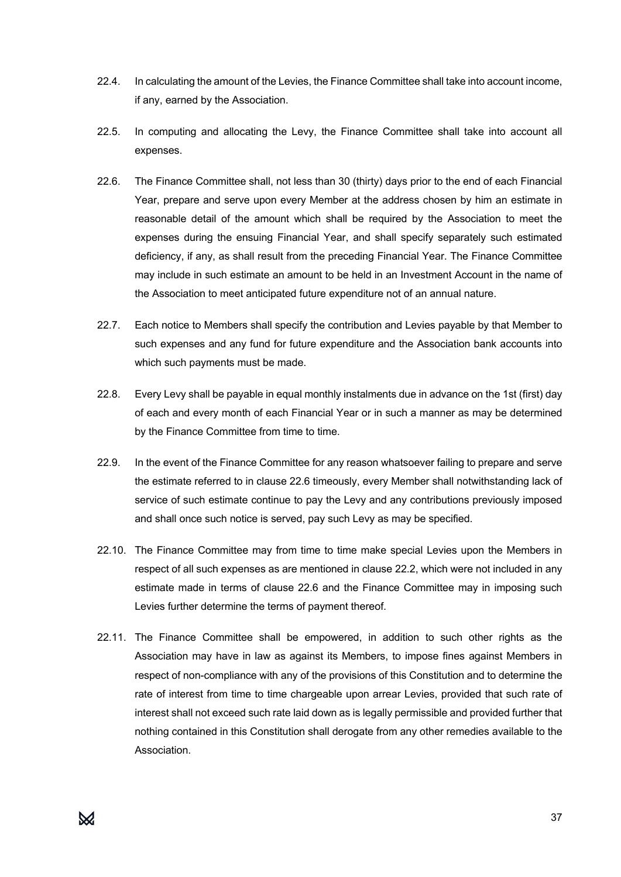- 22.4. In calculating the amount of the Levies, the Finance Committee shall take into account income, if any, earned by the Association.
- 22.5. In computing and allocating the Levy, the Finance Committee shall take into account all expenses.
- 22.6. The Finance Committee shall, not less than 30 (thirty) days prior to the end of each Financial Year, prepare and serve upon every Member at the address chosen by him an estimate in reasonable detail of the amount which shall be required by the Association to meet the expenses during the ensuing Financial Year, and shall specify separately such estimated deficiency, if any, as shall result from the preceding Financial Year. The Finance Committee may include in such estimate an amount to be held in an Investment Account in the name of the Association to meet anticipated future expenditure not of an annual nature.
- 22.7. Each notice to Members shall specify the contribution and Levies payable by that Member to such expenses and any fund for future expenditure and the Association bank accounts into which such payments must be made.
- 22.8. Every Levy shall be payable in equal monthly instalments due in advance on the 1st (first) day of each and every month of each Financial Year or in such a manner as may be determined by the Finance Committee from time to time.
- 22.9. In the event of the Finance Committee for any reason whatsoever failing to prepare and serve the estimate referred to in clause 22.6 timeously, every Member shall notwithstanding lack of service of such estimate continue to pay the Levy and any contributions previously imposed and shall once such notice is served, pay such Levy as may be specified.
- 22.10. The Finance Committee may from time to time make special Levies upon the Members in respect of all such expenses as are mentioned in clause 22.2, which were not included in any estimate made in terms of clause 22.6 and the Finance Committee may in imposing such Levies further determine the terms of payment thereof.
- 22.11. The Finance Committee shall be empowered, in addition to such other rights as the Association may have in law as against its Members, to impose fines against Members in respect of non-compliance with any of the provisions of this Constitution and to determine the rate of interest from time to time chargeable upon arrear Levies, provided that such rate of interest shall not exceed such rate laid down as is legally permissible and provided further that nothing contained in this Constitution shall derogate from any other remedies available to the Association.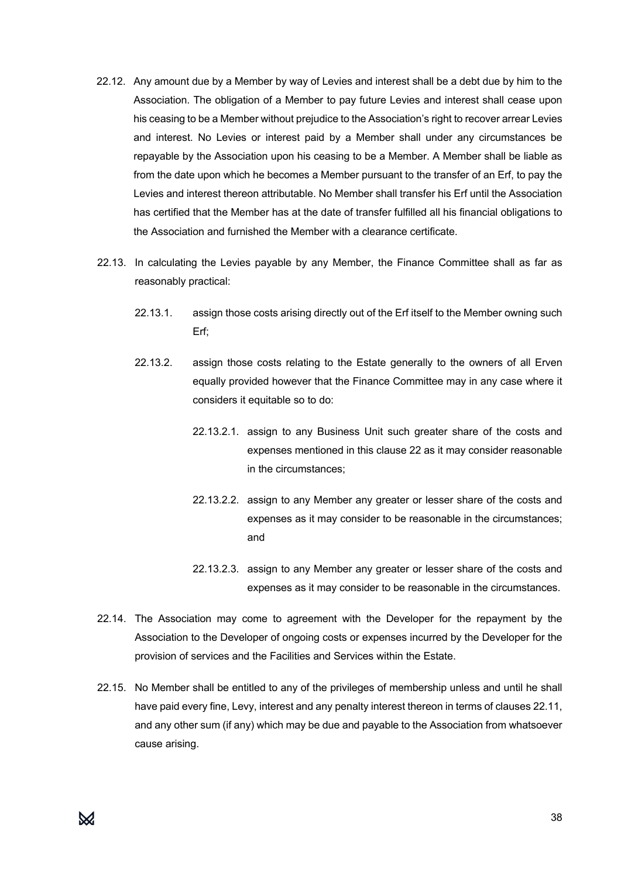- 22.12. Any amount due by a Member by way of Levies and interest shall be a debt due by him to the Association. The obligation of a Member to pay future Levies and interest shall cease upon his ceasing to be a Member without prejudice to the Association's right to recover arrear Levies and interest. No Levies or interest paid by a Member shall under any circumstances be repayable by the Association upon his ceasing to be a Member. A Member shall be liable as from the date upon which he becomes a Member pursuant to the transfer of an Erf, to pay the Levies and interest thereon attributable. No Member shall transfer his Erf until the Association has certified that the Member has at the date of transfer fulfilled all his financial obligations to the Association and furnished the Member with a clearance certificate.
- 22.13. In calculating the Levies payable by any Member, the Finance Committee shall as far as reasonably practical:
	- 22.13.1. assign those costs arising directly out of the Erf itself to the Member owning such Erf;
	- 22.13.2. assign those costs relating to the Estate generally to the owners of all Erven equally provided however that the Finance Committee may in any case where it considers it equitable so to do:
		- 22.13.2.1. assign to any Business Unit such greater share of the costs and expenses mentioned in this clause 22 as it may consider reasonable in the circumstances;
		- 22.13.2.2. assign to any Member any greater or lesser share of the costs and expenses as it may consider to be reasonable in the circumstances; and
		- 22.13.2.3. assign to any Member any greater or lesser share of the costs and expenses as it may consider to be reasonable in the circumstances.
- 22.14. The Association may come to agreement with the Developer for the repayment by the Association to the Developer of ongoing costs or expenses incurred by the Developer for the provision of services and the Facilities and Services within the Estate.
- 22.15. No Member shall be entitled to any of the privileges of membership unless and until he shall have paid every fine, Levy, interest and any penalty interest thereon in terms of clauses 22.11, and any other sum (if any) which may be due and payable to the Association from whatsoever cause arising.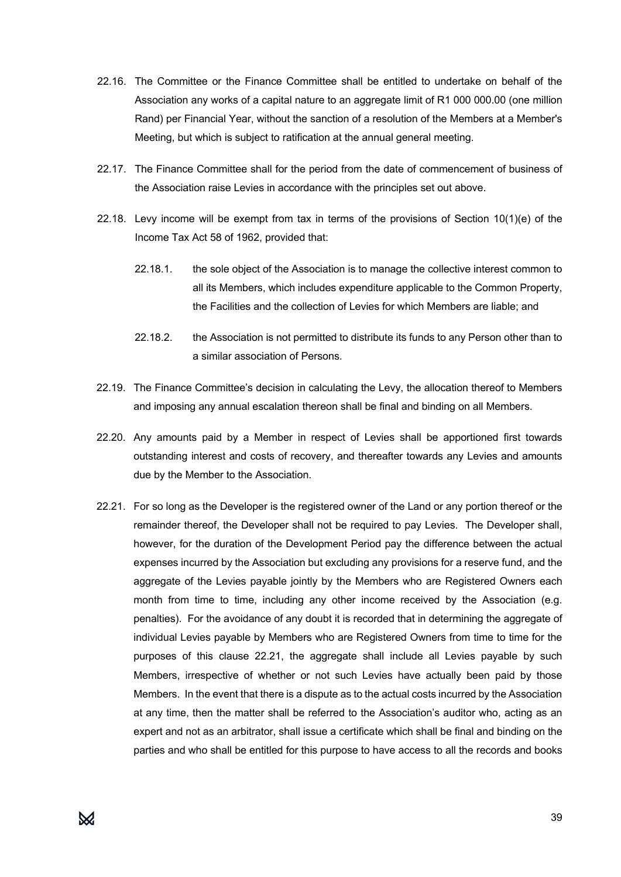- 22.16. The Committee or the Finance Committee shall be entitled to undertake on behalf of the Association any works of a capital nature to an aggregate limit of R1 000 000.00 (one million Rand) per Financial Year, without the sanction of a resolution of the Members at a Member's Meeting, but which is subject to ratification at the annual general meeting.
- 22.17. The Finance Committee shall for the period from the date of commencement of business of the Association raise Levies in accordance with the principles set out above.
- 22.18. Levy income will be exempt from tax in terms of the provisions of Section 10(1)(e) of the Income Tax Act 58 of 1962, provided that:
	- 22.18.1. the sole object of the Association is to manage the collective interest common to all its Members, which includes expenditure applicable to the Common Property, the Facilities and the collection of Levies for which Members are liable; and
	- 22.18.2. the Association is not permitted to distribute its funds to any Person other than to a similar association of Persons.
- 22.19. The Finance Committee's decision in calculating the Levy, the allocation thereof to Members and imposing any annual escalation thereon shall be final and binding on all Members.
- 22.20. Any amounts paid by a Member in respect of Levies shall be apportioned first towards outstanding interest and costs of recovery, and thereafter towards any Levies and amounts due by the Member to the Association.
- 22.21. For so long as the Developer is the registered owner of the Land or any portion thereof or the remainder thereof, the Developer shall not be required to pay Levies. The Developer shall, however, for the duration of the Development Period pay the difference between the actual expenses incurred by the Association but excluding any provisions for a reserve fund, and the aggregate of the Levies payable jointly by the Members who are Registered Owners each month from time to time, including any other income received by the Association (e.g. penalties). For the avoidance of any doubt it is recorded that in determining the aggregate of individual Levies payable by Members who are Registered Owners from time to time for the purposes of this clause 22.21, the aggregate shall include all Levies payable by such Members, irrespective of whether or not such Levies have actually been paid by those Members. In the event that there is a dispute as to the actual costs incurred by the Association at any time, then the matter shall be referred to the Association's auditor who, acting as an expert and not as an arbitrator, shall issue a certificate which shall be final and binding on the parties and who shall be entitled for this purpose to have access to all the records and books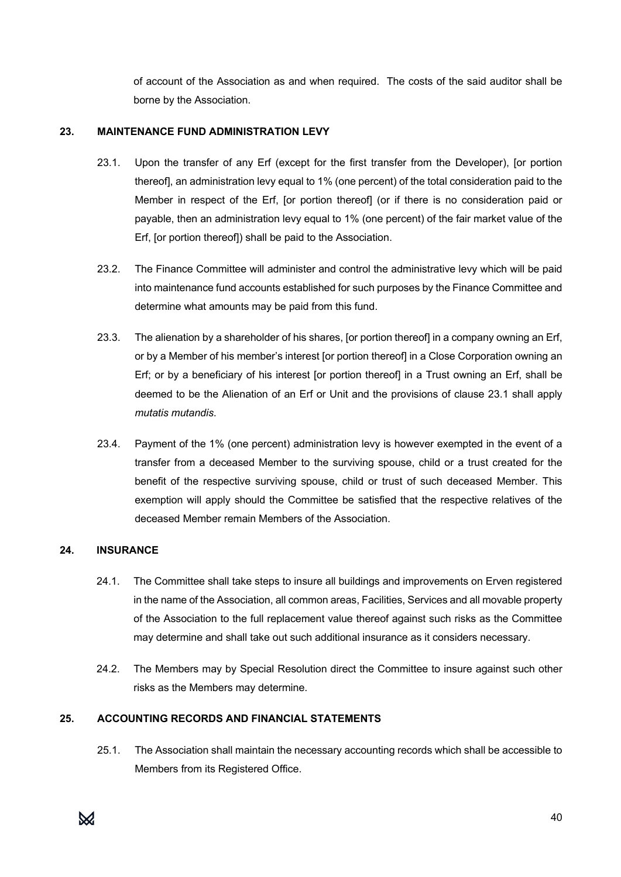of account of the Association as and when required. The costs of the said auditor shall be borne by the Association.

#### **23. MAINTENANCE FUND ADMINISTRATION LEVY**

- 23.1. Upon the transfer of any Erf (except for the first transfer from the Developer), [or portion thereof], an administration levy equal to 1% (one percent) of the total consideration paid to the Member in respect of the Erf, [or portion thereof] (or if there is no consideration paid or payable, then an administration levy equal to 1% (one percent) of the fair market value of the Erf, [or portion thereof]) shall be paid to the Association.
- 23.2. The Finance Committee will administer and control the administrative levy which will be paid into maintenance fund accounts established for such purposes by the Finance Committee and determine what amounts may be paid from this fund.
- 23.3. The alienation by a shareholder of his shares, [or portion thereof] in a company owning an Erf, or by a Member of his member's interest [or portion thereof] in a Close Corporation owning an Erf; or by a beneficiary of his interest [or portion thereof] in a Trust owning an Erf, shall be deemed to be the Alienation of an Erf or Unit and the provisions of clause 23.1 shall apply *mutatis mutandis*.
- 23.4. Payment of the 1% (one percent) administration levy is however exempted in the event of a transfer from a deceased Member to the surviving spouse, child or a trust created for the benefit of the respective surviving spouse, child or trust of such deceased Member. This exemption will apply should the Committee be satisfied that the respective relatives of the deceased Member remain Members of the Association.

# **24. INSURANCE**

- 24.1. The Committee shall take steps to insure all buildings and improvements on Erven registered in the name of the Association, all common areas, Facilities, Services and all movable property of the Association to the full replacement value thereof against such risks as the Committee may determine and shall take out such additional insurance as it considers necessary.
- 24.2. The Members may by Special Resolution direct the Committee to insure against such other risks as the Members may determine.

# **25. ACCOUNTING RECORDS AND FINANCIAL STATEMENTS**

25.1. The Association shall maintain the necessary accounting records which shall be accessible to Members from its Registered Office.

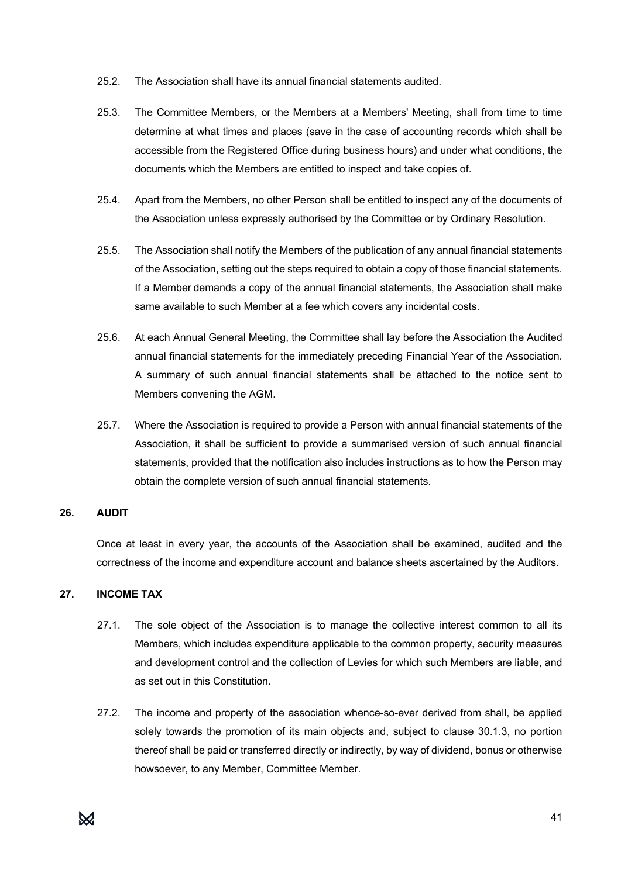- 25.2. The Association shall have its annual financial statements audited.
- 25.3. The Committee Members, or the Members at a Members' Meeting, shall from time to time determine at what times and places (save in the case of accounting records which shall be accessible from the Registered Office during business hours) and under what conditions, the documents which the Members are entitled to inspect and take copies of.
- 25.4. Apart from the Members, no other Person shall be entitled to inspect any of the documents of the Association unless expressly authorised by the Committee or by Ordinary Resolution.
- 25.5. The Association shall notify the Members of the publication of any annual financial statements of the Association, setting out the steps required to obtain a copy of those financial statements. If a Member demands a copy of the annual financial statements, the Association shall make same available to such Member at a fee which covers any incidental costs.
- 25.6. At each Annual General Meeting, the Committee shall lay before the Association the Audited annual financial statements for the immediately preceding Financial Year of the Association. A summary of such annual financial statements shall be attached to the notice sent to Members convening the AGM.
- 25.7. Where the Association is required to provide a Person with annual financial statements of the Association, it shall be sufficient to provide a summarised version of such annual financial statements, provided that the notification also includes instructions as to how the Person may obtain the complete version of such annual financial statements.

#### **26. AUDIT**

Once at least in every year, the accounts of the Association shall be examined, audited and the correctness of the income and expenditure account and balance sheets ascertained by the Auditors.

#### **27. INCOME TAX**

- 27.1. The sole object of the Association is to manage the collective interest common to all its Members, which includes expenditure applicable to the common property, security measures and development control and the collection of Levies for which such Members are liable, and as set out in this Constitution.
- 27.2. The income and property of the association whence-so-ever derived from shall, be applied solely towards the promotion of its main objects and, subject to clause 30.1.3, no portion thereof shall be paid or transferred directly or indirectly, by way of dividend, bonus or otherwise howsoever, to any Member, Committee Member.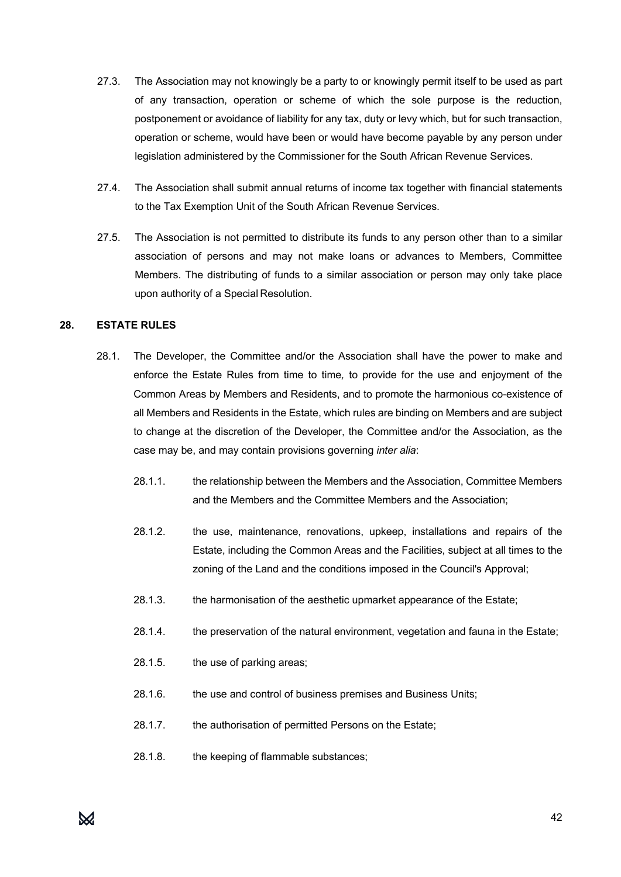- 27.3. The Association may not knowingly be a party to or knowingly permit itself to be used as part of any transaction, operation or scheme of which the sole purpose is the reduction, postponement or avoidance of liability for any tax, duty or levy which, but for such transaction, operation or scheme, would have been or would have become payable by any person under legislation administered by the Commissioner for the South African Revenue Services.
- 27.4. The Association shall submit annual returns of income tax together with financial statements to the Tax Exemption Unit of the South African Revenue Services.
- 27.5. The Association is not permitted to distribute its funds to any person other than to a similar association of persons and may not make loans or advances to Members, Committee Members. The distributing of funds to a similar association or person may only take place upon authority of a Special Resolution.

#### **28. ESTATE RULES**

- 28.1. The Developer, the Committee and/or the Association shall have the power to make and enforce the Estate Rules from time to time*,* to provide for the use and enjoyment of the Common Areas by Members and Residents, and to promote the harmonious co-existence of all Members and Residents in the Estate, which rules are binding on Members and are subject to change at the discretion of the Developer, the Committee and/or the Association, as the case may be, and may contain provisions governing *inter alia*:
	- 28.1.1. the relationship between the Members and the Association, Committee Members and the Members and the Committee Members and the Association;
	- 28.1.2. the use, maintenance, renovations, upkeep, installations and repairs of the Estate, including the Common Areas and the Facilities, subject at all times to the zoning of the Land and the conditions imposed in the Council's Approval;
	- 28.1.3. the harmonisation of the aesthetic upmarket appearance of the Estate;
	- 28.1.4. the preservation of the natural environment, vegetation and fauna in the Estate;
	- 28.1.5. the use of parking areas;
	- 28.1.6. the use and control of business premises and Business Units;
	- 28.1.7. the authorisation of permitted Persons on the Estate:
	- 28.1.8. the keeping of flammable substances;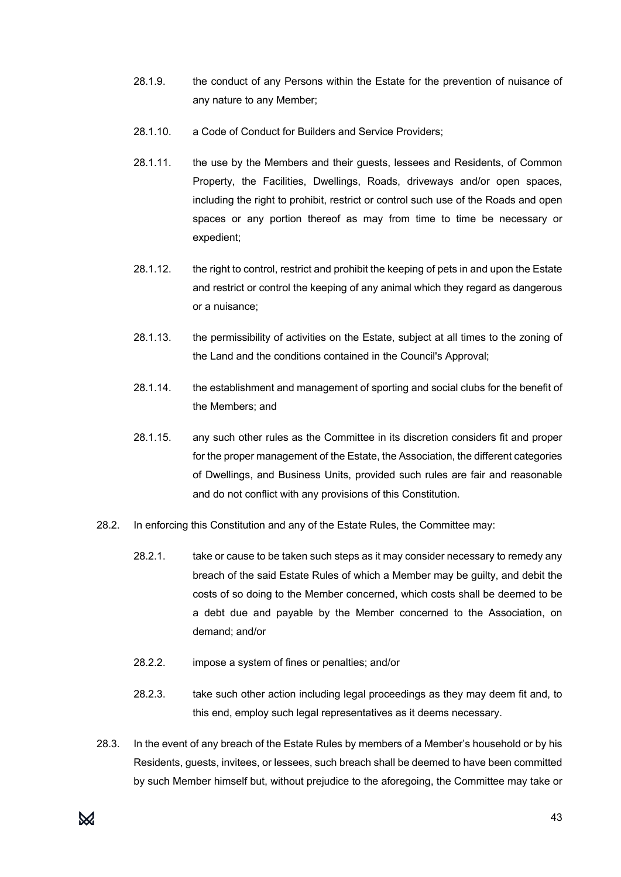- 28.1.9. the conduct of any Persons within the Estate for the prevention of nuisance of any nature to any Member;
- 28.1.10. a Code of Conduct for Builders and Service Providers;
- 28.1.11. the use by the Members and their guests, lessees and Residents, of Common Property, the Facilities, Dwellings, Roads, driveways and/or open spaces, including the right to prohibit, restrict or control such use of the Roads and open spaces or any portion thereof as may from time to time be necessary or expedient;
- 28.1.12. the right to control, restrict and prohibit the keeping of pets in and upon the Estate and restrict or control the keeping of any animal which they regard as dangerous or a nuisance;
- 28.1.13. the permissibility of activities on the Estate, subject at all times to the zoning of the Land and the conditions contained in the Council's Approval;
- 28.1.14. the establishment and management of sporting and social clubs for the benefit of the Members; and
- 28.1.15. any such other rules as the Committee in its discretion considers fit and proper for the proper management of the Estate, the Association, the different categories of Dwellings, and Business Units, provided such rules are fair and reasonable and do not conflict with any provisions of this Constitution.
- 28.2. In enforcing this Constitution and any of the Estate Rules, the Committee may:
	- 28.2.1. take or cause to be taken such steps as it may consider necessary to remedy any breach of the said Estate Rules of which a Member may be guilty, and debit the costs of so doing to the Member concerned, which costs shall be deemed to be a debt due and payable by the Member concerned to the Association, on demand; and/or
	- 28.2.2. impose a system of fines or penalties; and/or
	- 28.2.3. take such other action including legal proceedings as they may deem fit and, to this end, employ such legal representatives as it deems necessary.
- 28.3. In the event of any breach of the Estate Rules by members of a Member's household or by his Residents, guests, invitees, or lessees, such breach shall be deemed to have been committed by such Member himself but, without prejudice to the aforegoing, the Committee may take or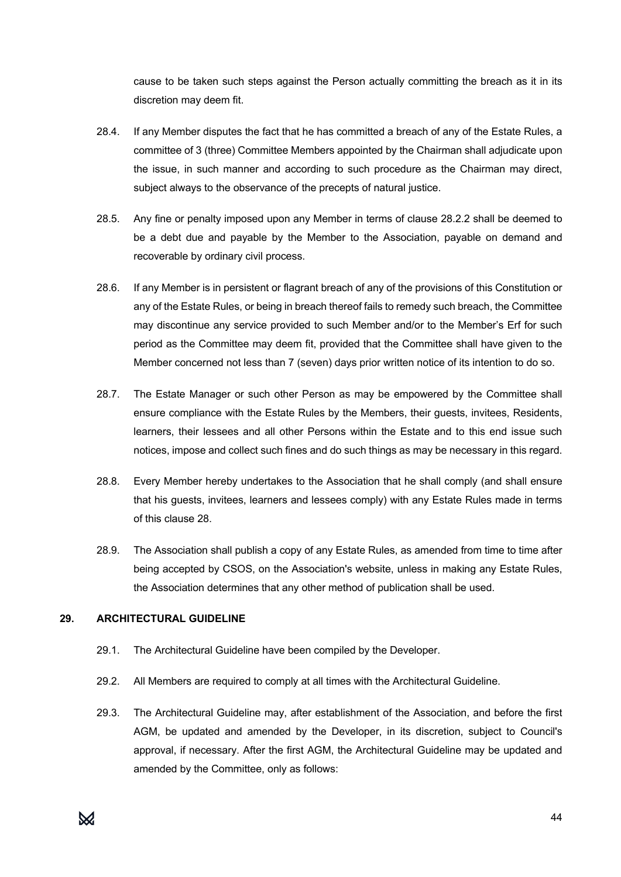cause to be taken such steps against the Person actually committing the breach as it in its discretion may deem fit.

- 28.4. If any Member disputes the fact that he has committed a breach of any of the Estate Rules, a committee of 3 (three) Committee Members appointed by the Chairman shall adjudicate upon the issue, in such manner and according to such procedure as the Chairman may direct, subject always to the observance of the precepts of natural justice.
- 28.5. Any fine or penalty imposed upon any Member in terms of clause 28.2.2 shall be deemed to be a debt due and payable by the Member to the Association, payable on demand and recoverable by ordinary civil process.
- 28.6. If any Member is in persistent or flagrant breach of any of the provisions of this Constitution or any of the Estate Rules, or being in breach thereof fails to remedy such breach, the Committee may discontinue any service provided to such Member and/or to the Member's Erf for such period as the Committee may deem fit, provided that the Committee shall have given to the Member concerned not less than 7 (seven) days prior written notice of its intention to do so.
- 28.7. The Estate Manager or such other Person as may be empowered by the Committee shall ensure compliance with the Estate Rules by the Members, their guests, invitees, Residents, learners, their lessees and all other Persons within the Estate and to this end issue such notices, impose and collect such fines and do such things as may be necessary in this regard.
- 28.8. Every Member hereby undertakes to the Association that he shall comply (and shall ensure that his guests, invitees, learners and lessees comply) with any Estate Rules made in terms of this clause 28.
- 28.9. The Association shall publish a copy of any Estate Rules, as amended from time to time after being accepted by CSOS, on the Association's website, unless in making any Estate Rules, the Association determines that any other method of publication shall be used.

#### **29. ARCHITECTURAL GUIDELINE**

- 29.1. The Architectural Guideline have been compiled by the Developer.
- 29.2. All Members are required to comply at all times with the Architectural Guideline.
- 29.3. The Architectural Guideline may, after establishment of the Association, and before the first AGM, be updated and amended by the Developer, in its discretion, subject to Council's approval, if necessary. After the first AGM, the Architectural Guideline may be updated and amended by the Committee, only as follows: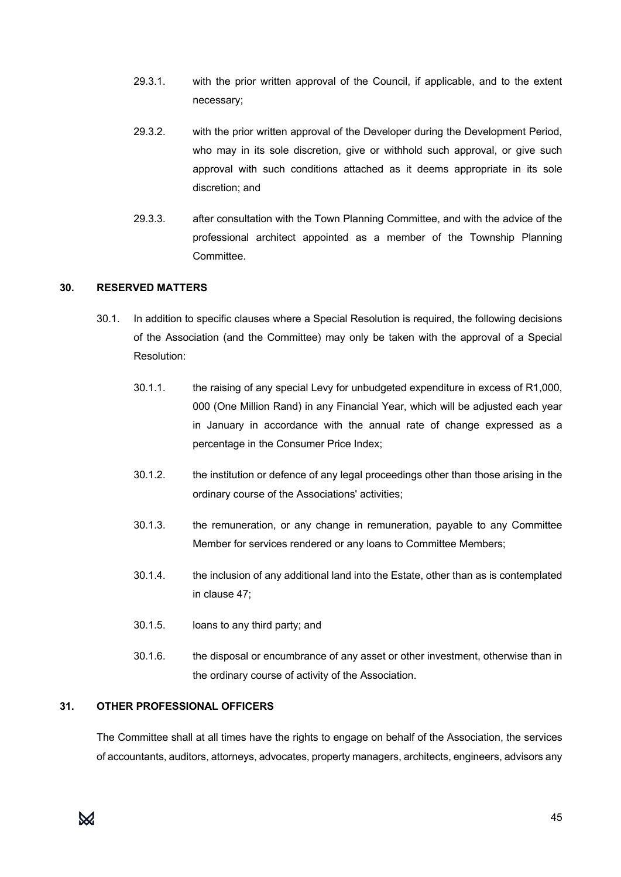- 29.3.1. with the prior written approval of the Council, if applicable, and to the extent necessary;
- 29.3.2. with the prior written approval of the Developer during the Development Period, who may in its sole discretion, give or withhold such approval, or give such approval with such conditions attached as it deems appropriate in its sole discretion; and
- 29.3.3. after consultation with the Town Planning Committee, and with the advice of the professional architect appointed as a member of the Township Planning Committee.

#### **30. RESERVED MATTERS**

- 30.1. In addition to specific clauses where a Special Resolution is required, the following decisions of the Association (and the Committee) may only be taken with the approval of a Special Resolution:
	- 30.1.1. the raising of any special Levy for unbudgeted expenditure in excess of R1,000, 000 (One Million Rand) in any Financial Year, which will be adjusted each year in January in accordance with the annual rate of change expressed as a percentage in the Consumer Price Index;
	- 30.1.2. the institution or defence of any legal proceedings other than those arising in the ordinary course of the Associations' activities;
	- 30.1.3. the remuneration, or any change in remuneration, payable to any Committee Member for services rendered or any loans to Committee Members;
	- 30.1.4. the inclusion of any additional land into the Estate, other than as is contemplated in clause 47;
	- 30.1.5. loans to any third party; and
	- 30.1.6. the disposal or encumbrance of any asset or other investment, otherwise than in the ordinary course of activity of the Association.

#### **31. OTHER PROFESSIONAL OFFICERS**

The Committee shall at all times have the rights to engage on behalf of the Association, the services of accountants, auditors, attorneys, advocates, property managers, architects, engineers, advisors any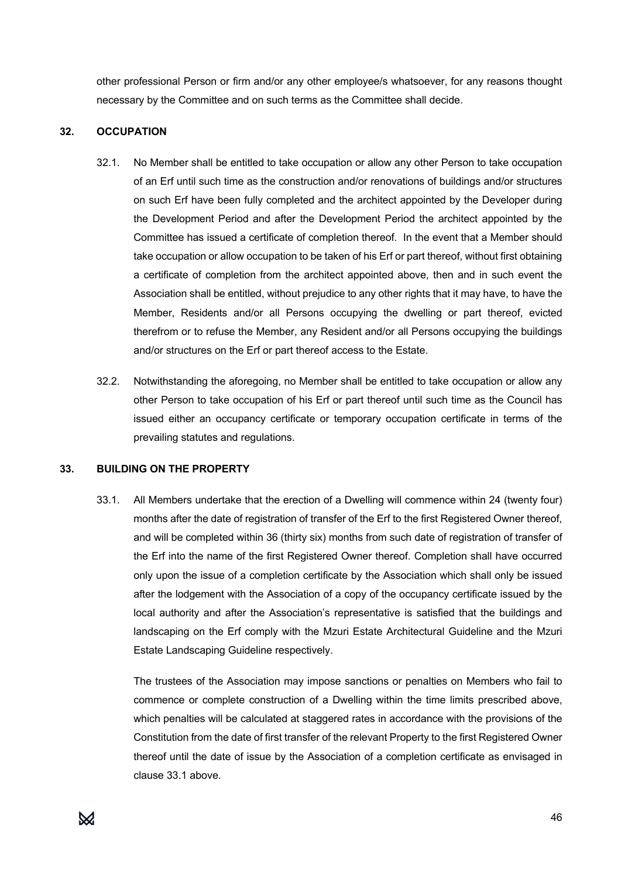other professional Person or firm and/or any other employee/s whatsoever, for any reasons thought necessary by the Committee and on such terms as the Committee shall decide.

#### **32. OCCUPATION**

- 32.1. No Member shall be entitled to take occupation or allow any other Person to take occupation of an Erf until such time as the construction and/or renovations of buildings and/or structures on such Erf have been fully completed and the architect appointed by the Developer during the Development Period and after the Development Period the architect appointed by the Committee has issued a certificate of completion thereof. In the event that a Member should take occupation or allow occupation to be taken of his Erf or part thereof, without first obtaining a certificate of completion from the architect appointed above, then and in such event the Association shall be entitled, without prejudice to any other rights that it may have, to have the Member, Residents and/or all Persons occupying the dwelling or part thereof, evicted therefrom or to refuse the Member, any Resident and/or all Persons occupying the buildings and/or structures on the Erf or part thereof access to the Estate.
- 32.2. Notwithstanding the aforegoing, no Member shall be entitled to take occupation or allow any other Person to take occupation of his Erf or part thereof until such time as the Council has issued either an occupancy certificate or temporary occupation certificate in terms of the prevailing statutes and regulations.

#### **33. BUILDING ON THE PROPERTY**

33.1. All Members undertake that the erection of a Dwelling will commence within 24 (twenty four) months after the date of registration of transfer of the Erf to the first Registered Owner thereof, and will be completed within 36 (thirty six) months from such date of registration of transfer of the Erf into the name of the first Registered Owner thereof. Completion shall have occurred only upon the issue of a completion certificate by the Association which shall only be issued after the lodgement with the Association of a copy of the occupancy certificate issued by the local authority and after the Association's representative is satisfied that the buildings and landscaping on the Erf comply with the Mzuri Estate Architectural Guideline and the Mzuri Estate Landscaping Guideline respectively.

The trustees of the Association may impose sanctions or penalties on Members who fail to commence or complete construction of a Dwelling within the time limits prescribed above, which penalties will be calculated at staggered rates in accordance with the provisions of the Constitution from the date of first transfer of the relevant Property to the first Registered Owner thereof until the date of issue by the Association of a completion certificate as envisaged in clause 33.1 above.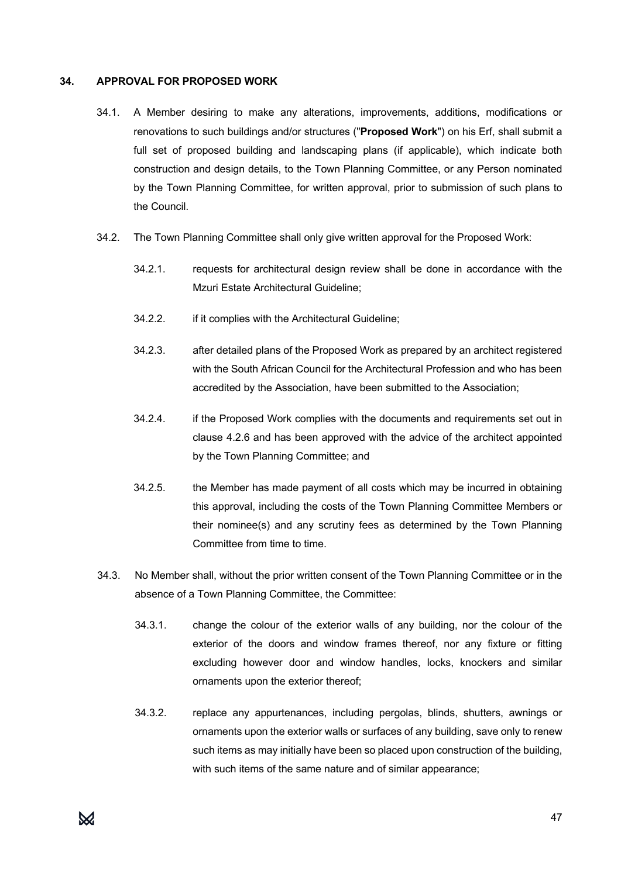#### **34. APPROVAL FOR PROPOSED WORK**

- 34.1. A Member desiring to make any alterations, improvements, additions, modifications or renovations to such buildings and/or structures ("**Proposed Work**") on his Erf, shall submit a full set of proposed building and landscaping plans (if applicable), which indicate both construction and design details, to the Town Planning Committee, or any Person nominated by the Town Planning Committee, for written approval, prior to submission of such plans to the Council.
- 34.2. The Town Planning Committee shall only give written approval for the Proposed Work:
	- 34.2.1. requests for architectural design review shall be done in accordance with the Mzuri Estate Architectural Guideline;
	- 34.2.2. if it complies with the Architectural Guideline;
	- 34.2.3. after detailed plans of the Proposed Work as prepared by an architect registered with the South African Council for the Architectural Profession and who has been accredited by the Association, have been submitted to the Association;
	- 34.2.4. if the Proposed Work complies with the documents and requirements set out in clause 4.2.6 and has been approved with the advice of the architect appointed by the Town Planning Committee; and
	- 34.2.5. the Member has made payment of all costs which may be incurred in obtaining this approval, including the costs of the Town Planning Committee Members or their nominee(s) and any scrutiny fees as determined by the Town Planning Committee from time to time.
- 34.3. No Member shall, without the prior written consent of the Town Planning Committee or in the absence of a Town Planning Committee, the Committee:
	- 34.3.1. change the colour of the exterior walls of any building, nor the colour of the exterior of the doors and window frames thereof, nor any fixture or fitting excluding however door and window handles, locks, knockers and similar ornaments upon the exterior thereof;
	- 34.3.2. replace any appurtenances, including pergolas, blinds, shutters, awnings or ornaments upon the exterior walls or surfaces of any building, save only to renew such items as may initially have been so placed upon construction of the building, with such items of the same nature and of similar appearance;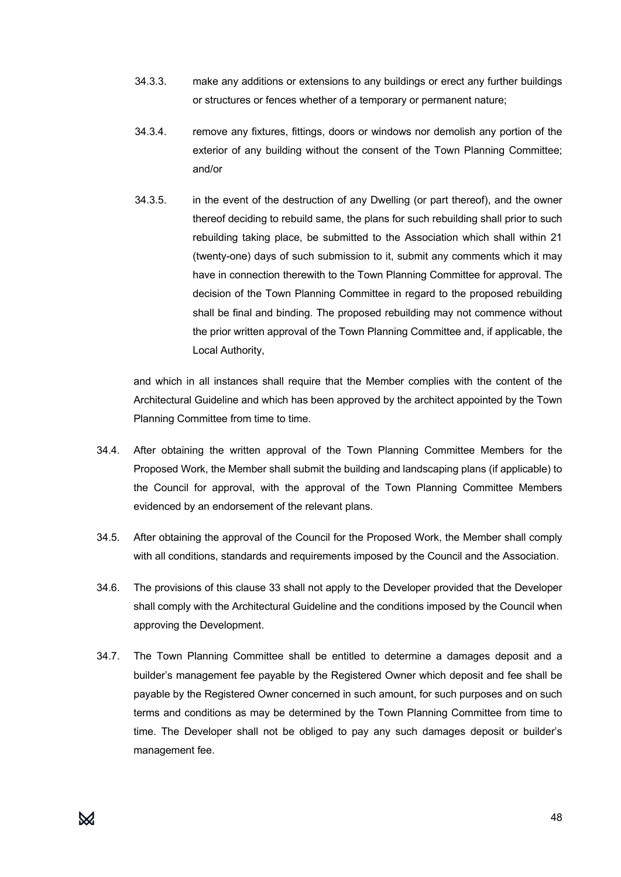- 34.3.3. make any additions or extensions to any buildings or erect any further buildings or structures or fences whether of a temporary or permanent nature;
- 34.3.4. remove any fixtures, fittings, doors or windows nor demolish any portion of the exterior of any building without the consent of the Town Planning Committee; and/or
- 34.3.5. in the event of the destruction of any Dwelling (or part thereof), and the owner thereof deciding to rebuild same, the plans for such rebuilding shall prior to such rebuilding taking place, be submitted to the Association which shall within 21 (twenty-one) days of such submission to it, submit any comments which it may have in connection therewith to the Town Planning Committee for approval. The decision of the Town Planning Committee in regard to the proposed rebuilding shall be final and binding. The proposed rebuilding may not commence without the prior written approval of the Town Planning Committee and, if applicable, the Local Authority,

and which in all instances shall require that the Member complies with the content of the Architectural Guideline and which has been approved by the architect appointed by the Town Planning Committee from time to time.

- 34.4. After obtaining the written approval of the Town Planning Committee Members for the Proposed Work, the Member shall submit the building and landscaping plans (if applicable) to the Council for approval, with the approval of the Town Planning Committee Members evidenced by an endorsement of the relevant plans.
- 34.5. After obtaining the approval of the Council for the Proposed Work, the Member shall comply with all conditions, standards and requirements imposed by the Council and the Association.
- 34.6. The provisions of this clause 33 shall not apply to the Developer provided that the Developer shall comply with the Architectural Guideline and the conditions imposed by the Council when approving the Development.
- 34.7. The Town Planning Committee shall be entitled to determine a damages deposit and a builder's management fee payable by the Registered Owner which deposit and fee shall be payable by the Registered Owner concerned in such amount, for such purposes and on such terms and conditions as may be determined by the Town Planning Committee from time to time. The Developer shall not be obliged to pay any such damages deposit or builder's management fee.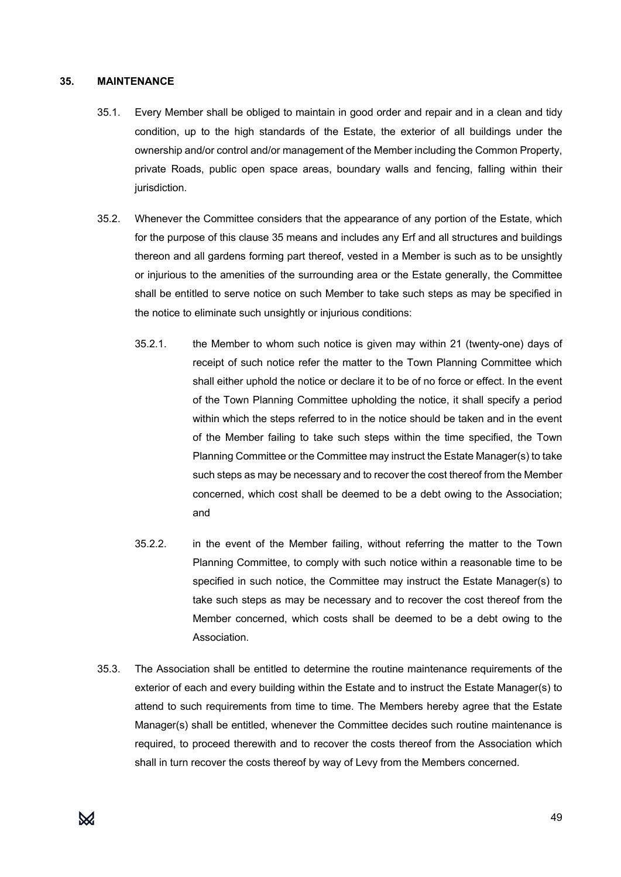#### **35. MAINTENANCE**

- 35.1. Every Member shall be obliged to maintain in good order and repair and in a clean and tidy condition, up to the high standards of the Estate, the exterior of all buildings under the ownership and/or control and/or management of the Member including the Common Property, private Roads, public open space areas, boundary walls and fencing, falling within their jurisdiction.
- 35.2. Whenever the Committee considers that the appearance of any portion of the Estate, which for the purpose of this clause 35 means and includes any Erf and all structures and buildings thereon and all gardens forming part thereof, vested in a Member is such as to be unsightly or injurious to the amenities of the surrounding area or the Estate generally, the Committee shall be entitled to serve notice on such Member to take such steps as may be specified in the notice to eliminate such unsightly or injurious conditions:
	- 35.2.1. the Member to whom such notice is given may within 21 (twenty-one) days of receipt of such notice refer the matter to the Town Planning Committee which shall either uphold the notice or declare it to be of no force or effect. In the event of the Town Planning Committee upholding the notice, it shall specify a period within which the steps referred to in the notice should be taken and in the event of the Member failing to take such steps within the time specified, the Town Planning Committee or the Committee may instruct the Estate Manager(s) to take such steps as may be necessary and to recover the cost thereof from the Member concerned, which cost shall be deemed to be a debt owing to the Association; and
	- 35.2.2. in the event of the Member failing, without referring the matter to the Town Planning Committee, to comply with such notice within a reasonable time to be specified in such notice, the Committee may instruct the Estate Manager(s) to take such steps as may be necessary and to recover the cost thereof from the Member concerned, which costs shall be deemed to be a debt owing to the Association.
- 35.3. The Association shall be entitled to determine the routine maintenance requirements of the exterior of each and every building within the Estate and to instruct the Estate Manager(s) to attend to such requirements from time to time. The Members hereby agree that the Estate Manager(s) shall be entitled, whenever the Committee decides such routine maintenance is required, to proceed therewith and to recover the costs thereof from the Association which shall in turn recover the costs thereof by way of Levy from the Members concerned.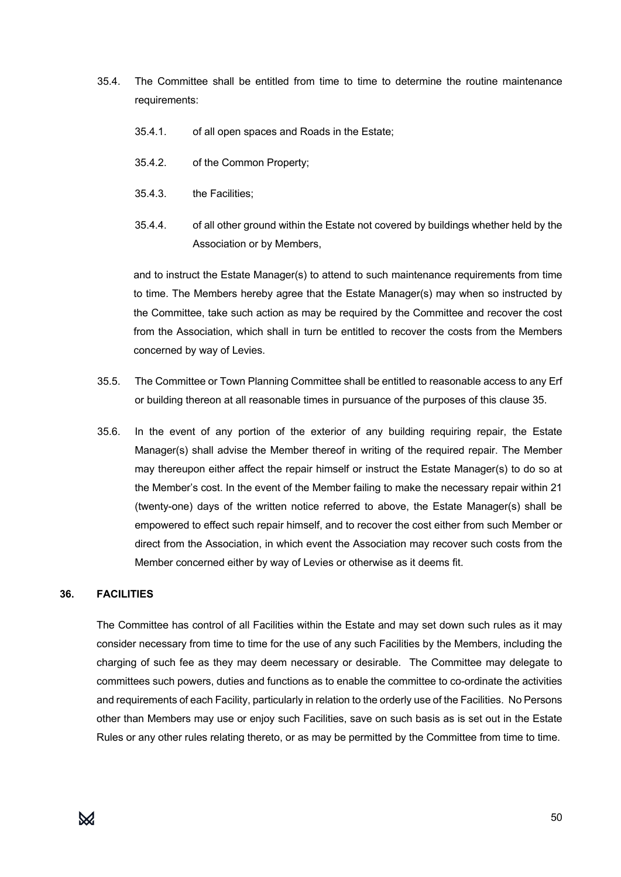- 35.4. The Committee shall be entitled from time to time to determine the routine maintenance requirements:
	- 35.4.1. of all open spaces and Roads in the Estate;
	- 35.4.2. of the Common Property;
	- 35.4.3. the Facilities;
	- 35.4.4. of all other ground within the Estate not covered by buildings whether held by the Association or by Members,

and to instruct the Estate Manager(s) to attend to such maintenance requirements from time to time. The Members hereby agree that the Estate Manager(s) may when so instructed by the Committee, take such action as may be required by the Committee and recover the cost from the Association, which shall in turn be entitled to recover the costs from the Members concerned by way of Levies.

- 35.5. The Committee or Town Planning Committee shall be entitled to reasonable access to any Erf or building thereon at all reasonable times in pursuance of the purposes of this clause 35.
- 35.6. In the event of any portion of the exterior of any building requiring repair, the Estate Manager(s) shall advise the Member thereof in writing of the required repair. The Member may thereupon either affect the repair himself or instruct the Estate Manager(s) to do so at the Member's cost. In the event of the Member failing to make the necessary repair within 21 (twenty-one) days of the written notice referred to above, the Estate Manager(s) shall be empowered to effect such repair himself, and to recover the cost either from such Member or direct from the Association, in which event the Association may recover such costs from the Member concerned either by way of Levies or otherwise as it deems fit.

#### **36. FACILITIES**

The Committee has control of all Facilities within the Estate and may set down such rules as it may consider necessary from time to time for the use of any such Facilities by the Members, including the charging of such fee as they may deem necessary or desirable. The Committee may delegate to committees such powers, duties and functions as to enable the committee to co-ordinate the activities and requirements of each Facility, particularly in relation to the orderly use of the Facilities. No Persons other than Members may use or enjoy such Facilities, save on such basis as is set out in the Estate Rules or any other rules relating thereto, or as may be permitted by the Committee from time to time.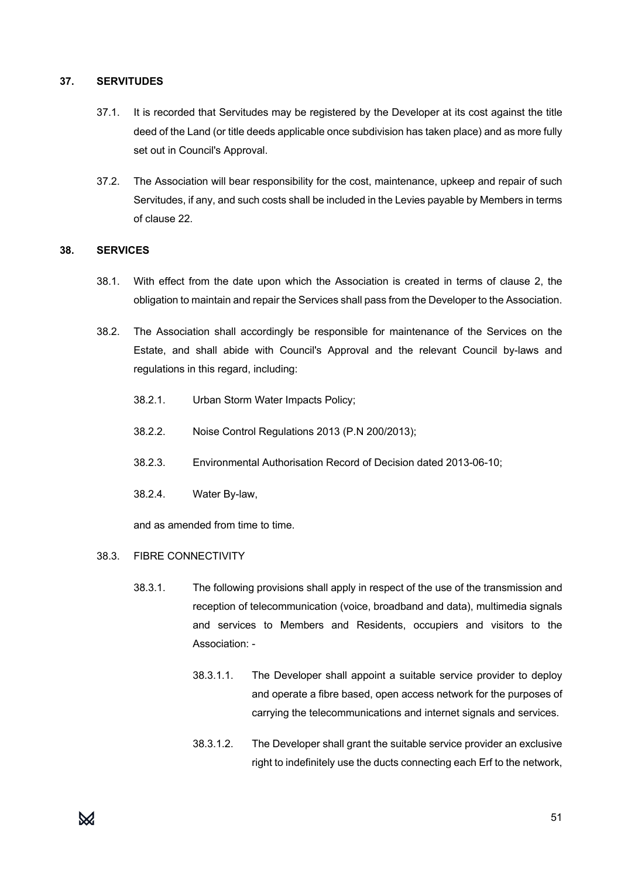#### **37. SERVITUDES**

- 37.1. It is recorded that Servitudes may be registered by the Developer at its cost against the title deed of the Land (or title deeds applicable once subdivision has taken place) and as more fully set out in Council's Approval.
- 37.2. The Association will bear responsibility for the cost, maintenance, upkeep and repair of such Servitudes, if any, and such costs shall be included in the Levies payable by Members in terms of clause 22.

#### **38. SERVICES**

- 38.1. With effect from the date upon which the Association is created in terms of clause 2, the obligation to maintain and repair the Services shall pass from the Developer to the Association.
- 38.2. The Association shall accordingly be responsible for maintenance of the Services on the Estate, and shall abide with Council's Approval and the relevant Council by-laws and regulations in this regard, including:
	- 38.2.1. Urban Storm Water Impacts Policy;
	- 38.2.2. Noise Control Regulations 2013 (P.N 200/2013);
	- 38.2.3. Environmental Authorisation Record of Decision dated 2013-06-10;
	- 38.2.4. Water By-law,

and as amended from time to time.

- 38.3. FIBRE CONNECTIVITY
	- 38.3.1. The following provisions shall apply in respect of the use of the transmission and reception of telecommunication (voice, broadband and data), multimedia signals and services to Members and Residents, occupiers and visitors to the Association: -
		- 38.3.1.1. The Developer shall appoint a suitable service provider to deploy and operate a fibre based, open access network for the purposes of carrying the telecommunications and internet signals and services.
		- 38.3.1.2. The Developer shall grant the suitable service provider an exclusive right to indefinitely use the ducts connecting each Erf to the network,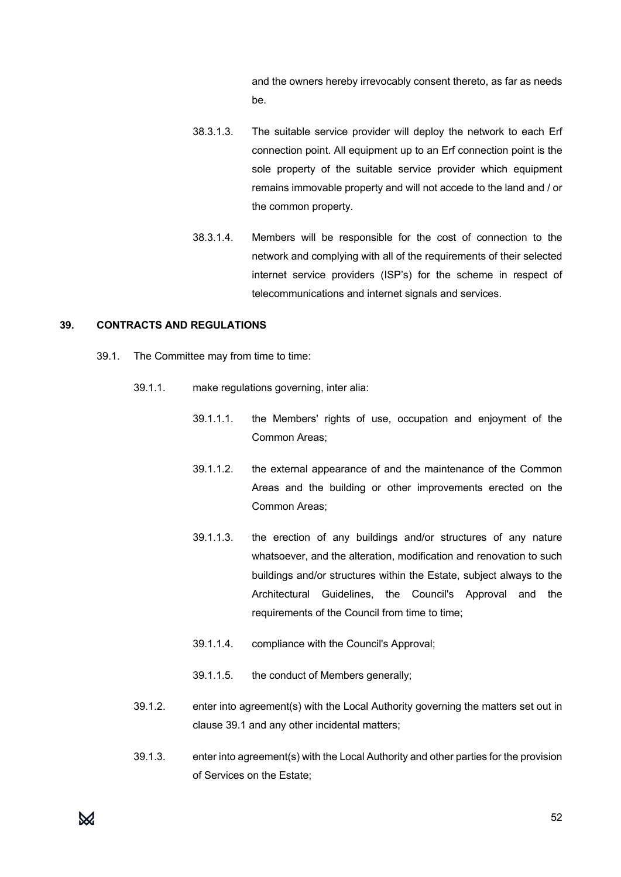and the owners hereby irrevocably consent thereto, as far as needs be.

- 38.3.1.3. The suitable service provider will deploy the network to each Erf connection point. All equipment up to an Erf connection point is the sole property of the suitable service provider which equipment remains immovable property and will not accede to the land and / or the common property.
- 38.3.1.4. Members will be responsible for the cost of connection to the network and complying with all of the requirements of their selected internet service providers (ISP's) for the scheme in respect of telecommunications and internet signals and services.

#### **39. CONTRACTS AND REGULATIONS**

- 39.1. The Committee may from time to time:
	- 39.1.1. make regulations governing, inter alia:
		- 39.1.1.1. the Members' rights of use, occupation and enjoyment of the Common Areas;
		- 39.1.1.2. the external appearance of and the maintenance of the Common Areas and the building or other improvements erected on the Common Areas;
		- 39.1.1.3. the erection of any buildings and/or structures of any nature whatsoever, and the alteration, modification and renovation to such buildings and/or structures within the Estate, subject always to the Architectural Guidelines, the Council's Approval and the requirements of the Council from time to time;
		- 39.1.1.4. compliance with the Council's Approval;
		- 39.1.1.5. the conduct of Members generally;
	- 39.1.2. enter into agreement(s) with the Local Authority governing the matters set out in clause 39.1 and any other incidental matters;
	- 39.1.3. enter into agreement(s) with the Local Authority and other parties for the provision of Services on the Estate;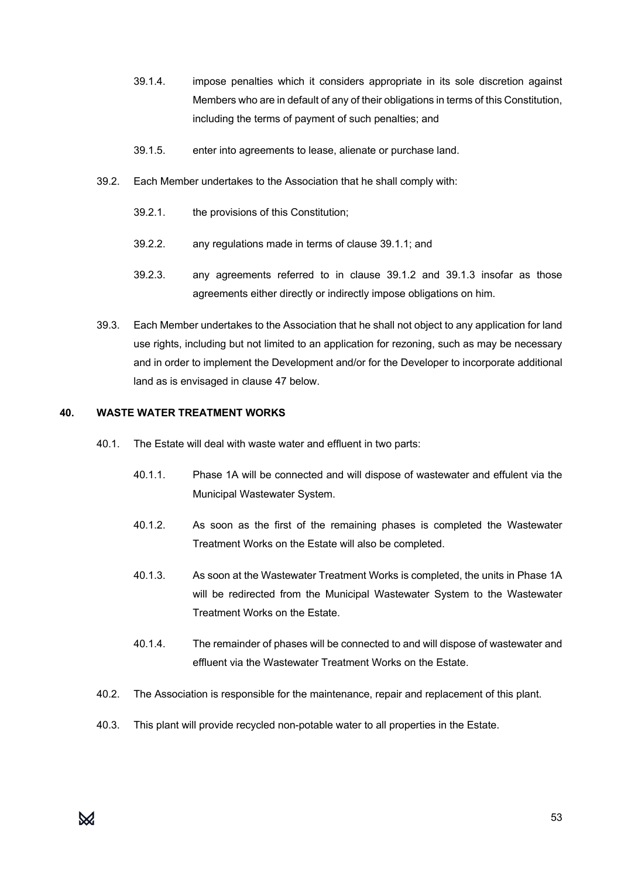- 39.1.4. impose penalties which it considers appropriate in its sole discretion against Members who are in default of any of their obligations in terms of this Constitution, including the terms of payment of such penalties; and
- 39.1.5. enter into agreements to lease, alienate or purchase land.
- 39.2. Each Member undertakes to the Association that he shall comply with:
	- 39.2.1. the provisions of this Constitution;
	- 39.2.2. any regulations made in terms of clause 39.1.1; and
	- 39.2.3. any agreements referred to in clause 39.1.2 and 39.1.3 insofar as those agreements either directly or indirectly impose obligations on him.
- 39.3. Each Member undertakes to the Association that he shall not object to any application for land use rights, including but not limited to an application for rezoning, such as may be necessary and in order to implement the Development and/or for the Developer to incorporate additional land as is envisaged in clause 47 below.

#### **40. WASTE WATER TREATMENT WORKS**

- 40.1. The Estate will deal with waste water and effluent in two parts:
	- 40.1.1. Phase 1A will be connected and will dispose of wastewater and effulent via the Municipal Wastewater System.
	- 40.1.2. As soon as the first of the remaining phases is completed the Wastewater Treatment Works on the Estate will also be completed.
	- 40.1.3. As soon at the Wastewater Treatment Works is completed, the units in Phase 1A will be redirected from the Municipal Wastewater System to the Wastewater Treatment Works on the Estate.
	- 40.1.4. The remainder of phases will be connected to and will dispose of wastewater and effluent via the Wastewater Treatment Works on the Estate.
- 40.2. The Association is responsible for the maintenance, repair and replacement of this plant.
- 40.3. This plant will provide recycled non-potable water to all properties in the Estate.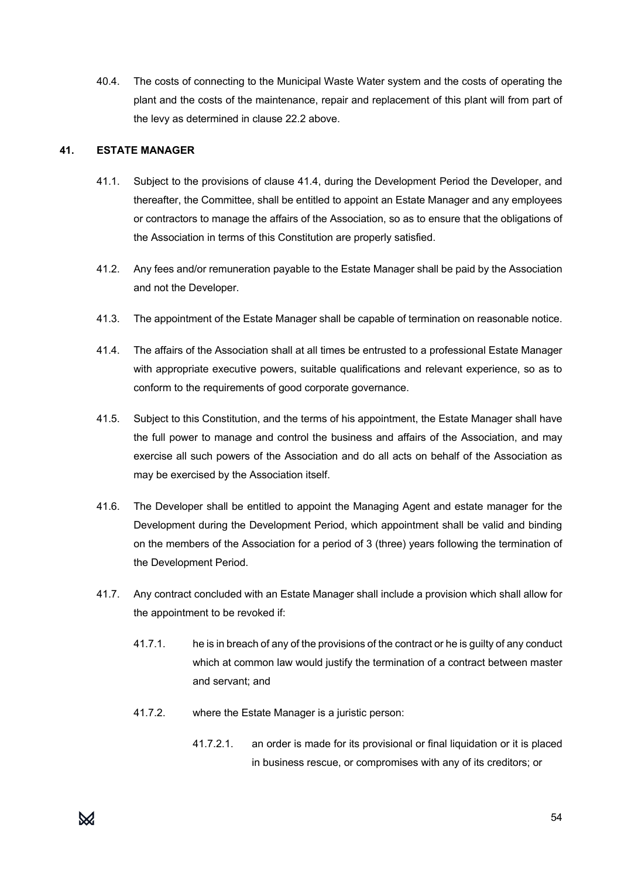40.4. The costs of connecting to the Municipal Waste Water system and the costs of operating the plant and the costs of the maintenance, repair and replacement of this plant will from part of the levy as determined in clause 22.2 above.

#### **41. ESTATE MANAGER**

- 41.1. Subject to the provisions of clause 41.4, during the Development Period the Developer, and thereafter, the Committee, shall be entitled to appoint an Estate Manager and any employees or contractors to manage the affairs of the Association, so as to ensure that the obligations of the Association in terms of this Constitution are properly satisfied.
- 41.2. Any fees and/or remuneration payable to the Estate Manager shall be paid by the Association and not the Developer.
- 41.3. The appointment of the Estate Manager shall be capable of termination on reasonable notice.
- 41.4. The affairs of the Association shall at all times be entrusted to a professional Estate Manager with appropriate executive powers, suitable qualifications and relevant experience, so as to conform to the requirements of good corporate governance.
- 41.5. Subject to this Constitution, and the terms of his appointment, the Estate Manager shall have the full power to manage and control the business and affairs of the Association, and may exercise all such powers of the Association and do all acts on behalf of the Association as may be exercised by the Association itself.
- 41.6. The Developer shall be entitled to appoint the Managing Agent and estate manager for the Development during the Development Period, which appointment shall be valid and binding on the members of the Association for a period of 3 (three) years following the termination of the Development Period.
- 41.7. Any contract concluded with an Estate Manager shall include a provision which shall allow for the appointment to be revoked if:
	- 41.7.1. he is in breach of any of the provisions of the contract or he is guilty of any conduct which at common law would justify the termination of a contract between master and servant; and
	- 41.7.2. where the Estate Manager is a juristic person:
		- 41.7.2.1. an order is made for its provisional or final liquidation or it is placed in business rescue, or compromises with any of its creditors; or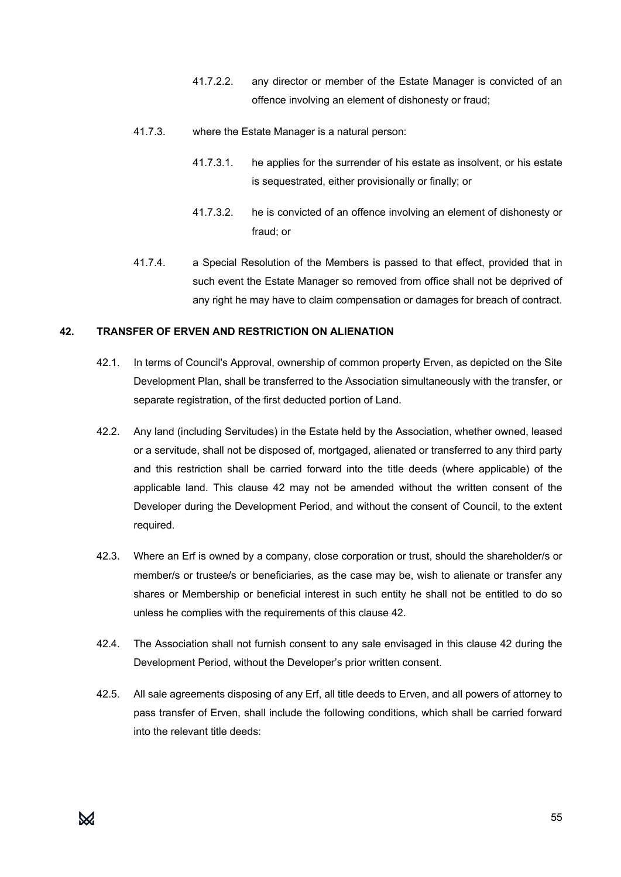- 41.7.2.2. any director or member of the Estate Manager is convicted of an offence involving an element of dishonesty or fraud;
- 41.7.3. where the Estate Manager is a natural person:
	- 41.7.3.1. he applies for the surrender of his estate as insolvent, or his estate is sequestrated, either provisionally or finally; or
	- 41.7.3.2. he is convicted of an offence involving an element of dishonesty or fraud; or
- 41.7.4. a Special Resolution of the Members is passed to that effect, provided that in such event the Estate Manager so removed from office shall not be deprived of any right he may have to claim compensation or damages for breach of contract.

#### **42. TRANSFER OF ERVEN AND RESTRICTION ON ALIENATION**

- 42.1. In terms of Council's Approval, ownership of common property Erven, as depicted on the Site Development Plan, shall be transferred to the Association simultaneously with the transfer, or separate registration, of the first deducted portion of Land.
- 42.2. Any land (including Servitudes) in the Estate held by the Association, whether owned, leased or a servitude, shall not be disposed of, mortgaged, alienated or transferred to any third party and this restriction shall be carried forward into the title deeds (where applicable) of the applicable land. This clause 42 may not be amended without the written consent of the Developer during the Development Period, and without the consent of Council, to the extent required.
- 42.3. Where an Erf is owned by a company, close corporation or trust, should the shareholder/s or member/s or trustee/s or beneficiaries, as the case may be, wish to alienate or transfer any shares or Membership or beneficial interest in such entity he shall not be entitled to do so unless he complies with the requirements of this clause 42.
- 42.4. The Association shall not furnish consent to any sale envisaged in this clause 42 during the Development Period, without the Developer's prior written consent.
- 42.5. All sale agreements disposing of any Erf, all title deeds to Erven, and all powers of attorney to pass transfer of Erven, shall include the following conditions, which shall be carried forward into the relevant title deeds: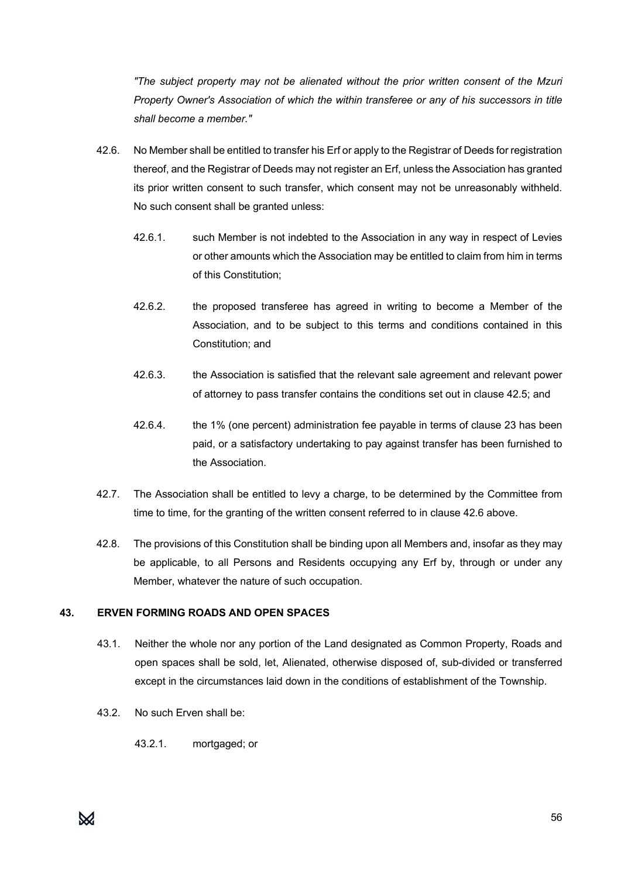*"The subject property may not be alienated without the prior written consent of the Mzuri Property Owner's Association of which the within transferee or any of his successors in title shall become a member."* 

- 42.6. No Member shall be entitled to transfer his Erf or apply to the Registrar of Deeds for registration thereof, and the Registrar of Deeds may not register an Erf, unless the Association has granted its prior written consent to such transfer, which consent may not be unreasonably withheld. No such consent shall be granted unless:
	- 42.6.1. such Member is not indebted to the Association in any way in respect of Levies or other amounts which the Association may be entitled to claim from him in terms of this Constitution;
	- 42.6.2. the proposed transferee has agreed in writing to become a Member of the Association, and to be subject to this terms and conditions contained in this Constitution; and
	- 42.6.3. the Association is satisfied that the relevant sale agreement and relevant power of attorney to pass transfer contains the conditions set out in clause 42.5; and
	- 42.6.4. the 1% (one percent) administration fee payable in terms of clause 23 has been paid, or a satisfactory undertaking to pay against transfer has been furnished to the Association.
- 42.7. The Association shall be entitled to levy a charge, to be determined by the Committee from time to time, for the granting of the written consent referred to in clause 42.6 above.
- 42.8. The provisions of this Constitution shall be binding upon all Members and, insofar as they may be applicable, to all Persons and Residents occupying any Erf by, through or under any Member, whatever the nature of such occupation.

# **43. ERVEN FORMING ROADS AND OPEN SPACES**

- 43.1. Neither the whole nor any portion of the Land designated as Common Property, Roads and open spaces shall be sold, let, Alienated, otherwise disposed of, sub-divided or transferred except in the circumstances laid down in the conditions of establishment of the Township.
- 43.2. No such Erven shall be:
	- 43.2.1. mortgaged; or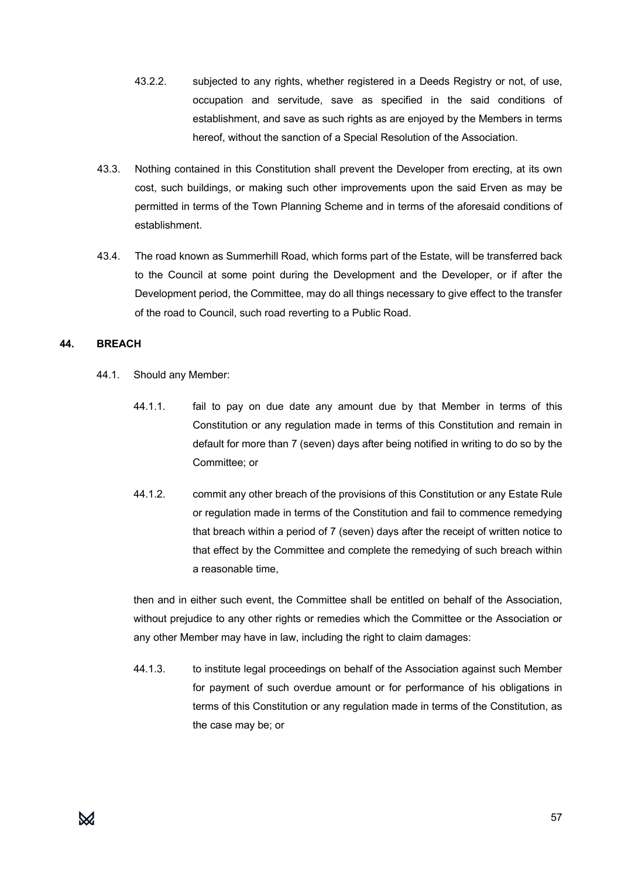- 43.2.2. subjected to any rights, whether registered in a Deeds Registry or not, of use, occupation and servitude, save as specified in the said conditions of establishment, and save as such rights as are enjoyed by the Members in terms hereof, without the sanction of a Special Resolution of the Association.
- 43.3. Nothing contained in this Constitution shall prevent the Developer from erecting, at its own cost, such buildings, or making such other improvements upon the said Erven as may be permitted in terms of the Town Planning Scheme and in terms of the aforesaid conditions of establishment.
- 43.4. The road known as Summerhill Road, which forms part of the Estate, will be transferred back to the Council at some point during the Development and the Developer, or if after the Development period, the Committee, may do all things necessary to give effect to the transfer of the road to Council, such road reverting to a Public Road.

#### **44. BREACH**

- 44.1. Should any Member:
	- 44.1.1. fail to pay on due date any amount due by that Member in terms of this Constitution or any regulation made in terms of this Constitution and remain in default for more than 7 (seven) days after being notified in writing to do so by the Committee; or
	- 44.1.2. commit any other breach of the provisions of this Constitution or any Estate Rule or regulation made in terms of the Constitution and fail to commence remedying that breach within a period of 7 (seven) days after the receipt of written notice to that effect by the Committee and complete the remedying of such breach within a reasonable time,

then and in either such event, the Committee shall be entitled on behalf of the Association, without prejudice to any other rights or remedies which the Committee or the Association or any other Member may have in law, including the right to claim damages:

44.1.3. to institute legal proceedings on behalf of the Association against such Member for payment of such overdue amount or for performance of his obligations in terms of this Constitution or any regulation made in terms of the Constitution, as the case may be; or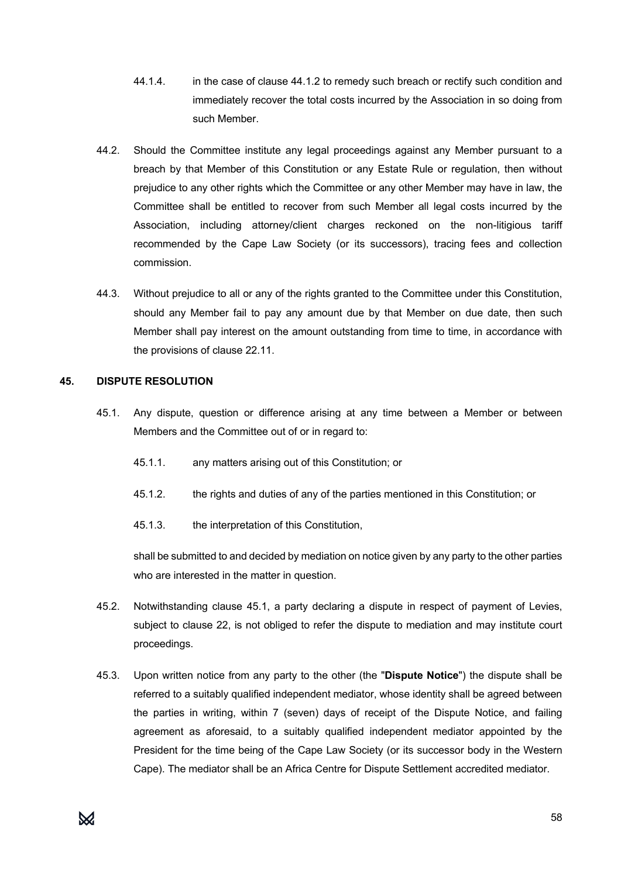- 44.1.4. in the case of clause 44.1.2 to remedy such breach or rectify such condition and immediately recover the total costs incurred by the Association in so doing from such Member.
- 44.2. Should the Committee institute any legal proceedings against any Member pursuant to a breach by that Member of this Constitution or any Estate Rule or regulation, then without prejudice to any other rights which the Committee or any other Member may have in law, the Committee shall be entitled to recover from such Member all legal costs incurred by the Association, including attorney/client charges reckoned on the non-litigious tariff recommended by the Cape Law Society (or its successors), tracing fees and collection commission.
- 44.3. Without prejudice to all or any of the rights granted to the Committee under this Constitution, should any Member fail to pay any amount due by that Member on due date, then such Member shall pay interest on the amount outstanding from time to time, in accordance with the provisions of clause 22.11.

#### **45. DISPUTE RESOLUTION**

- 45.1. Any dispute, question or difference arising at any time between a Member or between Members and the Committee out of or in regard to:
	- 45.1.1. any matters arising out of this Constitution; or
	- 45.1.2. the rights and duties of any of the parties mentioned in this Constitution; or
	- 45.1.3. the interpretation of this Constitution,

shall be submitted to and decided by mediation on notice given by any party to the other parties who are interested in the matter in question.

- 45.2. Notwithstanding clause 45.1, a party declaring a dispute in respect of payment of Levies, subject to clause 22, is not obliged to refer the dispute to mediation and may institute court proceedings.
- 45.3. Upon written notice from any party to the other (the "**Dispute Notice**") the dispute shall be referred to a suitably qualified independent mediator, whose identity shall be agreed between the parties in writing, within 7 (seven) days of receipt of the Dispute Notice, and failing agreement as aforesaid, to a suitably qualified independent mediator appointed by the President for the time being of the Cape Law Society (or its successor body in the Western Cape). The mediator shall be an Africa Centre for Dispute Settlement accredited mediator.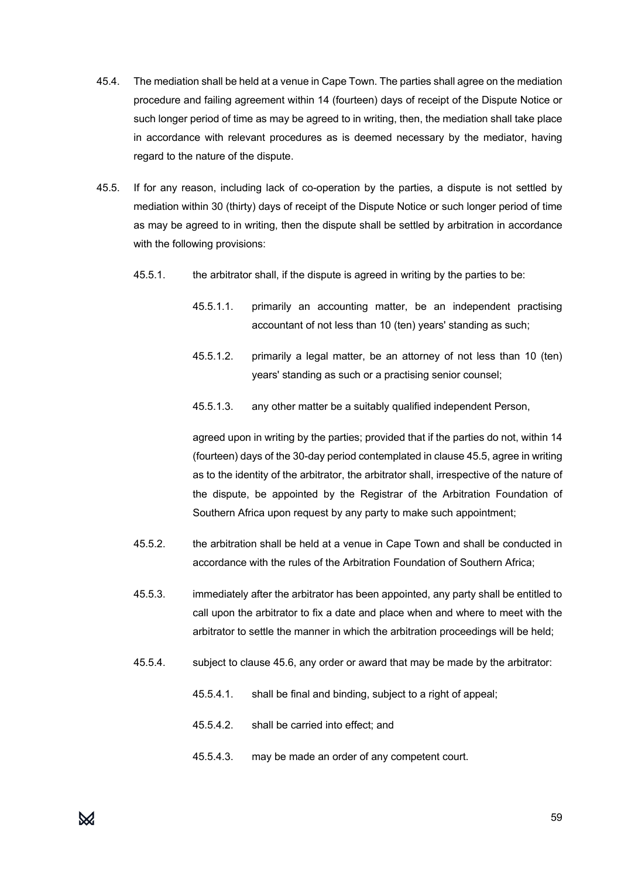- 45.4. The mediation shall be held at a venue in Cape Town. The parties shall agree on the mediation procedure and failing agreement within 14 (fourteen) days of receipt of the Dispute Notice or such longer period of time as may be agreed to in writing, then, the mediation shall take place in accordance with relevant procedures as is deemed necessary by the mediator, having regard to the nature of the dispute.
- 45.5. If for any reason, including lack of co-operation by the parties, a dispute is not settled by mediation within 30 (thirty) days of receipt of the Dispute Notice or such longer period of time as may be agreed to in writing, then the dispute shall be settled by arbitration in accordance with the following provisions:
	- 45.5.1. the arbitrator shall, if the dispute is agreed in writing by the parties to be:
		- 45.5.1.1. primarily an accounting matter, be an independent practising accountant of not less than 10 (ten) years' standing as such;
		- 45.5.1.2. primarily a legal matter, be an attorney of not less than 10 (ten) years' standing as such or a practising senior counsel;
		- 45.5.1.3. any other matter be a suitably qualified independent Person,

agreed upon in writing by the parties; provided that if the parties do not, within 14 (fourteen) days of the 30-day period contemplated in clause 45.5, agree in writing as to the identity of the arbitrator, the arbitrator shall, irrespective of the nature of the dispute, be appointed by the Registrar of the Arbitration Foundation of Southern Africa upon request by any party to make such appointment;

- 45.5.2. the arbitration shall be held at a venue in Cape Town and shall be conducted in accordance with the rules of the Arbitration Foundation of Southern Africa;
- 45.5.3. immediately after the arbitrator has been appointed, any party shall be entitled to call upon the arbitrator to fix a date and place when and where to meet with the arbitrator to settle the manner in which the arbitration proceedings will be held;
- 45.5.4. subject to clause 45.6, any order or award that may be made by the arbitrator:
	- 45.5.4.1. shall be final and binding, subject to a right of appeal;
	- 45.5.4.2. shall be carried into effect; and
	- 45.5.4.3. may be made an order of any competent court.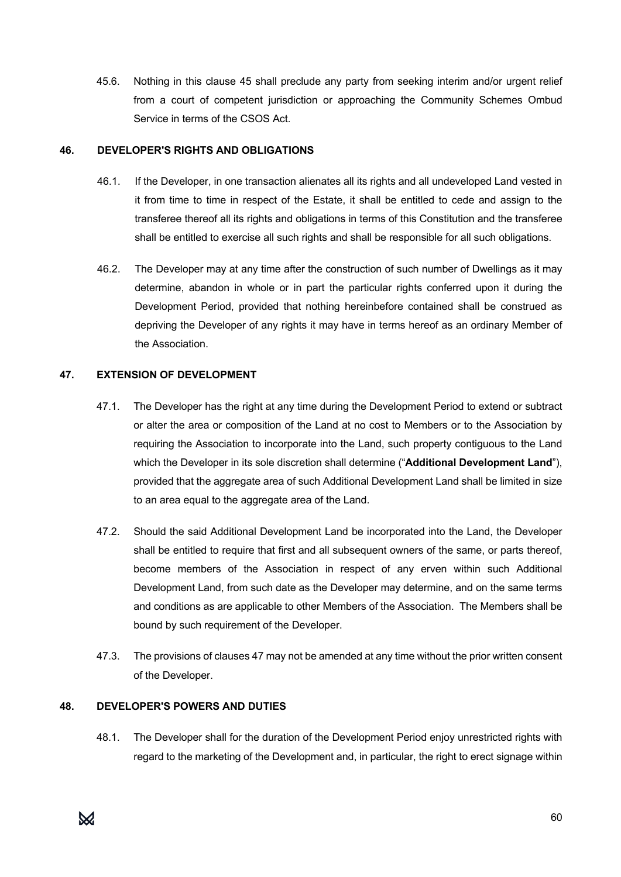45.6. Nothing in this clause 45 shall preclude any party from seeking interim and/or urgent relief from a court of competent jurisdiction or approaching the Community Schemes Ombud Service in terms of the CSOS Act.

#### **46. DEVELOPER'S RIGHTS AND OBLIGATIONS**

- 46.1. If the Developer, in one transaction alienates all its rights and all undeveloped Land vested in it from time to time in respect of the Estate, it shall be entitled to cede and assign to the transferee thereof all its rights and obligations in terms of this Constitution and the transferee shall be entitled to exercise all such rights and shall be responsible for all such obligations.
- 46.2. The Developer may at any time after the construction of such number of Dwellings as it may determine, abandon in whole or in part the particular rights conferred upon it during the Development Period, provided that nothing hereinbefore contained shall be construed as depriving the Developer of any rights it may have in terms hereof as an ordinary Member of the Association.

#### **47. EXTENSION OF DEVELOPMENT**

- 47.1. The Developer has the right at any time during the Development Period to extend or subtract or alter the area or composition of the Land at no cost to Members or to the Association by requiring the Association to incorporate into the Land, such property contiguous to the Land which the Developer in its sole discretion shall determine ("**Additional Development Land**"), provided that the aggregate area of such Additional Development Land shall be limited in size to an area equal to the aggregate area of the Land.
- 47.2. Should the said Additional Development Land be incorporated into the Land, the Developer shall be entitled to require that first and all subsequent owners of the same, or parts thereof, become members of the Association in respect of any erven within such Additional Development Land, from such date as the Developer may determine, and on the same terms and conditions as are applicable to other Members of the Association. The Members shall be bound by such requirement of the Developer.
- 47.3. The provisions of clauses 47 may not be amended at any time without the prior written consent of the Developer.

# **48. DEVELOPER'S POWERS AND DUTIES**

48.1. The Developer shall for the duration of the Development Period enjoy unrestricted rights with regard to the marketing of the Development and, in particular, the right to erect signage within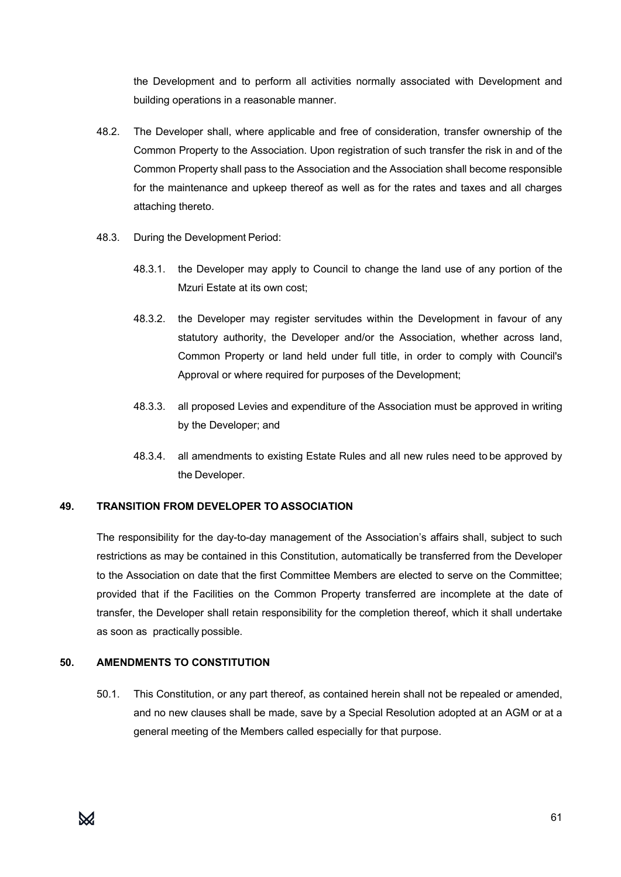the Development and to perform all activities normally associated with Development and building operations in a reasonable manner.

- 48.2. The Developer shall, where applicable and free of consideration, transfer ownership of the Common Property to the Association. Upon registration of such transfer the risk in and of the Common Property shall pass to the Association and the Association shall become responsible for the maintenance and upkeep thereof as well as for the rates and taxes and all charges attaching thereto.
- 48.3. During the Development Period:
	- 48.3.1. the Developer may apply to Council to change the land use of any portion of the Mzuri Estate at its own cost;
	- 48.3.2. the Developer may register servitudes within the Development in favour of any statutory authority, the Developer and/or the Association, whether across land, Common Property or land held under full title, in order to comply with Council's Approval or where required for purposes of the Development;
	- 48.3.3. all proposed Levies and expenditure of the Association must be approved in writing by the Developer; and
	- 48.3.4. all amendments to existing Estate Rules and all new rules need to be approved by the Developer.

#### **49. TRANSITION FROM DEVELOPER TO ASSOCIATION**

The responsibility for the day-to-day management of the Association's affairs shall, subject to such restrictions as may be contained in this Constitution, automatically be transferred from the Developer to the Association on date that the first Committee Members are elected to serve on the Committee; provided that if the Facilities on the Common Property transferred are incomplete at the date of transfer, the Developer shall retain responsibility for the completion thereof, which it shall undertake as soon as practically possible.

#### **50. AMENDMENTS TO CONSTITUTION**

50.1. This Constitution, or any part thereof, as contained herein shall not be repealed or amended, and no new clauses shall be made, save by a Special Resolution adopted at an AGM or at a general meeting of the Members called especially for that purpose.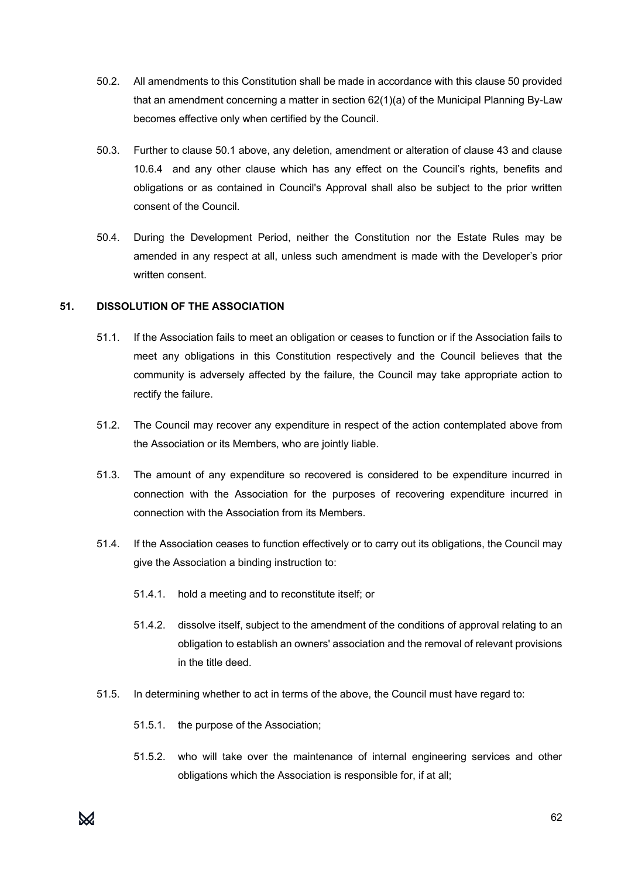- 50.2. All amendments to this Constitution shall be made in accordance with this clause 50 provided that an amendment concerning a matter in section 62(1)(a) of the Municipal Planning By-Law becomes effective only when certified by the Council.
- 50.3. Further to clause 50.1 above, any deletion, amendment or alteration of clause 43 and clause 10.6.4 and any other clause which has any effect on the Council's rights, benefits and obligations or as contained in Council's Approval shall also be subject to the prior written consent of the Council.
- 50.4. During the Development Period, neither the Constitution nor the Estate Rules may be amended in any respect at all, unless such amendment is made with the Developer's prior written consent.

# **51. DISSOLUTION OF THE ASSOCIATION**

- 51.1. If the Association fails to meet an obligation or ceases to function or if the Association fails to meet any obligations in this Constitution respectively and the Council believes that the community is adversely affected by the failure, the Council may take appropriate action to rectify the failure.
- 51.2. The Council may recover any expenditure in respect of the action contemplated above from the Association or its Members, who are jointly liable.
- 51.3. The amount of any expenditure so recovered is considered to be expenditure incurred in connection with the Association for the purposes of recovering expenditure incurred in connection with the Association from its Members.
- 51.4. If the Association ceases to function effectively or to carry out its obligations, the Council may give the Association a binding instruction to:
	- 51.4.1. hold a meeting and to reconstitute itself; or
	- 51.4.2. dissolve itself, subject to the amendment of the conditions of approval relating to an obligation to establish an owners' association and the removal of relevant provisions in the title deed.
- 51.5. In determining whether to act in terms of the above, the Council must have regard to:
	- 51.5.1. the purpose of the Association;
	- 51.5.2. who will take over the maintenance of internal engineering services and other obligations which the Association is responsible for, if at all;